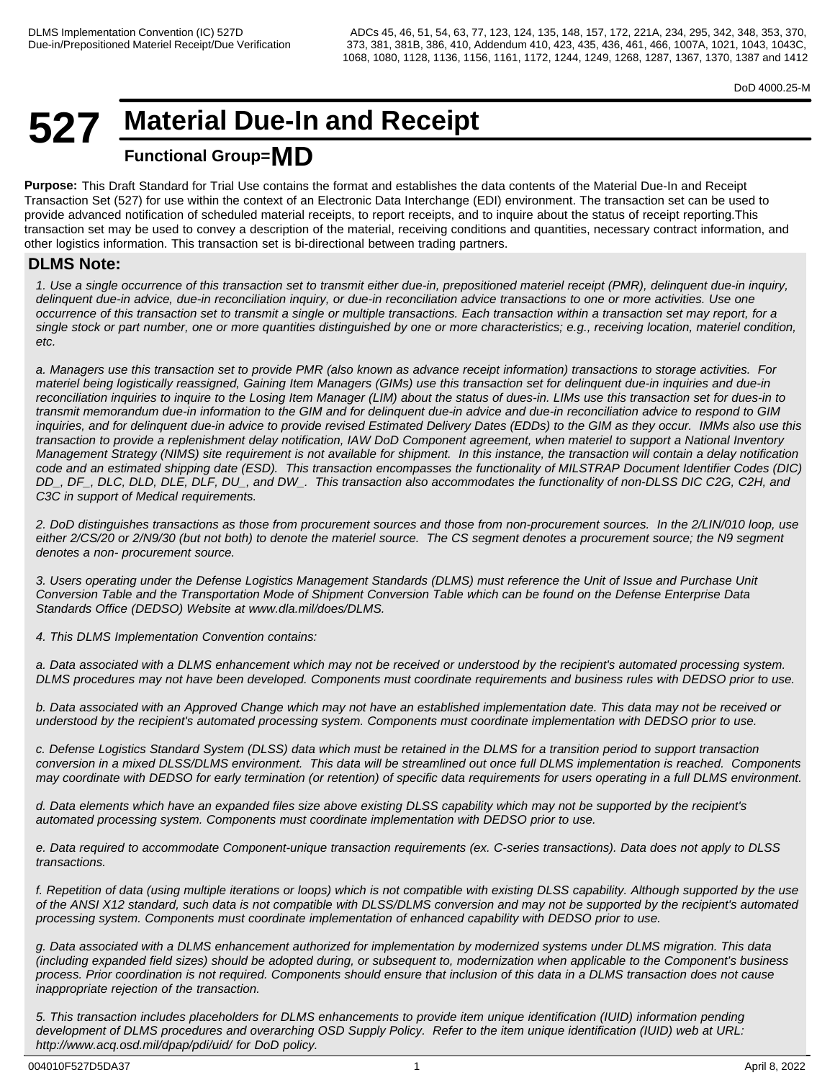DoD 4000.25-M

# **527 Material Due-In and Receipt Functional Group=MD**

**Purpose:** This Draft Standard for Trial Use contains the format and establishes the data contents of the Material Due-In and Receipt Transaction Set (527) for use within the context of an Electronic Data Interchange (EDI) environment. The transaction set can be used to provide advanced notification of scheduled material receipts, to report receipts, and to inquire about the status of receipt reporting.This transaction set may be used to convey a description of the material, receiving conditions and quantities, necessary contract information, and other logistics information. This transaction set is bi-directional between trading partners.

# **DLMS Note:**

*1. Use a single occurrence of this transaction set to transmit either due-in, prepositioned materiel receipt (PMR), delinquent due-in inquiry, delinquent due-in advice, due-in reconciliation inquiry, or due-in reconciliation advice transactions to one or more activities. Use one occurrence of this transaction set to transmit a single or multiple transactions. Each transaction within a transaction set may report, for a single stock or part number, one or more quantities distinguished by one or more characteristics; e.g., receiving location, materiel condition, etc.*

*a. Managers use this transaction set to provide PMR (also known as advance receipt information) transactions to storage activities. For materiel being logistically reassigned, Gaining Item Managers (GIMs) use this transaction set for delinquent due-in inquiries and due-in reconciliation inquiries to inquire to the Losing Item Manager (LIM) about the status of dues-in. LIMs use this transaction set for dues-in to transmit memorandum due-in information to the GIM and for delinquent due-in advice and due-in reconciliation advice to respond to GIM inquiries, and for delinquent due-in advice to provide revised Estimated Delivery Dates (EDDs) to the GIM as they occur. IMMs also use this transaction to provide a replenishment delay notification, IAW DoD Component agreement, when materiel to support a National Inventory Management Strategy (NIMS) site requirement is not available for shipment. In this instance, the transaction will contain a delay notification code and an estimated shipping date (ESD). This transaction encompasses the functionality of MILSTRAP Document Identifier Codes (DIC) DD\_, DF\_, DLC, DLD, DLE, DLF, DU\_, and DW\_. This transaction also accommodates the functionality of non-DLSS DIC C2G, C2H, and C3C in support of Medical requirements.*

*2. DoD distinguishes transactions as those from procurement sources and those from non-procurement sources. In the 2/LIN/010 loop, use either 2/CS/20 or 2/N9/30 (but not both) to denote the materiel source. The CS segment denotes a procurement source; the N9 segment denotes a non- procurement source.*

*3. Users operating under the Defense Logistics Management Standards (DLMS) must reference the Unit of Issue and Purchase Unit Conversion Table and the Transportation Mode of Shipment Conversion Table which can be found on the Defense Enterprise Data Standards Office (DEDSO) Website at www.dla.mil/does/DLMS.*

*4. This DLMS Implementation Convention contains:*

*a. Data associated with a DLMS enhancement which may not be received or understood by the recipient's automated processing system. DLMS procedures may not have been developed. Components must coordinate requirements and business rules with DEDSO prior to use.*

*b. Data associated with an Approved Change which may not have an established implementation date. This data may not be received or understood by the recipient's automated processing system. Components must coordinate implementation with DEDSO prior to use.*

*c. Defense Logistics Standard System (DLSS) data which must be retained in the DLMS for a transition period to support transaction conversion in a mixed DLSS/DLMS environment. This data will be streamlined out once full DLMS implementation is reached. Components may coordinate with DEDSO for early termination (or retention) of specific data requirements for users operating in a full DLMS environment.*

*d. Data elements which have an expanded files size above existing DLSS capability which may not be supported by the recipient's automated processing system. Components must coordinate implementation with DEDSO prior to use.*

*e. Data required to accommodate Component-unique transaction requirements (ex. C-series transactions). Data does not apply to DLSS transactions.*

*f. Repetition of data (using multiple iterations or loops) which is not compatible with existing DLSS capability. Although supported by the use of the ANSI X12 standard, such data is not compatible with DLSS/DLMS conversion and may not be supported by the recipient's automated processing system. Components must coordinate implementation of enhanced capability with DEDSO prior to use.*

*g. Data associated with a DLMS enhancement authorized for implementation by modernized systems under DLMS migration. This data (including expanded field sizes) should be adopted during, or subsequent to, modernization when applicable to the Component's business process. Prior coordination is not required. Components should ensure that inclusion of this data in a DLMS transaction does not cause inappropriate rejection of the transaction.*

*5. This transaction includes placeholders for DLMS enhancements to provide item unique identification (IUID) information pending development of DLMS procedures and overarching OSD Supply Policy. Refer to the item unique identification (IUID) web at URL: http://www.acq.osd.mil/dpap/pdi/uid/ for DoD policy.*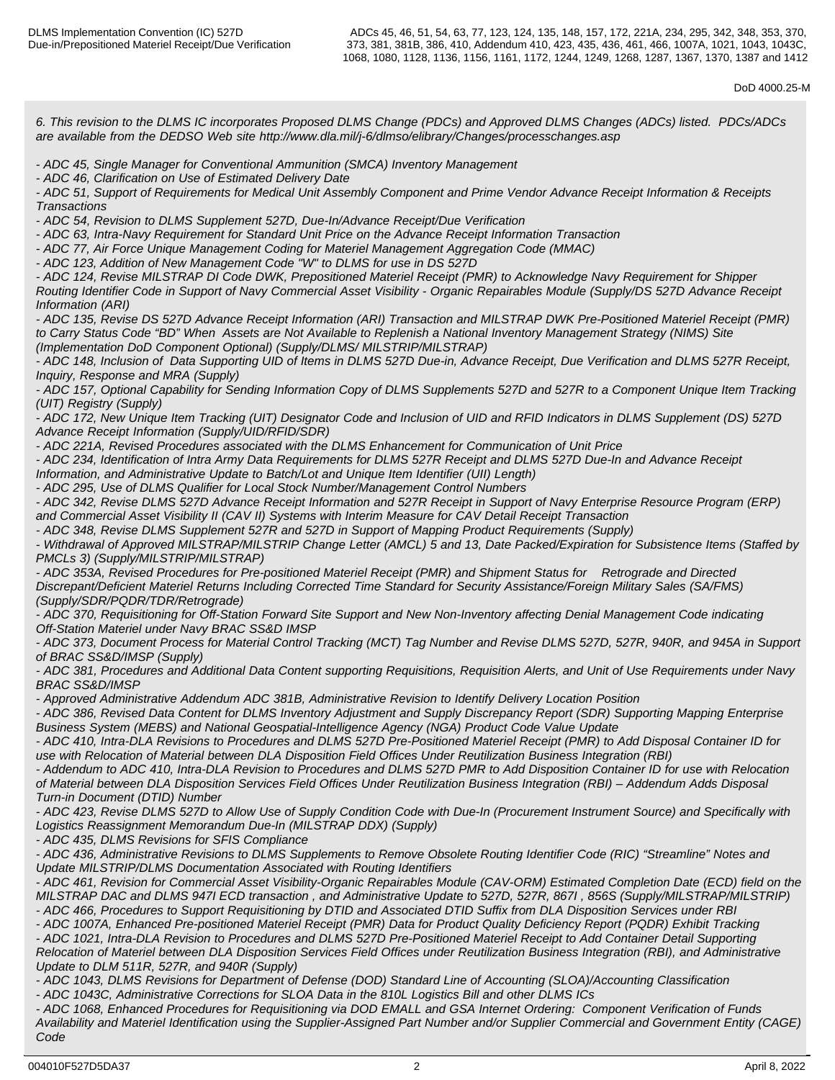DoD 4000.25-M

*6. This revision to the DLMS IC incorporates Proposed DLMS Change (PDCs) and Approved DLMS Changes (ADCs) listed. PDCs/ADCs are available from the DEDSO Web site http://www.dla.mil/j-6/dlmso/elibrary/Changes/processchanges.asp*

*- ADC 45, Single Manager for Conventional Ammunition (SMCA) Inventory Management* 

*- ADC 46, Clarification on Use of Estimated Delivery Date* 

*- ADC 51, Support of Requirements for Medical Unit Assembly Component and Prime Vendor Advance Receipt Information & Receipts Transactions*

*- ADC 54, Revision to DLMS Supplement 527D, Due-In/Advance Receipt/Due Verification*

*- ADC 63, Intra-Navy Requirement for Standard Unit Price on the Advance Receipt Information Transaction*

*- ADC 77, Air Force Unique Management Coding for Materiel Management Aggregation Code (MMAC)*

*- ADC 123, Addition of New Management Code "W" to DLMS for use in DS 527D*

*- ADC 124, Revise MILSTRAP DI Code DWK, Prepositioned Materiel Receipt (PMR) to Acknowledge Navy Requirement for Shipper Routing Identifier Code in Support of Navy Commercial Asset Visibility - Organic Repairables Module (Supply/DS 527D Advance Receipt Information (ARI)*

*- ADC 135, Revise DS 527D Advance Receipt Information (ARI) Transaction and MILSTRAP DWK Pre-Positioned Materiel Receipt (PMR) to Carry Status Code "BD" When Assets are Not Available to Replenish a National Inventory Management Strategy (NIMS) Site (Implementation DoD Component Optional) (Supply/DLMS/ MILSTRIP/MILSTRAP)*

*- ADC 148, Inclusion of Data Supporting UID of Items in DLMS 527D Due-in, Advance Receipt, Due Verification and DLMS 527R Receipt, Inquiry, Response and MRA (Supply)*

*- ADC 157, Optional Capability for Sending Information Copy of DLMS Supplements 527D and 527R to a Component Unique Item Tracking (UIT) Registry (Supply)*

*- ADC 172, New Unique Item Tracking (UIT) Designator Code and Inclusion of UID and RFID Indicators in DLMS Supplement (DS) 527D Advance Receipt Information (Supply/UID/RFID/SDR)*

*- ADC 221A, Revised Procedures associated with the DLMS Enhancement for Communication of Unit Price*

*- ADC 234, Identification of Intra Army Data Requirements for DLMS 527R Receipt and DLMS 527D Due-In and Advance Receipt*

*Information, and Administrative Update to Batch/Lot and Unique Item Identifier (UII) Length)*

*- ADC 295, Use of DLMS Qualifier for Local Stock Number/Management Control Numbers*

*- ADC 342, Revise DLMS 527D Advance Receipt Information and 527R Receipt in Support of Navy Enterprise Resource Program (ERP) and Commercial Asset Visibility II (CAV II) Systems with Interim Measure for CAV Detail Receipt Transaction*

*- ADC 348, Revise DLMS Supplement 527R and 527D in Support of Mapping Product Requirements (Supply)*

*- Withdrawal of Approved MILSTRAP/MILSTRIP Change Letter (AMCL) 5 and 13, Date Packed/Expiration for Subsistence Items (Staffed by PMCLs 3) (Supply/MILSTRIP/MILSTRAP)*

*- ADC 353A, Revised Procedures for Pre-positioned Materiel Receipt (PMR) and Shipment Status for Retrograde and Directed Discrepant/Deficient Materiel Returns Including Corrected Time Standard for Security Assistance/Foreign Military Sales (SA/FMS) (Supply/SDR/PQDR/TDR/Retrograde)*

*- ADC 370, Requisitioning for Off-Station Forward Site Support and New Non-Inventory affecting Denial Management Code indicating Off-Station Materiel under Navy BRAC SS&D IMSP*

*- ADC 373, Document Process for Material Control Tracking (MCT) Tag Number and Revise DLMS 527D, 527R, 940R, and 945A in Support of BRAC SS&D/IMSP (Supply)*

*- ADC 381, Procedures and Additional Data Content supporting Requisitions, Requisition Alerts, and Unit of Use Requirements under Navy BRAC SS&D/IMSP*

*- Approved Administrative Addendum ADC 381B, Administrative Revision to Identify Delivery Location Position*

*- ADC 386, Revised Data Content for DLMS Inventory Adjustment and Supply Discrepancy Report (SDR) Supporting Mapping Enterprise Business System (MEBS) and National Geospatial-Intelligence Agency (NGA) Product Code Value Update*

*- ADC 410, Intra-DLA Revisions to Procedures and DLMS 527D Pre-Positioned Materiel Receipt (PMR) to Add Disposal Container ID for use with Relocation of Material between DLA Disposition Field Offices Under Reutilization Business Integration (RBI)*

*- Addendum to ADC 410, Intra-DLA Revision to Procedures and DLMS 527D PMR to Add Disposition Container ID for use with Relocation of Material between DLA Disposition Services Field Offices Under Reutilization Business Integration (RBI) – Addendum Adds Disposal Turn-in Document (DTID) Number* 

*- ADC 423, Revise DLMS 527D to Allow Use of Supply Condition Code with Due-In (Procurement Instrument Source) and Specifically with Logistics Reassignment Memorandum Due-In (MILSTRAP DDX) (Supply)*

*- ADC 435, DLMS Revisions for SFIS Compliance*

*- ADC 436, Administrative Revisions to DLMS Supplements to Remove Obsolete Routing Identifier Code (RIC) "Streamline" Notes and Update MILSTRIP/DLMS Documentation Associated with Routing Identifiers*

*- ADC 461, Revision for Commercial Asset Visibility-Organic Repairables Module (CAV-ORM) Estimated Completion Date (ECD) field on the MILSTRAP DAC and DLMS 947I ECD transaction , and Administrative Update to 527D, 527R, 867I , 856S (Supply/MILSTRAP/MILSTRIP)*

*- ADC 466, Procedures to Support Requisitioning by DTID and Associated DTID Suffix from DLA Disposition Services under RBI*

*- ADC 1007A, Enhanced Pre-positioned Materiel Receipt (PMR) Data for Product Quality Deficiency Report (PQDR) Exhibit Tracking*

*- ADC 1021, Intra-DLA Revision to Procedures and DLMS 527D Pre-Positioned Materiel Receipt to Add Container Detail Supporting Relocation of Materiel between DLA Disposition Services Field Offices under Reutilization Business Integration (RBI), and Administrative Update to DLM 511R, 527R, and 940R (Supply)*

*- ADC 1043, DLMS Revisions for Department of Defense (DOD) Standard Line of Accounting (SLOA)/Accounting Classification*

*- ADC 1043C, Administrative Corrections for SLOA Data in the 810L Logistics Bill and other DLMS ICs*

*- ADC 1068, Enhanced Procedures for Requisitioning via DOD EMALL and GSA Internet Ordering: Component Verification of Funds Availability and Materiel Identification using the Supplier-Assigned Part Number and/or Supplier Commercial and Government Entity (CAGE) Code*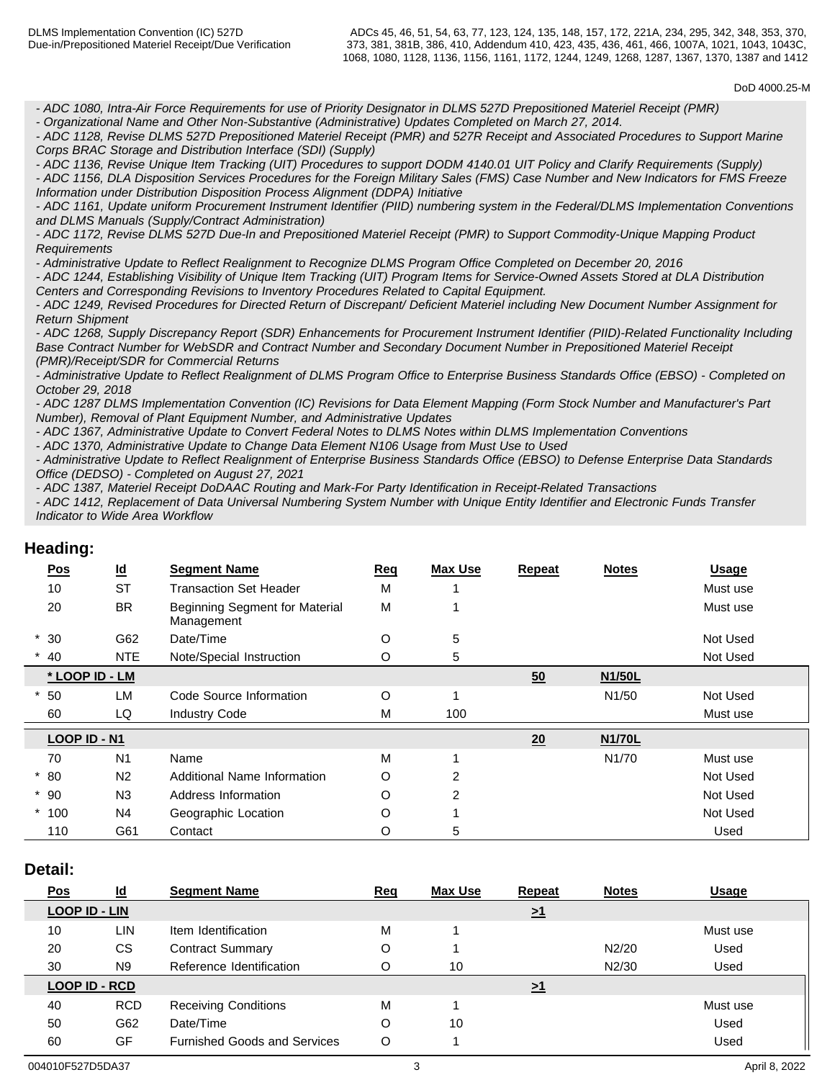DoD 4000.25-M

*- ADC 1080, Intra-Air Force Requirements for use of Priority Designator in DLMS 527D Prepositioned Materiel Receipt (PMR)*

*- Organizational Name and Other Non-Substantive (Administrative) Updates Completed on March 27, 2014.*

*- ADC 1128, Revise DLMS 527D Prepositioned Materiel Receipt (PMR) and 527R Receipt and Associated Procedures to Support Marine Corps BRAC Storage and Distribution Interface (SDI) (Supply)*

*- ADC 1136, Revise Unique Item Tracking (UIT) Procedures to support DODM 4140.01 UIT Policy and Clarify Requirements (Supply)*

*- ADC 1156, DLA Disposition Services Procedures for the Foreign Military Sales (FMS) Case Number and New Indicators for FMS Freeze Information under Distribution Disposition Process Alignment (DDPA) Initiative*

*- ADC 1161, Update uniform Procurement Instrument Identifier (PIID) numbering system in the Federal/DLMS Implementation Conventions and DLMS Manuals (Supply/Contract Administration)*

*- ADC 1172, Revise DLMS 527D Due-In and Prepositioned Materiel Receipt (PMR) to Support Commodity-Unique Mapping Product Requirements*

*- Administrative Update to Reflect Realignment to Recognize DLMS Program Office Completed on December 20, 2016*

*- ADC 1244, Establishing Visibility of Unique Item Tracking (UIT) Program Items for Service-Owned Assets Stored at DLA Distribution*

*Centers and Corresponding Revisions to Inventory Procedures Related to Capital Equipment.*

*- ADC 1249, Revised Procedures for Directed Return of Discrepant/ Deficient Materiel including New Document Number Assignment for Return Shipment*

*- ADC 1268, Supply Discrepancy Report (SDR) Enhancements for Procurement Instrument Identifier (PIID)-Related Functionality Including Base Contract Number for WebSDR and Contract Number and Secondary Document Number in Prepositioned Materiel Receipt (PMR)/Receipt/SDR for Commercial Returns*

*- Administrative Update to Reflect Realignment of DLMS Program Office to Enterprise Business Standards Office (EBSO) - Completed on October 29, 2018*

*- ADC 1287 DLMS Implementation Convention (IC) Revisions for Data Element Mapping (Form Stock Number and Manufacturer's Part Number), Removal of Plant Equipment Number, and Administrative Updates*

*- ADC 1367, Administrative Update to Convert Federal Notes to DLMS Notes within DLMS Implementation Conventions*

*- ADC 1370, Administrative Update to Change Data Element N106 Usage from Must Use to Used*

*- Administrative Update to Reflect Realignment of Enterprise Business Standards Office (EBSO) to Defense Enterprise Data Standards Office (DEDSO) - Completed on August 27, 2021*

*- ADC 1387, Materiel Receipt DoDAAC Routing and Mark-For Party Identification in Receipt-Related Transactions*

*- ADC 1412, Replacement of Data Universal Numbering System Number with Unique Entity Identifier and Electronic Funds Transfer Indicator to Wide Area Workflow*

# **Heading:**

| Pos            | $\underline{\mathsf{Id}}$ | <b>Segment Name</b>                          | Req | <b>Max Use</b> | Repeat | <b>Notes</b>  | <b>Usage</b> |
|----------------|---------------------------|----------------------------------------------|-----|----------------|--------|---------------|--------------|
| 10             | <b>ST</b>                 | <b>Transaction Set Header</b>                | M   |                |        |               | Must use     |
| 20             | <b>BR</b>                 | Beginning Segment for Material<br>Management | M   |                |        |               | Must use     |
| $*30$          | G62                       | Date/Time                                    | O   | 5              |        |               | Not Used     |
| $*$ 40         | <b>NTE</b>                | Note/Special Instruction                     | O   | 5              |        |               | Not Used     |
| * LOOP ID - LM |                           |                                              |     |                | 50     | <b>N1/50L</b> |              |
| 50             | <b>LM</b>                 | Code Source Information                      | O   |                |        | N1/50         | Not Used     |
| 60             | LQ                        | <b>Industry Code</b>                         | М   | 100            |        |               | Must use     |
| LOOP ID - N1   |                           |                                              |     |                | 20     | <b>N1/70L</b> |              |
| 70             | N <sub>1</sub>            | Name                                         | M   |                |        | N1/70         | Must use     |
| $*80$          | N <sub>2</sub>            | Additional Name Information                  | O   | $\overline{2}$ |        |               | Not Used     |
| $*90$          | N <sub>3</sub>            | Address Information                          | O   | $\overline{2}$ |        |               | Not Used     |
| $*100$         | N <sub>4</sub>            | Geographic Location                          | O   |                |        |               | Not Used     |
| 110            | G61                       | Contact                                      | O   | 5              |        |               | Used         |

# **Detail:**

| $\underline{\mathsf{Pos}}$ | $\underline{\mathsf{Id}}$ | <b>Segment Name</b>                 | Req | Max Use | <b>Repeat</b> | <b>Notes</b> | <b>Usage</b> |
|----------------------------|---------------------------|-------------------------------------|-----|---------|---------------|--------------|--------------|
| LOOP ID - LIN              |                           |                                     |     |         | <u>&gt;1</u>  |              |              |
| 10                         | LIN                       | Item Identification                 | M   |         |               |              | Must use     |
| 20                         | <b>CS</b>                 | <b>Contract Summary</b>             | O   |         |               | N2/20        | Used         |
| 30                         | N <sub>9</sub>            | Reference Identification            | O   | 10      |               | N2/30        | Used         |
| <b>LOOP ID - RCD</b>       |                           |                                     |     |         | <u>&gt;1</u>  |              |              |
| 40                         | <b>RCD</b>                | <b>Receiving Conditions</b>         | м   |         |               |              | Must use     |
| 50                         | G62                       | Date/Time                           | O   | 10      |               |              | Used         |
| 60                         | GF                        | <b>Furnished Goods and Services</b> | O   |         |               |              | Used         |
|                            |                           |                                     |     |         |               |              |              |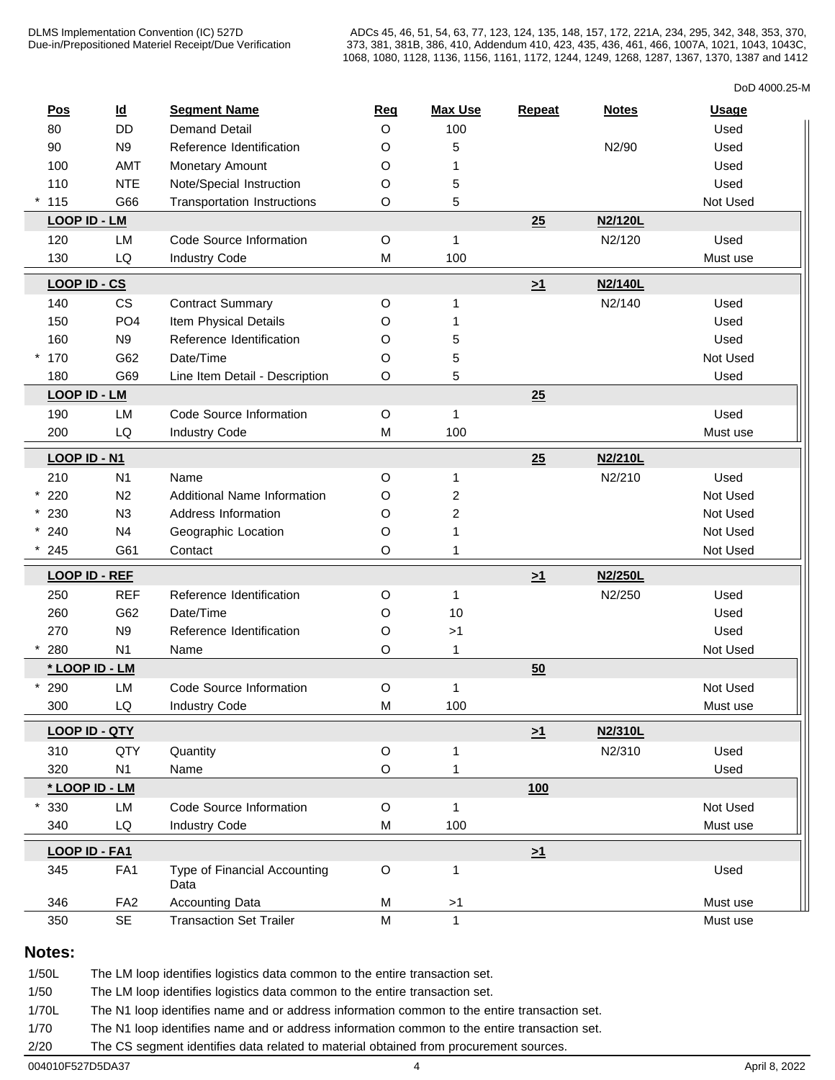DoD 4000.25-M

| Pos                  | $\underline{\mathsf{Id}}$ | <b>Segment Name</b>                  | Req | <b>Max Use</b> | <b>Repeat</b> | <b>Notes</b> | <b>Usage</b> |
|----------------------|---------------------------|--------------------------------------|-----|----------------|---------------|--------------|--------------|
| 80                   | <b>DD</b>                 | <b>Demand Detail</b>                 | O   | 100            |               |              | Used         |
| 90                   | N <sub>9</sub>            | Reference Identification             | O   | 5              |               | N2/90        | Used         |
| 100                  | <b>AMT</b>                | Monetary Amount                      | O   |                |               |              | Used         |
| 110                  | <b>NTE</b>                | Note/Special Instruction             | O   | 5              |               |              | Used         |
| $*115$               | G66                       | Transportation Instructions          | O   | 5              |               |              | Not Used     |
| <b>LOOP ID - LM</b>  |                           |                                      |     |                | 25            | N2/120L      |              |
| 120                  | LM                        | Code Source Information              | O   | 1              |               | N2/120       | Used         |
| 130                  | LQ                        | <b>Industry Code</b>                 | М   | 100            |               |              | Must use     |
| <b>LOOP ID - CS</b>  |                           |                                      |     |                | $\geq 1$      | N2/140L      |              |
| 140                  | CS                        | <b>Contract Summary</b>              | O   | 1              |               | N2/140       | Used         |
| 150                  | PO <sub>4</sub>           | Item Physical Details                | O   |                |               |              | Used         |
| 160                  | N <sub>9</sub>            | Reference Identification             | O   | 5              |               |              | Used         |
| $*170$               | G62                       | Date/Time                            | O   | 5              |               |              | Not Used     |
| 180                  | G69                       | Line Item Detail - Description       | O   | 5              |               |              | Used         |
| LOOP ID - LM         |                           |                                      |     |                | 25            |              |              |
| 190                  | LM                        | Code Source Information              | O   | 1              |               |              | Used         |
| 200                  | LQ                        | <b>Industry Code</b>                 | М   | 100            |               |              | Must use     |
|                      |                           |                                      |     |                |               |              |              |
| LOOP ID - N1         |                           |                                      |     |                | 25            | N2/210L      |              |
| 210                  | N <sub>1</sub>            | Name                                 | O   | 1              |               | N2/210       | Used         |
| $*220$               | N2                        | Additional Name Information          | O   | 2              |               |              | Not Used     |
| $*230$               | N3                        | Address Information                  | O   | 2              |               |              | Not Used     |
| $* 240$              | N <sub>4</sub><br>G61     | Geographic Location                  | O   |                |               |              | Not Used     |
| 245                  |                           | Contact                              | O   |                |               |              | Not Used     |
| <b>LOOP ID - REF</b> |                           |                                      |     |                | $\geq 1$      | N2/250L      |              |
| 250                  | <b>REF</b>                | Reference Identification             | O   | 1              |               | N2/250       | Used         |
| 260                  | G62                       | Date/Time                            | O   | 10             |               |              | Used         |
| 270                  | N <sub>9</sub>            | Reference Identification             | O   | >1             |               |              | Used         |
| 280                  | N <sub>1</sub>            | Name                                 | O   | $\mathbf 1$    |               |              | Not Used     |
| * LOOP ID - LM       |                           |                                      |     |                | 50            |              |              |
| 290                  | LM                        | Code Source Information              | O   | 1              |               |              | Not Used     |
| 300                  | LQ                        | <b>Industry Code</b>                 | M   | 100            |               |              | Must use     |
| LOOP ID - QTY        |                           |                                      |     |                | $\geq 1$      | N2/310L      |              |
| 310                  | QTY                       | Quantity                             | O   | 1              |               | N2/310       | Used         |
| 320                  | N1                        | Name                                 | O   |                |               |              | Used         |
| * LOOP ID - LM       |                           |                                      |     |                | 100           |              |              |
| 330                  | LM                        | Code Source Information              | O   | 1              |               |              | Not Used     |
| 340                  | ${\sf LQ}$                | <b>Industry Code</b>                 | M   | 100            |               |              | Must use     |
|                      |                           |                                      |     |                |               |              |              |
| LOOP ID - FA1        |                           |                                      |     |                | $\geq 1$      |              |              |
| 345                  | FA1                       | Type of Financial Accounting<br>Data | O   | 1              |               |              | Used         |
| 346                  | FA <sub>2</sub>           | <b>Accounting Data</b>               | M   | >1             |               |              | Must use     |
| 350                  | $\sf SE$                  | <b>Transaction Set Trailer</b>       | M   | $\mathbf{1}$   |               |              | Must use     |
|                      |                           |                                      |     |                |               |              |              |

# **Notes:**

1/50L The LM loop identifies logistics data common to the entire transaction set. 1/50 The LM loop identifies logistics data common to the entire transaction set. 1/70L The N1 loop identifies name and or address information common to the entire transaction set. 1/70 The N1 loop identifies name and or address information common to the entire transaction set. 2/20 The CS segment identifies data related to material obtained from procurement sources.

004010F527D5DA37 4 April 8, 2022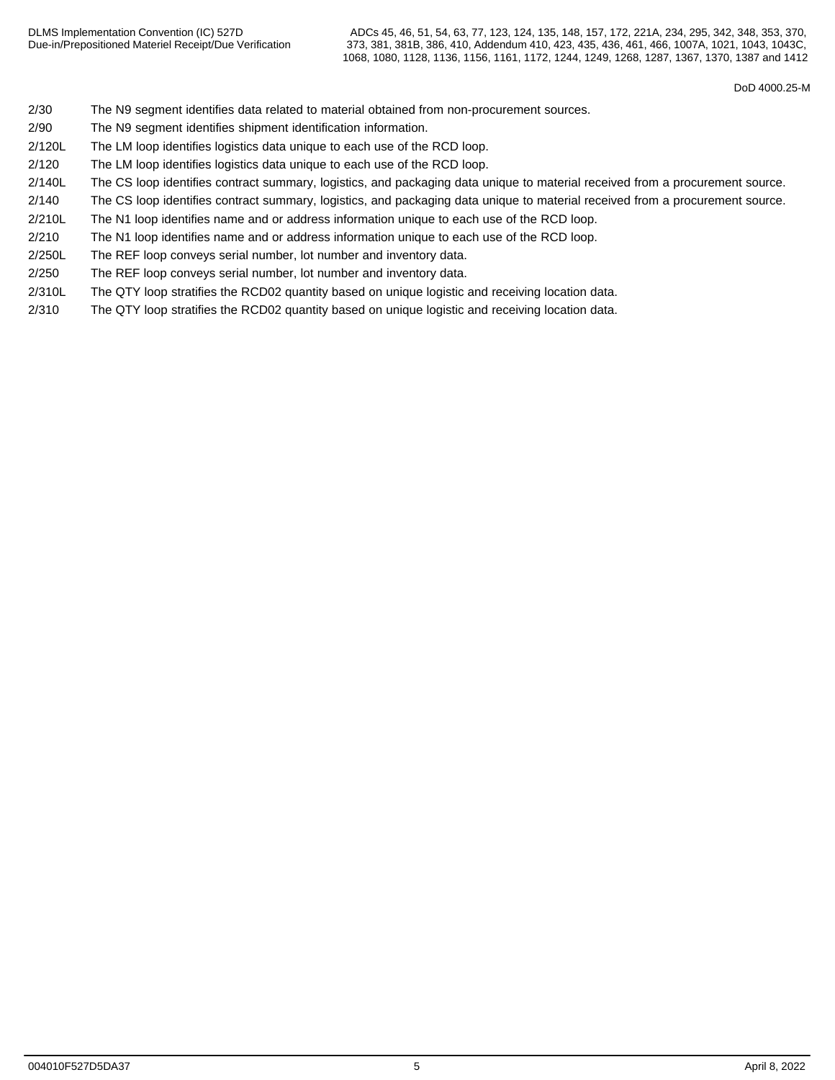DoD 4000.25-M

- 2/30 The N9 segment identifies data related to material obtained from non-procurement sources.
- 2/90 The N9 segment identifies shipment identification information.
- 2/120L The LM loop identifies logistics data unique to each use of the RCD loop.
- 2/120 The LM loop identifies logistics data unique to each use of the RCD loop.
- 2/140L The CS loop identifies contract summary, logistics, and packaging data unique to material received from a procurement source.
- 2/140 The CS loop identifies contract summary, logistics, and packaging data unique to material received from a procurement source.
- 2/210L The N1 loop identifies name and or address information unique to each use of the RCD loop.
- 2/210 The N1 loop identifies name and or address information unique to each use of the RCD loop.
- 2/250L The REF loop conveys serial number, lot number and inventory data.
- 2/250 The REF loop conveys serial number, lot number and inventory data.
- 2/310L The QTY loop stratifies the RCD02 quantity based on unique logistic and receiving location data.
- 2/310 The QTY loop stratifies the RCD02 quantity based on unique logistic and receiving location data.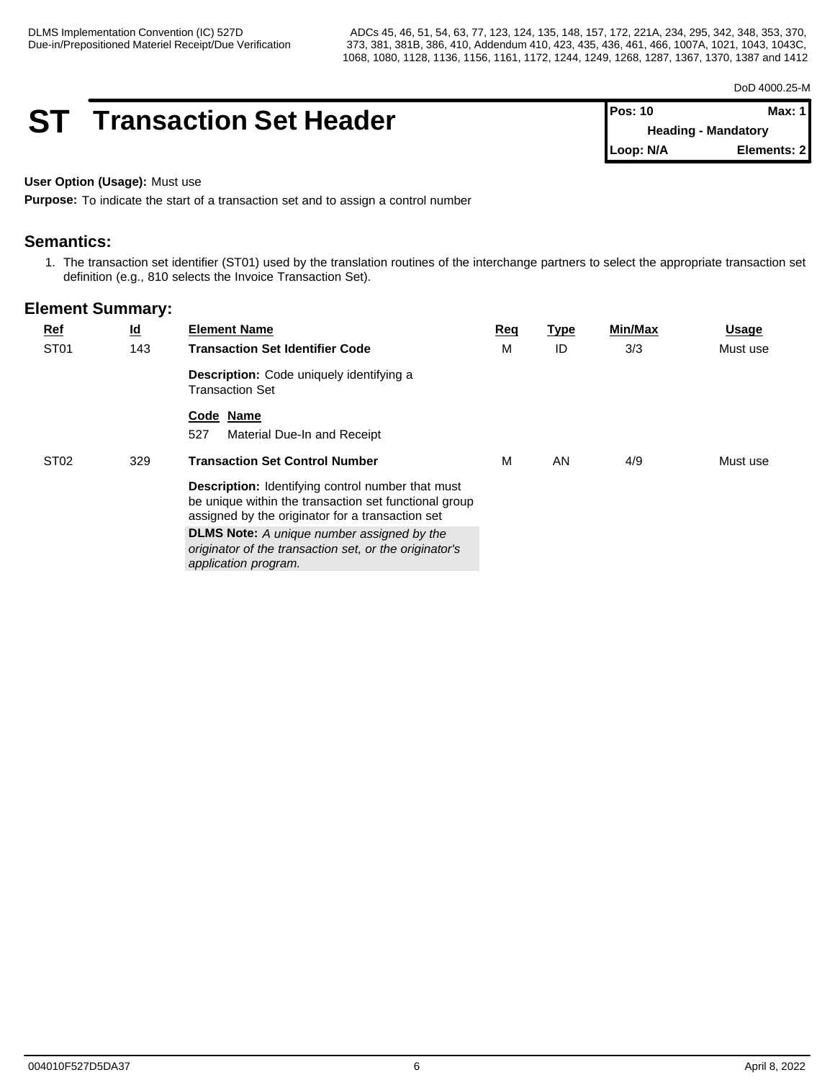DoD 4000.25-M

# **ST Transaction Set Header**

| <b>IPos: 10</b>            | Max: $1$    |  |
|----------------------------|-------------|--|
| <b>Heading - Mandatory</b> |             |  |
| Loop: N/A                  | Elements: 2 |  |

## **User Option (Usage):** Must use

**Purpose:** To indicate the start of a transaction set and to assign a control number

# **Semantics:**

1. The transaction set identifier (ST01) used by the translation routines of the interchange partners to select the appropriate transaction set definition (e.g., 810 selects the Invoice Transaction Set).

| <b>Ref</b>       | $\underline{\mathsf{Id}}$ | <b>Element Name</b>                                                                                                                                                   | <b>Req</b> | <b>Type</b> | Min/Max | <b>Usage</b> |
|------------------|---------------------------|-----------------------------------------------------------------------------------------------------------------------------------------------------------------------|------------|-------------|---------|--------------|
| ST <sub>01</sub> | 143                       | <b>Transaction Set Identifier Code</b>                                                                                                                                | М          | ID          | 3/3     | Must use     |
|                  |                           | Description: Code uniquely identifying a<br>Transaction Set                                                                                                           |            |             |         |              |
|                  |                           | Code Name                                                                                                                                                             |            |             |         |              |
|                  |                           | 527<br>Material Due-In and Receipt                                                                                                                                    |            |             |         |              |
| ST <sub>02</sub> | 329                       | <b>Transaction Set Control Number</b>                                                                                                                                 | М          | AN.         | 4/9     | Must use     |
|                  |                           | <b>Description:</b> Identifying control number that must<br>be unique within the transaction set functional group<br>assigned by the originator for a transaction set |            |             |         |              |
|                  |                           | <b>DLMS Note:</b> A unique number assigned by the<br>originator of the transaction set, or the originator's<br>application program.                                   |            |             |         |              |
|                  |                           |                                                                                                                                                                       |            |             |         |              |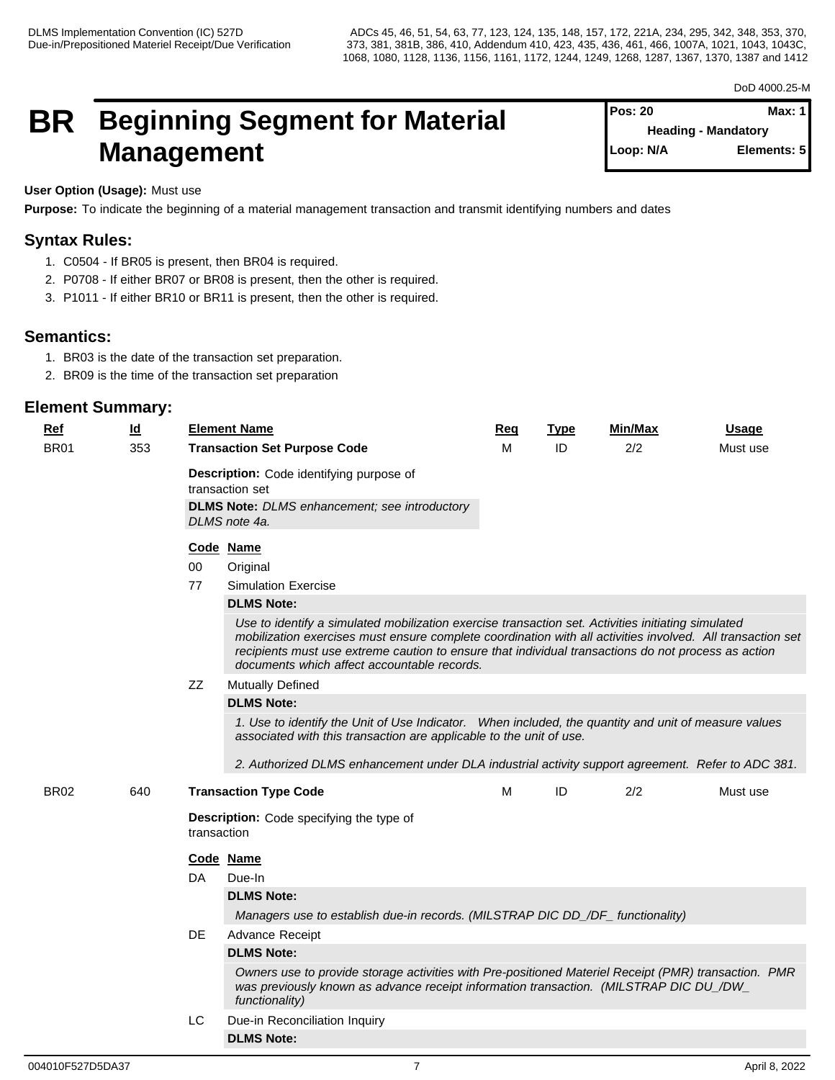DoD 4000.25-M

# **BR** Beginning Segment for Material  $\left[\begin{array}{cc} \n\end{array}\right]$   $\left[\begin{array}{cc} \n\end{array}\right]$   $\left[\begin{array}{cc} \n\end{array}\right]$   $\left[\begin{array}{cc} \n\end{array}\right]$   $\left[\begin{array}{cc} \n\end{array}\right]$   $\left[\begin{array}{cc} \n\end{array}\right]$   $\left[\begin{array}{cc} \n\end{array}\right]$   $\left[\begin{array}{cc} \n\end{array}\right]$   $\left[\begin{array}{cc} \n\end{array}\right$ **Management**

**Pos: 20 Max: 1 Heading - Mandatory Loop: N/A Elements: 5**

# **User Option (Usage):** Must use

**Purpose:** To indicate the beginning of a material management transaction and transmit identifying numbers and dates

# **Syntax Rules:**

- 1. C0504 If BR05 is present, then BR04 is required.
- 2. P0708 If either BR07 or BR08 is present, then the other is required.
- 3. P1011 If either BR10 or BR11 is present, then the other is required.

# **Semantics:**

- 1. BR03 is the date of the transaction set preparation.
- 2. BR09 is the time of the transaction set preparation

| <u>Ref</u>       | <u>ld</u> |                | <b>Element Name</b>                                                                                                                                                                                                                                                                                                                                                                                                                                                                                                                                                                                                                                                               | <b>Req</b> | <b>Type</b> | <b>Min/Max</b> | <b>Usage</b> |
|------------------|-----------|----------------|-----------------------------------------------------------------------------------------------------------------------------------------------------------------------------------------------------------------------------------------------------------------------------------------------------------------------------------------------------------------------------------------------------------------------------------------------------------------------------------------------------------------------------------------------------------------------------------------------------------------------------------------------------------------------------------|------------|-------------|----------------|--------------|
| <b>BR01</b>      | 353       |                | <b>Transaction Set Purpose Code</b>                                                                                                                                                                                                                                                                                                                                                                                                                                                                                                                                                                                                                                               | M          | ID          | 2/2            | Must use     |
|                  |           |                | Description: Code identifying purpose of<br>transaction set<br><b>DLMS Note:</b> DLMS enhancement; see introductory<br>DLMS note 4a.                                                                                                                                                                                                                                                                                                                                                                                                                                                                                                                                              |            |             |                |              |
|                  |           | 00<br>77<br>ZZ | Code Name<br>Original<br><b>Simulation Exercise</b><br><b>DLMS Note:</b><br>Use to identify a simulated mobilization exercise transaction set. Activities initiating simulated<br>mobilization exercises must ensure complete coordination with all activities involved. All transaction set<br>recipients must use extreme caution to ensure that individual transactions do not process as action<br>documents which affect accountable records.<br><b>Mutually Defined</b><br><b>DLMS Note:</b><br>1. Use to identify the Unit of Use Indicator. When included, the quantity and unit of measure values<br>associated with this transaction are applicable to the unit of use. |            |             |                |              |
|                  |           |                | 2. Authorized DLMS enhancement under DLA industrial activity support agreement. Refer to ADC 381.                                                                                                                                                                                                                                                                                                                                                                                                                                                                                                                                                                                 |            |             |                |              |
| BR <sub>02</sub> | 640       |                | <b>Transaction Type Code</b>                                                                                                                                                                                                                                                                                                                                                                                                                                                                                                                                                                                                                                                      | M          | ID          | 2/2            | Must use     |
|                  |           |                | Description: Code specifying the type of<br>transaction                                                                                                                                                                                                                                                                                                                                                                                                                                                                                                                                                                                                                           |            |             |                |              |
|                  |           | DA.<br>DE      | Code Name<br>Due-In<br><b>DLMS Note:</b><br>Managers use to establish due-in records. (MILSTRAP DIC DD_/DF_ functionality)<br><b>Advance Receipt</b>                                                                                                                                                                                                                                                                                                                                                                                                                                                                                                                              |            |             |                |              |
|                  |           |                | <b>DLMS Note:</b><br>Owners use to provide storage activities with Pre-positioned Materiel Receipt (PMR) transaction. PMR<br>was previously known as advance receipt information transaction. (MILSTRAP DIC DU_/DW_<br>functionality)                                                                                                                                                                                                                                                                                                                                                                                                                                             |            |             |                |              |
|                  |           | LC             | Due-in Reconciliation Inquiry<br><b>DLMS Note:</b>                                                                                                                                                                                                                                                                                                                                                                                                                                                                                                                                                                                                                                |            |             |                |              |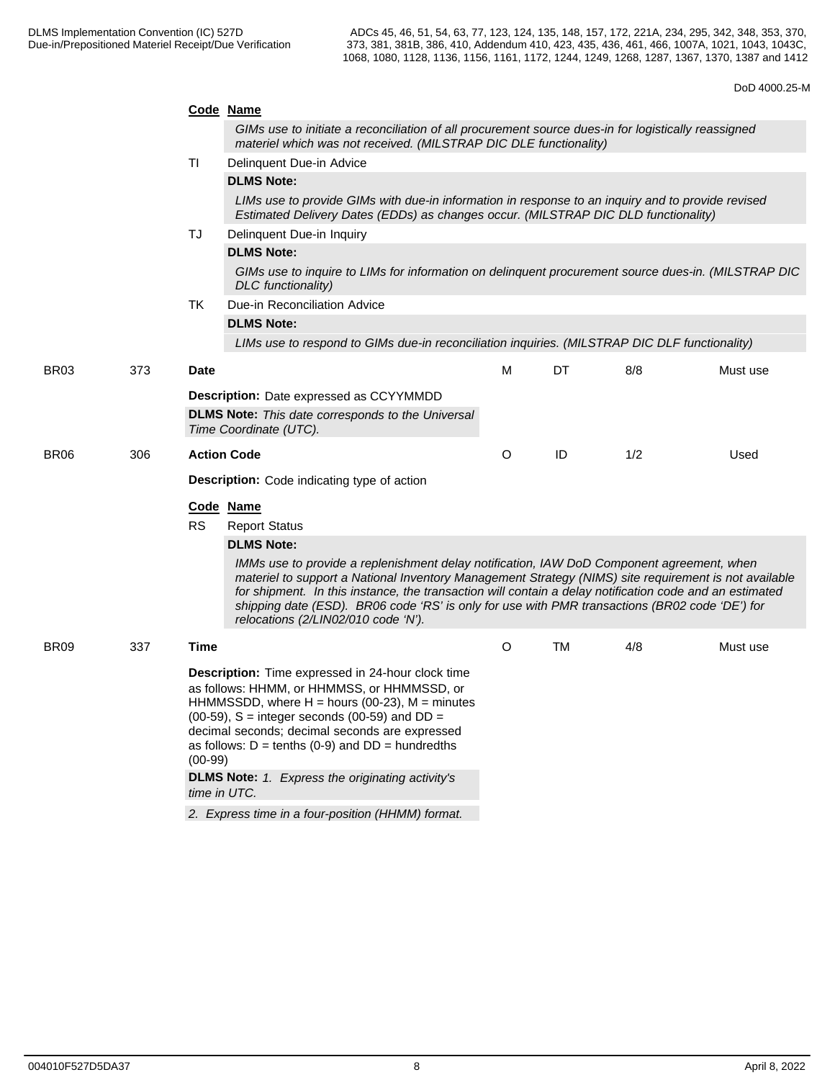DoD 4000.25-M

|      |     |             | Code Name                                                                                                                                                                                                                                                                                                                                                                                                       |         |           |     |          |  |  |  |
|------|-----|-------------|-----------------------------------------------------------------------------------------------------------------------------------------------------------------------------------------------------------------------------------------------------------------------------------------------------------------------------------------------------------------------------------------------------------------|---------|-----------|-----|----------|--|--|--|
|      |     |             | GIMs use to initiate a reconciliation of all procurement source dues-in for logistically reassigned<br>materiel which was not received. (MILSTRAP DIC DLE functionality)                                                                                                                                                                                                                                        |         |           |     |          |  |  |  |
|      |     | ΤI          | Delinquent Due-in Advice                                                                                                                                                                                                                                                                                                                                                                                        |         |           |     |          |  |  |  |
|      |     |             | <b>DLMS Note:</b>                                                                                                                                                                                                                                                                                                                                                                                               |         |           |     |          |  |  |  |
|      |     |             | LIMs use to provide GIMs with due-in information in response to an inquiry and to provide revised<br>Estimated Delivery Dates (EDDs) as changes occur. (MILSTRAP DIC DLD functionality)                                                                                                                                                                                                                         |         |           |     |          |  |  |  |
|      |     | TJ          | Delinquent Due-in Inquiry                                                                                                                                                                                                                                                                                                                                                                                       |         |           |     |          |  |  |  |
|      |     |             | <b>DLMS Note:</b>                                                                                                                                                                                                                                                                                                                                                                                               |         |           |     |          |  |  |  |
|      |     |             | GIMs use to inquire to LIMs for information on delinquent procurement source dues-in. (MILSTRAP DIC<br>DLC functionality)                                                                                                                                                                                                                                                                                       |         |           |     |          |  |  |  |
|      |     | <b>TK</b>   | Due-in Reconciliation Advice                                                                                                                                                                                                                                                                                                                                                                                    |         |           |     |          |  |  |  |
|      |     |             | <b>DLMS Note:</b>                                                                                                                                                                                                                                                                                                                                                                                               |         |           |     |          |  |  |  |
|      |     |             | LIMs use to respond to GIMs due-in reconciliation inquiries. (MILSTRAP DIC DLF functionality)                                                                                                                                                                                                                                                                                                                   |         |           |     |          |  |  |  |
| BR03 | 373 | <b>Date</b> |                                                                                                                                                                                                                                                                                                                                                                                                                 | м       | DT        | 8/8 | Must use |  |  |  |
|      |     |             | <b>Description:</b> Date expressed as CCYYMMDD                                                                                                                                                                                                                                                                                                                                                                  |         |           |     |          |  |  |  |
|      |     |             | <b>DLMS Note:</b> This date corresponds to the Universal<br>Time Coordinate (UTC).                                                                                                                                                                                                                                                                                                                              |         |           |     |          |  |  |  |
| BR06 | 306 |             | <b>Action Code</b>                                                                                                                                                                                                                                                                                                                                                                                              | $\circ$ | ID        | 1/2 | Used     |  |  |  |
|      |     |             | <b>Description:</b> Code indicating type of action                                                                                                                                                                                                                                                                                                                                                              |         |           |     |          |  |  |  |
|      |     |             | Code Name                                                                                                                                                                                                                                                                                                                                                                                                       |         |           |     |          |  |  |  |
|      |     | <b>RS</b>   | <b>Report Status</b>                                                                                                                                                                                                                                                                                                                                                                                            |         |           |     |          |  |  |  |
|      |     |             | <b>DLMS Note:</b>                                                                                                                                                                                                                                                                                                                                                                                               |         |           |     |          |  |  |  |
|      |     |             | IMMs use to provide a replenishment delay notification, IAW DoD Component agreement, when                                                                                                                                                                                                                                                                                                                       |         |           |     |          |  |  |  |
|      |     |             | materiel to support a National Inventory Management Strategy (NIMS) site requirement is not available<br>for shipment. In this instance, the transaction will contain a delay notification code and an estimated<br>shipping date (ESD). BR06 code 'RS' is only for use with PMR transactions (BR02 code 'DE') for<br>relocations (2/LIN02/010 code 'N').                                                       |         |           |     |          |  |  |  |
| BR09 | 337 | <b>Time</b> |                                                                                                                                                                                                                                                                                                                                                                                                                 | O       | <b>TM</b> | 4/8 | Must use |  |  |  |
|      |     | $(00-99)$   | Description: Time expressed in 24-hour clock time<br>as follows: HHMM, or HHMMSS, or HHMMSSD, or<br>HHMMSSDD, where $H =$ hours (00-23), $M =$ minutes<br>$(00-59)$ , S = integer seconds $(00-59)$ and DD =<br>decimal seconds; decimal seconds are expressed<br>as follows: $D = \text{tenths}$ (0-9) and $DD = \text{hundredths}$<br><b>DLMS Note:</b> 1. Express the originating activity's<br>time in UTC. |         |           |     |          |  |  |  |
|      |     |             | 2. Express time in a four-position (HHMM) format.                                                                                                                                                                                                                                                                                                                                                               |         |           |     |          |  |  |  |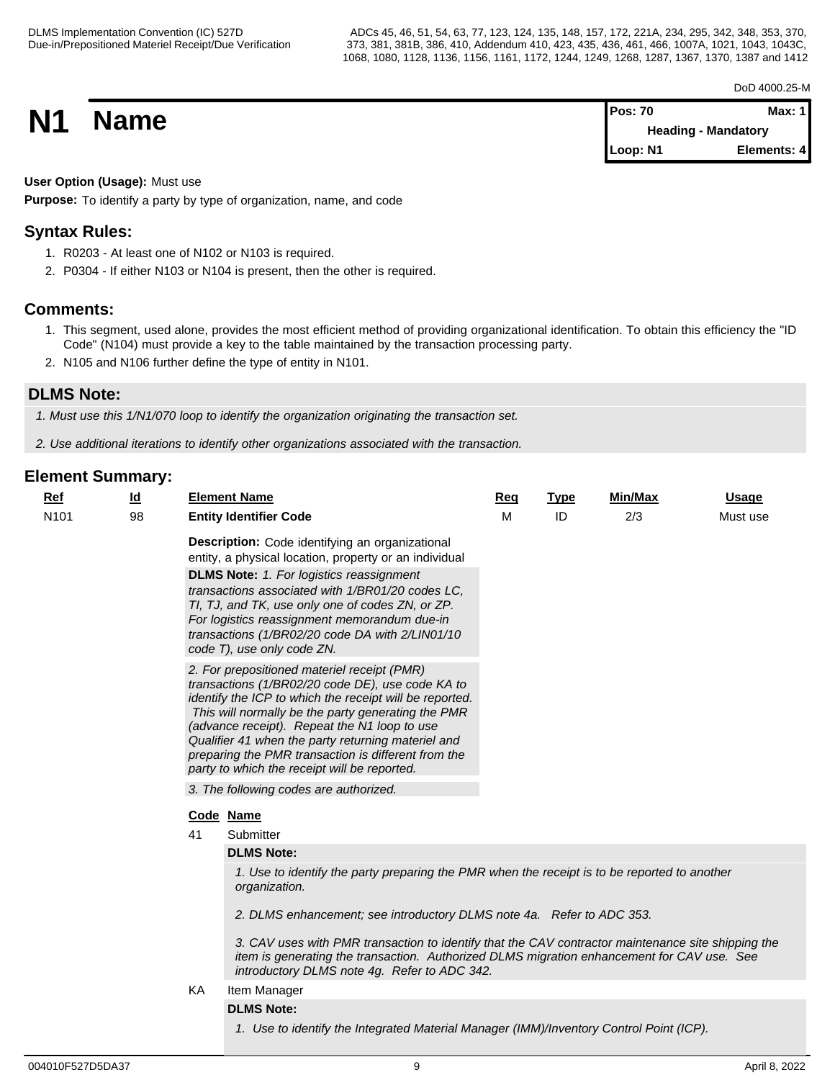DoD 4000.25-M

**N1 Name Pos: 70 Max: 1 Max: 1 Max: 1 Max: 1 Max: 1 Max: 1 Max: 1 Max: 1 Heading - Mandatory Loop: N1 Elements: 4**

## **User Option (Usage):** Must use

**Purpose:** To identify a party by type of organization, name, and code

# **Syntax Rules:**

- 1. R0203 At least one of N102 or N103 is required.
- 2. P0304 If either N103 or N104 is present, then the other is required.

# **Comments:**

- 1. This segment, used alone, provides the most efficient method of providing organizational identification. To obtain this efficiency the "ID Code" (N104) must provide a key to the table maintained by the transaction processing party.
- 2. N105 and N106 further define the type of entity in N101.

# **DLMS Note:**

*1. Must use this 1/N1/070 loop to identify the organization originating the transaction set.*

*2. Use additional iterations to identify other organizations associated with the transaction.*

| <b>Ref</b>       | $\underline{\mathsf{Id}}$ |    | <b>Element Name</b>                                                                                                                                                                                                                                                                                                                                                                                                           | <b>Req</b> | <b>Type</b> | Min/Max | Usage    |  |
|------------------|---------------------------|----|-------------------------------------------------------------------------------------------------------------------------------------------------------------------------------------------------------------------------------------------------------------------------------------------------------------------------------------------------------------------------------------------------------------------------------|------------|-------------|---------|----------|--|
| N <sub>101</sub> | 98                        |    | <b>Entity Identifier Code</b>                                                                                                                                                                                                                                                                                                                                                                                                 | M          | ID          | 2/3     | Must use |  |
|                  |                           |    | Description: Code identifying an organizational<br>entity, a physical location, property or an individual<br><b>DLMS Note:</b> 1. For logistics reassignment<br>transactions associated with 1/BR01/20 codes LC,<br>TI, TJ, and TK, use only one of codes ZN, or ZP.<br>For logistics reassignment memorandum due-in<br>transactions (1/BR02/20 code DA with 2/LIN01/10<br>code T), use only code ZN.                         |            |             |         |          |  |
|                  |                           |    | 2. For prepositioned materiel receipt (PMR)<br>transactions (1/BR02/20 code DE), use code KA to<br>identify the ICP to which the receipt will be reported.<br>This will normally be the party generating the PMR<br>(advance receipt). Repeat the N1 loop to use<br>Qualifier 41 when the party returning materiel and<br>preparing the PMR transaction is different from the<br>party to which the receipt will be reported. |            |             |         |          |  |
|                  |                           |    | 3. The following codes are authorized.                                                                                                                                                                                                                                                                                                                                                                                        |            |             |         |          |  |
|                  |                           |    | Code Name                                                                                                                                                                                                                                                                                                                                                                                                                     |            |             |         |          |  |
|                  |                           | 41 | Submitter                                                                                                                                                                                                                                                                                                                                                                                                                     |            |             |         |          |  |
|                  |                           |    | <b>DLMS Note:</b>                                                                                                                                                                                                                                                                                                                                                                                                             |            |             |         |          |  |
|                  |                           |    | 1. Use to identify the party preparing the PMR when the receipt is to be reported to another<br>organization.                                                                                                                                                                                                                                                                                                                 |            |             |         |          |  |
|                  |                           |    | 2. DLMS enhancement; see introductory DLMS note 4a. Refer to ADC 353.                                                                                                                                                                                                                                                                                                                                                         |            |             |         |          |  |
|                  |                           |    | 3. CAV uses with PMR transaction to identify that the CAV contractor maintenance site shipping the<br>item is generating the transaction. Authorized DLMS migration enhancement for CAV use. See<br>introductory DLMS note 4g. Refer to ADC 342.                                                                                                                                                                              |            |             |         |          |  |
|                  |                           | КA | Item Manager                                                                                                                                                                                                                                                                                                                                                                                                                  |            |             |         |          |  |
|                  |                           |    | <b>DLMS Note:</b>                                                                                                                                                                                                                                                                                                                                                                                                             |            |             |         |          |  |
|                  |                           |    | 1. Use to identify the Integrated Material Manager (IMM)/Inventory Control Point (ICP).                                                                                                                                                                                                                                                                                                                                       |            |             |         |          |  |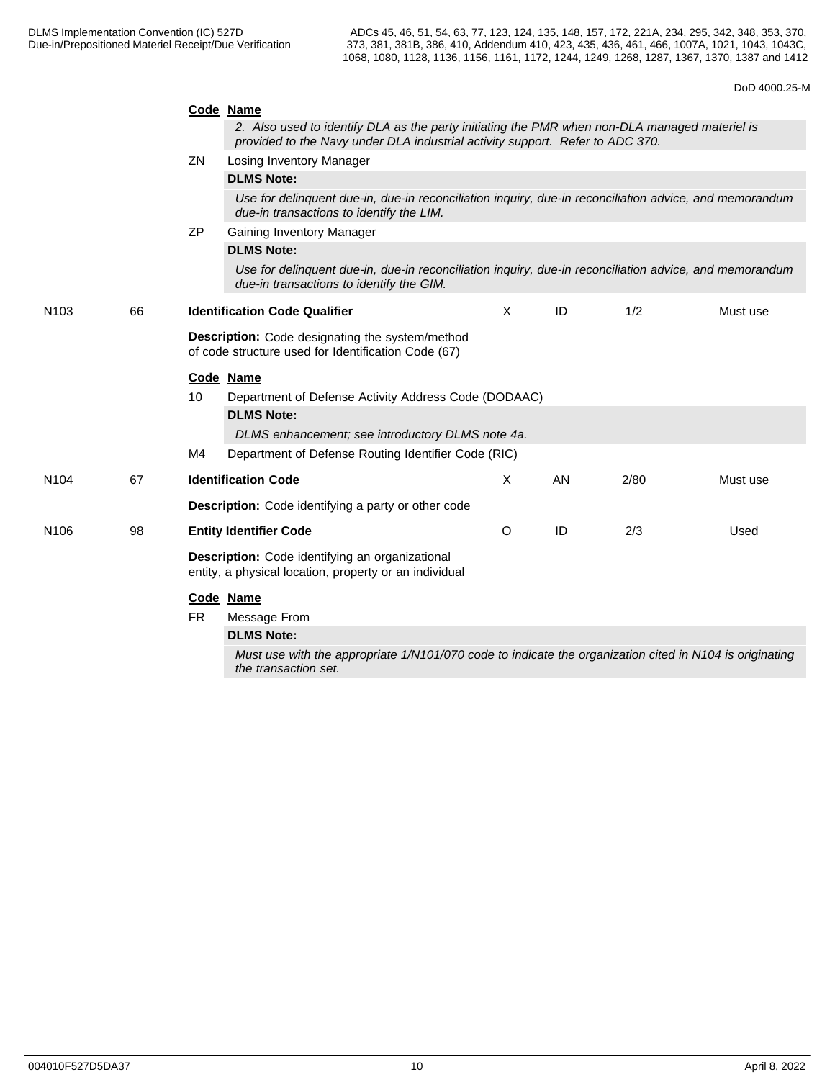DoD 4000.25-M

|                  |    |           | Code Name                                                                                                                                                                      |          |    |      |          |  |  |
|------------------|----|-----------|--------------------------------------------------------------------------------------------------------------------------------------------------------------------------------|----------|----|------|----------|--|--|
|                  |    |           | 2. Also used to identify DLA as the party initiating the PMR when non-DLA managed materiel is<br>provided to the Navy under DLA industrial activity support. Refer to ADC 370. |          |    |      |          |  |  |
|                  |    | ZN        | Losing Inventory Manager                                                                                                                                                       |          |    |      |          |  |  |
|                  |    |           | <b>DLMS Note:</b>                                                                                                                                                              |          |    |      |          |  |  |
|                  |    |           | Use for delinquent due-in, due-in reconciliation inquiry, due-in reconciliation advice, and memorandum<br>due-in transactions to identify the LIM.                             |          |    |      |          |  |  |
|                  |    | <b>ZP</b> | Gaining Inventory Manager                                                                                                                                                      |          |    |      |          |  |  |
|                  |    |           | <b>DLMS Note:</b>                                                                                                                                                              |          |    |      |          |  |  |
|                  |    |           | Use for delinquent due-in, due-in reconciliation inquiry, due-in reconciliation advice, and memorandum<br>due-in transactions to identify the GIM.                             |          |    |      |          |  |  |
| N <sub>103</sub> | 66 |           | <b>Identification Code Qualifier</b>                                                                                                                                           | $\times$ | ID | 1/2  | Must use |  |  |
|                  |    |           | Description: Code designating the system/method<br>of code structure used for Identification Code (67)                                                                         |          |    |      |          |  |  |
|                  |    | Code Name |                                                                                                                                                                                |          |    |      |          |  |  |
|                  |    | 10        | Department of Defense Activity Address Code (DODAAC)                                                                                                                           |          |    |      |          |  |  |
|                  |    |           | <b>DLMS Note:</b>                                                                                                                                                              |          |    |      |          |  |  |
|                  |    |           | DLMS enhancement; see introductory DLMS note 4a.                                                                                                                               |          |    |      |          |  |  |
|                  |    | M4        | Department of Defense Routing Identifier Code (RIC)                                                                                                                            |          |    |      |          |  |  |
| N <sub>104</sub> | 67 |           | <b>Identification Code</b>                                                                                                                                                     | X        | AN | 2/80 | Must use |  |  |
|                  |    |           | <b>Description:</b> Code identifying a party or other code                                                                                                                     |          |    |      |          |  |  |
| N <sub>106</sub> | 98 |           | <b>Entity Identifier Code</b>                                                                                                                                                  | O        | ID | 2/3  | Used     |  |  |
|                  |    |           | Description: Code identifying an organizational<br>entity, a physical location, property or an individual                                                                      |          |    |      |          |  |  |
|                  |    |           | Code Name                                                                                                                                                                      |          |    |      |          |  |  |
|                  |    | <b>FR</b> | Message From                                                                                                                                                                   |          |    |      |          |  |  |
|                  |    |           | <b>DLMS Note:</b>                                                                                                                                                              |          |    |      |          |  |  |
|                  |    |           | Must use with the appropriate 1/N101/070 code to indicate the organization cited in N104 is originating<br>the transaction set.                                                |          |    |      |          |  |  |
|                  |    |           |                                                                                                                                                                                |          |    |      |          |  |  |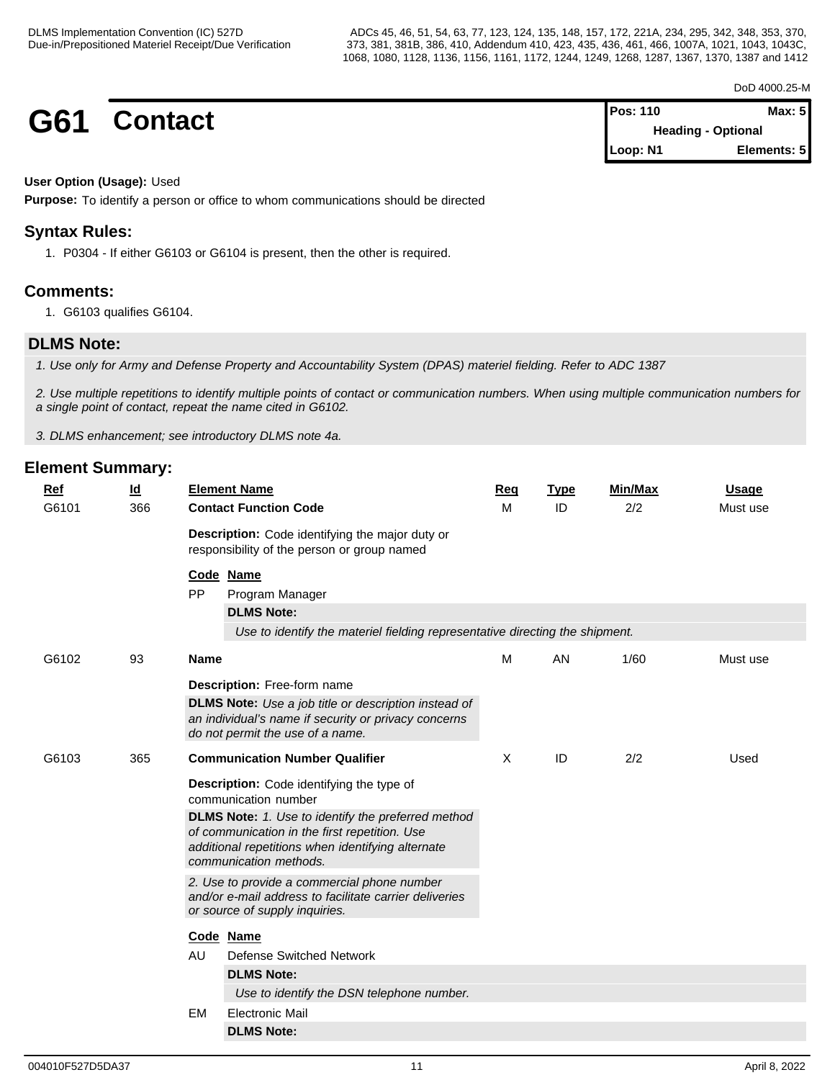DoD 4000.25-M

| G61 | <b>Contact</b> |
|-----|----------------|
|     |                |

| G61<br>Contact | <b>Pos: 110</b> | Max: $5$                  |
|----------------|-----------------|---------------------------|
|                |                 | <b>Heading - Optional</b> |
|                | Loop: N1        | Elements: 5               |

## **User Option (Usage):** Used

**Purpose:** To identify a person or office to whom communications should be directed

# **Syntax Rules:**

1. P0304 - If either G6103 or G6104 is present, then the other is required.

# **Comments:**

1. G6103 qualifies G6104.

# **DLMS Note:**

*1. Use only for Army and Defense Property and Accountability System (DPAS) materiel fielding. Refer to ADC 1387*

*2. Use multiple repetitions to identify multiple points of contact or communication numbers. When using multiple communication numbers for a single point of contact, repeat the name cited in G6102.*

*3. DLMS enhancement; see introductory DLMS note 4a.*

| Description: Code identifying the major duty or<br>responsibility of the person or group named<br>Code Name<br><b>PP</b><br>Program Manager<br><b>DLMS Note:</b><br>Use to identify the materiel fielding representative directing the shipment.<br>M<br>AN<br>1/60<br>Must use<br>G6102<br>93<br><b>Name</b><br><b>Description: Free-form name</b><br><b>DLMS Note:</b> Use a job title or description instead of<br>an individual's name if security or privacy concerns<br>do not permit the use of a name.<br>$\mathsf{X}$<br>ID<br>2/2<br>G6103<br>365<br><b>Communication Number Qualifier</b><br>Used<br>Description: Code identifying the type of<br>communication number<br><b>DLMS Note:</b> 1. Use to identify the preferred method<br>of communication in the first repetition. Use<br>additional repetitions when identifying alternate<br>communication methods.<br>2. Use to provide a commercial phone number<br>and/or e-mail address to facilitate carrier deliveries<br>or source of supply inquiries.<br>Code Name<br><b>Defense Switched Network</b><br>AU<br><b>DLMS Note:</b><br>Use to identify the DSN telephone number.<br><b>EM</b><br><b>Electronic Mail</b> | <b>Ref</b><br>G6101 | <u>ld</u><br>366 | <b>Element Name</b><br><b>Contact Function Code</b> | Req<br>M | <b>Type</b><br>ID | <b>Min/Max</b><br>2/2 | <b>Usage</b><br>Must use |
|------------------------------------------------------------------------------------------------------------------------------------------------------------------------------------------------------------------------------------------------------------------------------------------------------------------------------------------------------------------------------------------------------------------------------------------------------------------------------------------------------------------------------------------------------------------------------------------------------------------------------------------------------------------------------------------------------------------------------------------------------------------------------------------------------------------------------------------------------------------------------------------------------------------------------------------------------------------------------------------------------------------------------------------------------------------------------------------------------------------------------------------------------------------------------------------|---------------------|------------------|-----------------------------------------------------|----------|-------------------|-----------------------|--------------------------|
|                                                                                                                                                                                                                                                                                                                                                                                                                                                                                                                                                                                                                                                                                                                                                                                                                                                                                                                                                                                                                                                                                                                                                                                          |                     |                  |                                                     |          |                   |                       |                          |
|                                                                                                                                                                                                                                                                                                                                                                                                                                                                                                                                                                                                                                                                                                                                                                                                                                                                                                                                                                                                                                                                                                                                                                                          |                     |                  |                                                     |          |                   |                       |                          |
|                                                                                                                                                                                                                                                                                                                                                                                                                                                                                                                                                                                                                                                                                                                                                                                                                                                                                                                                                                                                                                                                                                                                                                                          |                     |                  |                                                     |          |                   |                       |                          |
|                                                                                                                                                                                                                                                                                                                                                                                                                                                                                                                                                                                                                                                                                                                                                                                                                                                                                                                                                                                                                                                                                                                                                                                          |                     |                  |                                                     |          |                   |                       |                          |
|                                                                                                                                                                                                                                                                                                                                                                                                                                                                                                                                                                                                                                                                                                                                                                                                                                                                                                                                                                                                                                                                                                                                                                                          |                     |                  |                                                     |          |                   |                       |                          |
|                                                                                                                                                                                                                                                                                                                                                                                                                                                                                                                                                                                                                                                                                                                                                                                                                                                                                                                                                                                                                                                                                                                                                                                          |                     |                  | <b>DLMS Note:</b>                                   |          |                   |                       |                          |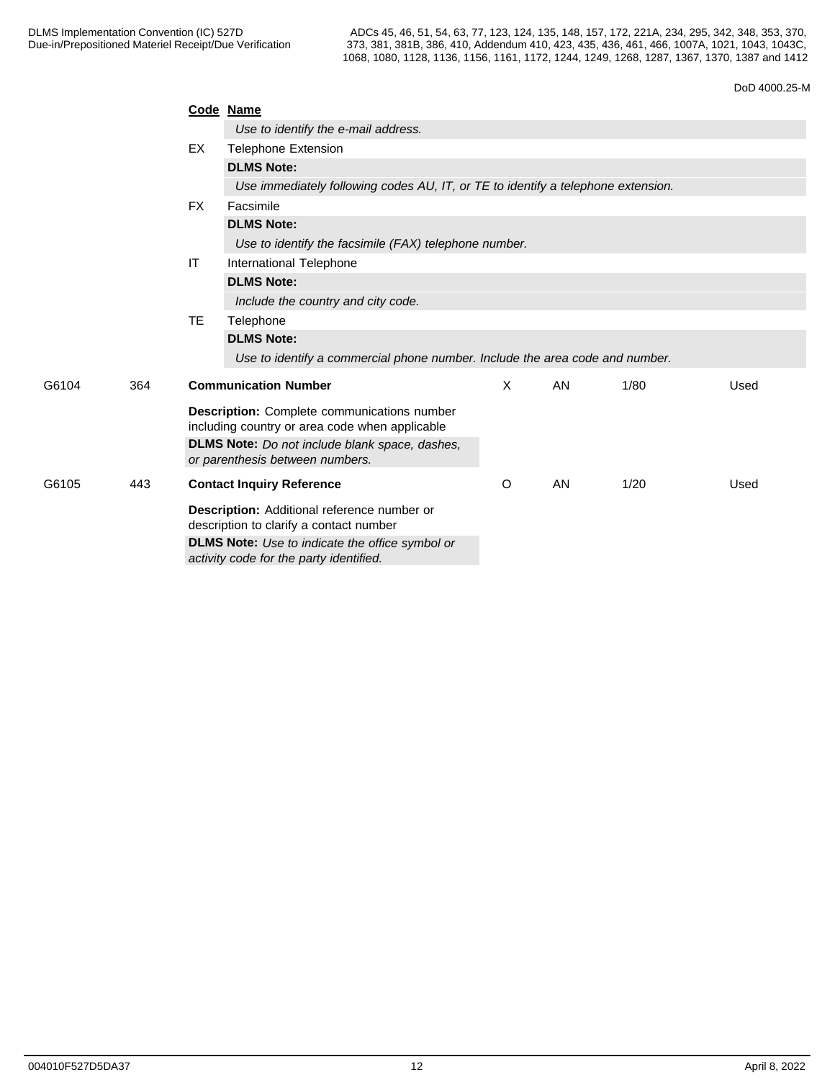DoD 4000.25-M

|       |     |           | Code Name                                                                                     |   |           |      |      |
|-------|-----|-----------|-----------------------------------------------------------------------------------------------|---|-----------|------|------|
|       |     |           | Use to identify the e-mail address.                                                           |   |           |      |      |
|       |     | EX        | <b>Telephone Extension</b>                                                                    |   |           |      |      |
|       |     |           | <b>DLMS Note:</b>                                                                             |   |           |      |      |
|       |     |           | Use immediately following codes AU, IT, or TE to identify a telephone extension.              |   |           |      |      |
|       |     | <b>FX</b> | Facsimile                                                                                     |   |           |      |      |
|       |     |           | <b>DLMS Note:</b>                                                                             |   |           |      |      |
|       |     |           | Use to identify the facsimile (FAX) telephone number.                                         |   |           |      |      |
|       |     | IT        | International Telephone                                                                       |   |           |      |      |
|       |     |           | <b>DLMS Note:</b>                                                                             |   |           |      |      |
|       |     |           | Include the country and city code.                                                            |   |           |      |      |
|       |     | <b>TE</b> | Telephone                                                                                     |   |           |      |      |
|       |     |           | <b>DLMS Note:</b>                                                                             |   |           |      |      |
|       |     |           | Use to identify a commercial phone number. Include the area code and number.                  |   |           |      |      |
| G6104 | 364 |           | <b>Communication Number</b>                                                                   | X | <b>AN</b> | 1/80 | Used |
|       |     |           | Description: Complete communications number<br>including country or area code when applicable |   |           |      |      |
|       |     |           | <b>DLMS Note:</b> Do not include blank space, dashes,<br>or parenthesis between numbers.      |   |           |      |      |
| G6105 | 443 |           | <b>Contact Inquiry Reference</b>                                                              | O | AN        | 1/20 | Used |
|       |     |           | <b>Description:</b> Additional reference number or<br>description to clarify a contact number |   |           |      |      |
|       |     |           | DLMS Note: Use to indicate the office symbol or<br>activity code for the party identified.    |   |           |      |      |
|       |     |           |                                                                                               |   |           |      |      |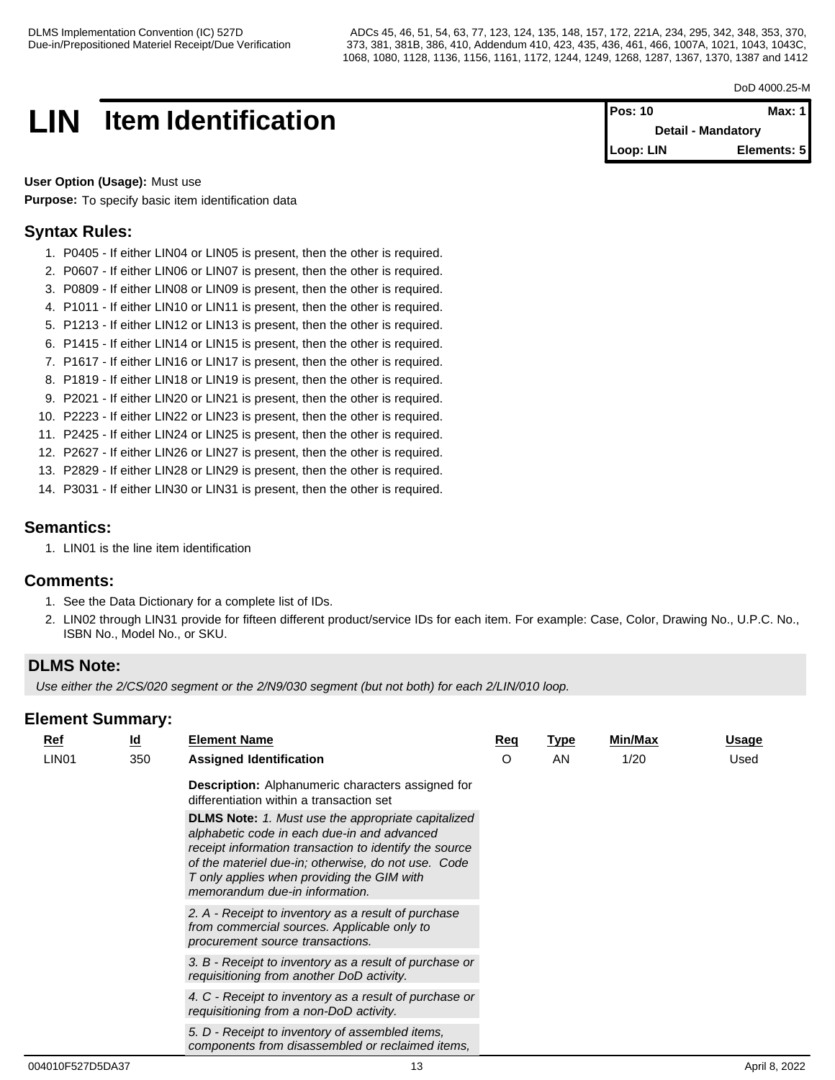DoD 4000.25-M

# **LIN Item Identification Pos: 10 Pos: 10 Max:**

**Detail - Mandatory Loop: LIN Elements: 5**

**User Option (Usage):** Must use **Purpose:** To specify basic item identification data

# **Syntax Rules:**

- 1. P0405 If either LIN04 or LIN05 is present, then the other is required.
- 2. P0607 If either LIN06 or LIN07 is present, then the other is required.
- 3. P0809 If either LIN08 or LIN09 is present, then the other is required.
- 4. P1011 If either LIN10 or LIN11 is present, then the other is required.
- 5. P1213 If either LIN12 or LIN13 is present, then the other is required.
- 6. P1415 If either LIN14 or LIN15 is present, then the other is required.
- 7. P1617 If either LIN16 or LIN17 is present, then the other is required.
- 8. P1819 If either LIN18 or LIN19 is present, then the other is required.
- 9. P2021 If either LIN20 or LIN21 is present, then the other is required.
- 10. P2223 If either LIN22 or LIN23 is present, then the other is required.
- 11. P2425 If either LIN24 or LIN25 is present, then the other is required.
- 12. P2627 If either LIN26 or LIN27 is present, then the other is required.
- 13. P2829 If either LIN28 or LIN29 is present, then the other is required.
- 14. P3031 If either LIN30 or LIN31 is present, then the other is required.

# **Semantics:**

1. LIN01 is the line item identification

# **Comments:**

- 1. See the Data Dictionary for a complete list of IDs.
- 2. LIN02 through LIN31 provide for fifteen different product/service IDs for each item. For example: Case, Color, Drawing No., U.P.C. No., ISBN No., Model No., or SKU.

# **DLMS Note:**

*Use either the 2/CS/020 segment or the 2/N9/030 segment (but not both) for each 2/LIN/010 loop.*

| <u>Ref</u>        | <u>ld</u> | <b>Element Name</b>                                                                                                                                                                                                                                                                                       | Req | <u>Type</u> | Min/Max | Usage |
|-------------------|-----------|-----------------------------------------------------------------------------------------------------------------------------------------------------------------------------------------------------------------------------------------------------------------------------------------------------------|-----|-------------|---------|-------|
| LIN <sub>01</sub> | 350       | <b>Assigned Identification</b>                                                                                                                                                                                                                                                                            | O   | AN          | 1/20    | Used  |
|                   |           | <b>Description:</b> Alphanumeric characters assigned for<br>differentiation within a transaction set                                                                                                                                                                                                      |     |             |         |       |
|                   |           | <b>DLMS Note:</b> 1. Must use the appropriate capitalized<br>alphabetic code in each due-in and advanced<br>receipt information transaction to identify the source<br>of the materiel due-in; otherwise, do not use. Code<br>T only applies when providing the GIM with<br>memorandum due-in information. |     |             |         |       |
|                   |           | 2. A - Receipt to inventory as a result of purchase<br>from commercial sources. Applicable only to<br>procurement source transactions.                                                                                                                                                                    |     |             |         |       |
|                   |           | 3. B - Receipt to inventory as a result of purchase or<br>requisitioning from another DoD activity.                                                                                                                                                                                                       |     |             |         |       |
|                   |           | 4. C - Receipt to inventory as a result of purchase or<br>requisitioning from a non-DoD activity.                                                                                                                                                                                                         |     |             |         |       |
|                   |           | 5. D - Receipt to inventory of assembled items,<br>components from disassembled or reclaimed items,                                                                                                                                                                                                       |     |             |         |       |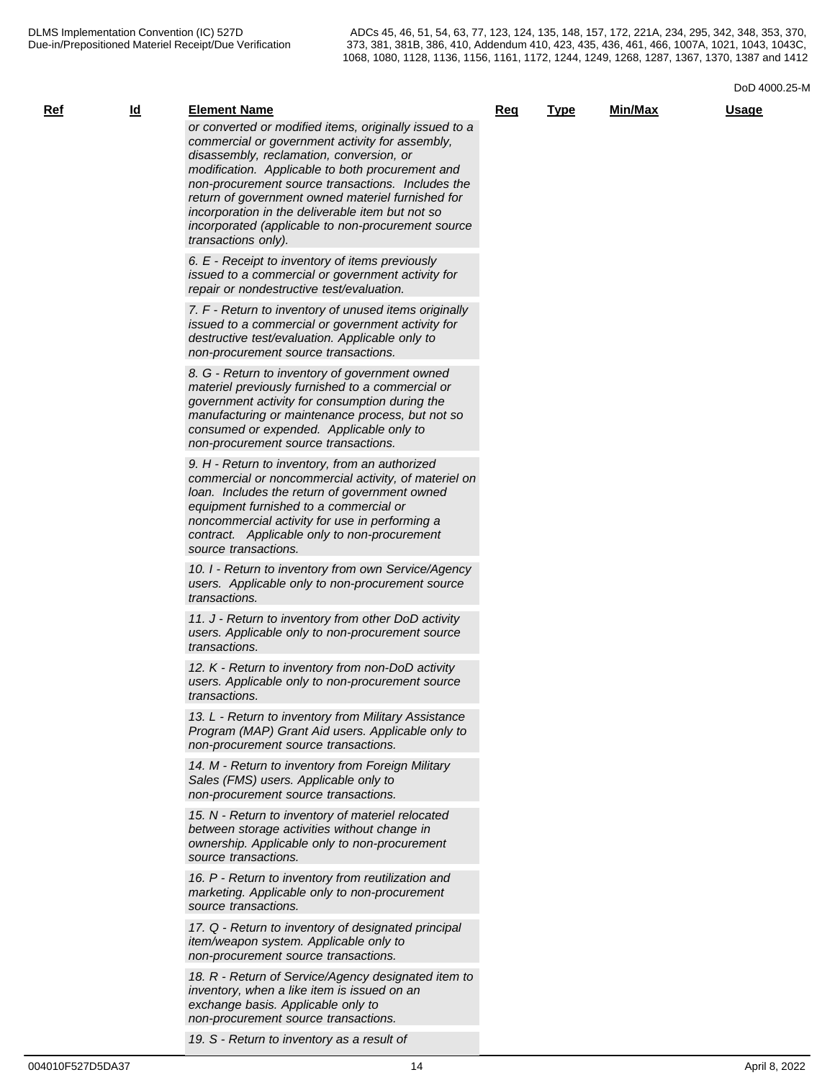|            |           |                                                                                                                                                                                                                                                                                                                                                                                                                                                                             |            |             |         | DoD 4000.25-M |
|------------|-----------|-----------------------------------------------------------------------------------------------------------------------------------------------------------------------------------------------------------------------------------------------------------------------------------------------------------------------------------------------------------------------------------------------------------------------------------------------------------------------------|------------|-------------|---------|---------------|
| <u>Ref</u> | <u>ld</u> | <b>Element Name</b><br>or converted or modified items, originally issued to a<br>commercial or government activity for assembly,<br>disassembly, reclamation, conversion, or<br>modification. Applicable to both procurement and<br>non-procurement source transactions. Includes the<br>return of government owned materiel furnished for<br>incorporation in the deliverable item but not so<br>incorporated (applicable to non-procurement source<br>transactions only). | <u>Req</u> | <b>Type</b> | Min/Max | Usage         |
|            |           | 6. E - Receipt to inventory of items previously<br>issued to a commercial or government activity for<br>repair or nondestructive test/evaluation.                                                                                                                                                                                                                                                                                                                           |            |             |         |               |
|            |           | 7. F - Return to inventory of unused items originally<br>issued to a commercial or government activity for<br>destructive test/evaluation. Applicable only to<br>non-procurement source transactions.                                                                                                                                                                                                                                                                       |            |             |         |               |
|            |           | 8. G - Return to inventory of government owned<br>materiel previously furnished to a commercial or<br>government activity for consumption during the<br>manufacturing or maintenance process, but not so<br>consumed or expended. Applicable only to<br>non-procurement source transactions.                                                                                                                                                                                |            |             |         |               |
|            |           | 9. H - Return to inventory, from an authorized<br>commercial or noncommercial activity, of materiel on<br>loan. Includes the return of government owned<br>equipment furnished to a commercial or<br>noncommercial activity for use in performing a<br>contract. Applicable only to non-procurement<br>source transactions.                                                                                                                                                 |            |             |         |               |
|            |           | 10. I - Return to inventory from own Service/Agency<br>users. Applicable only to non-procurement source<br>transactions.                                                                                                                                                                                                                                                                                                                                                    |            |             |         |               |
|            |           | 11. J - Return to inventory from other DoD activity<br>users. Applicable only to non-procurement source<br>transactions.                                                                                                                                                                                                                                                                                                                                                    |            |             |         |               |
|            |           | 12. K - Return to inventory from non-DoD activity<br>users. Applicable only to non-procurement source<br><i>transactions.</i>                                                                                                                                                                                                                                                                                                                                               |            |             |         |               |
|            |           | 13. L - Return to inventory from Military Assistance<br>Program (MAP) Grant Aid users. Applicable only to<br>non-procurement source transactions.                                                                                                                                                                                                                                                                                                                           |            |             |         |               |
|            |           | 14. M - Return to inventory from Foreign Military<br>Sales (FMS) users. Applicable only to<br>non-procurement source transactions.                                                                                                                                                                                                                                                                                                                                          |            |             |         |               |
|            |           | 15. N - Return to inventory of materiel relocated<br>between storage activities without change in<br>ownership. Applicable only to non-procurement<br>source transactions.                                                                                                                                                                                                                                                                                                  |            |             |         |               |
|            |           | 16. P - Return to inventory from reutilization and<br>marketing. Applicable only to non-procurement<br>source transactions.                                                                                                                                                                                                                                                                                                                                                 |            |             |         |               |
|            |           | 17. Q - Return to inventory of designated principal<br>item/weapon system. Applicable only to<br>non-procurement source transactions.                                                                                                                                                                                                                                                                                                                                       |            |             |         |               |
|            |           | 18. R - Return of Service/Agency designated item to<br>inventory, when a like item is issued on an<br>exchange basis. Applicable only to<br>non-procurement source transactions.                                                                                                                                                                                                                                                                                            |            |             |         |               |

*19. S - Return to inventory as a result of*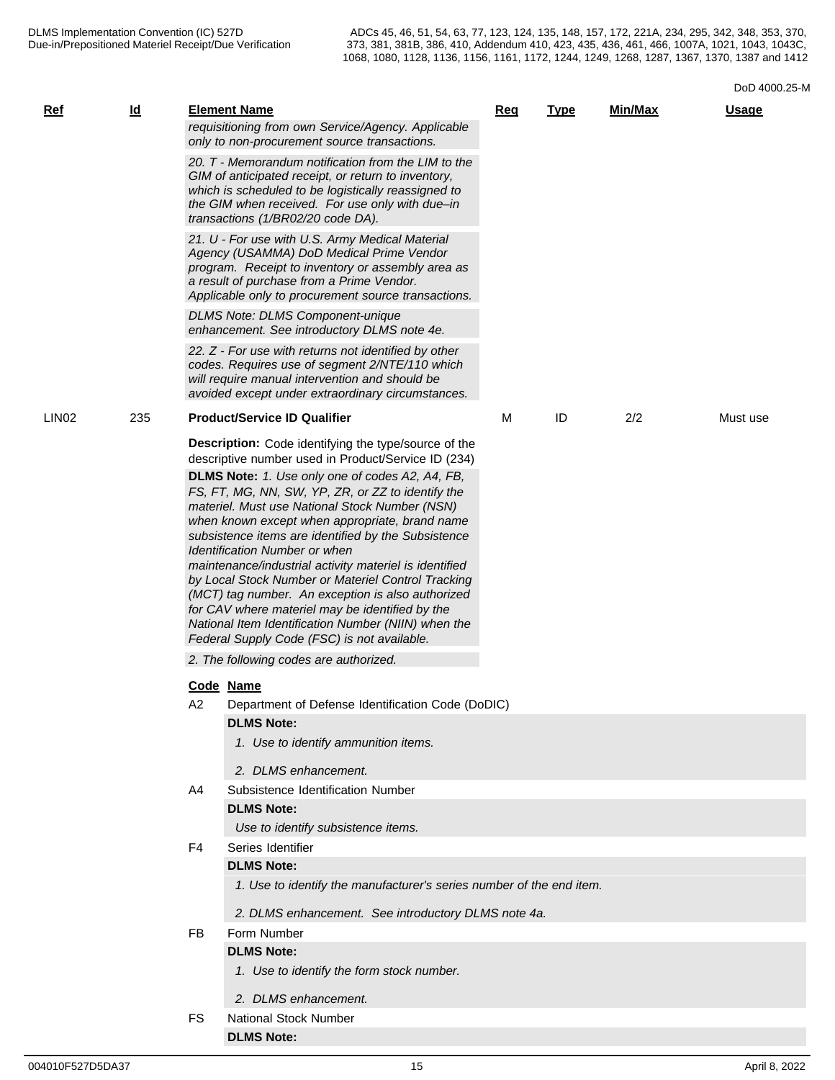|                   |           |                |                                                                                                                                                                                                                                                                                                                                                                                                                                                                                                                                                                                                                                                                                                                                                                                                                                                                         |     |             |                | DoD 4000.25-M |
|-------------------|-----------|----------------|-------------------------------------------------------------------------------------------------------------------------------------------------------------------------------------------------------------------------------------------------------------------------------------------------------------------------------------------------------------------------------------------------------------------------------------------------------------------------------------------------------------------------------------------------------------------------------------------------------------------------------------------------------------------------------------------------------------------------------------------------------------------------------------------------------------------------------------------------------------------------|-----|-------------|----------------|---------------|
|                   |           |                |                                                                                                                                                                                                                                                                                                                                                                                                                                                                                                                                                                                                                                                                                                                                                                                                                                                                         |     |             |                |               |
| Ref               | <u>ld</u> |                | <b>Element Name</b><br>requisitioning from own Service/Agency. Applicable<br>only to non-procurement source transactions.                                                                                                                                                                                                                                                                                                                                                                                                                                                                                                                                                                                                                                                                                                                                               | Req | <b>Type</b> | <b>Min/Max</b> | <b>Usage</b>  |
|                   |           |                | 20. T - Memorandum notification from the LIM to the<br>GIM of anticipated receipt, or return to inventory,<br>which is scheduled to be logistically reassigned to<br>the GIM when received. For use only with due-in<br>transactions (1/BR02/20 code DA).                                                                                                                                                                                                                                                                                                                                                                                                                                                                                                                                                                                                               |     |             |                |               |
|                   |           |                | 21. U - For use with U.S. Army Medical Material<br>Agency (USAMMA) DoD Medical Prime Vendor<br>program. Receipt to inventory or assembly area as<br>a result of purchase from a Prime Vendor.<br>Applicable only to procurement source transactions.                                                                                                                                                                                                                                                                                                                                                                                                                                                                                                                                                                                                                    |     |             |                |               |
|                   |           |                | <b>DLMS Note: DLMS Component-unique</b><br>enhancement. See introductory DLMS note 4e.                                                                                                                                                                                                                                                                                                                                                                                                                                                                                                                                                                                                                                                                                                                                                                                  |     |             |                |               |
|                   |           |                | 22. Z - For use with returns not identified by other<br>codes. Requires use of segment 2/NTE/110 which<br>will require manual intervention and should be<br>avoided except under extraordinary circumstances.                                                                                                                                                                                                                                                                                                                                                                                                                                                                                                                                                                                                                                                           |     |             |                |               |
| LIN <sub>02</sub> | 235       |                | <b>Product/Service ID Qualifier</b>                                                                                                                                                                                                                                                                                                                                                                                                                                                                                                                                                                                                                                                                                                                                                                                                                                     | M   | ID          | 2/2            | Must use      |
|                   |           | A2             | Description: Code identifying the type/source of the<br>descriptive number used in Product/Service ID (234)<br><b>DLMS Note:</b> 1. Use only one of codes A2, A4, FB,<br>FS, FT, MG, NN, SW, YP, ZR, or ZZ to identify the<br>materiel. Must use National Stock Number (NSN)<br>when known except when appropriate, brand name<br>subsistence items are identified by the Subsistence<br><b>Identification Number or when</b><br>maintenance/industrial activity materiel is identified<br>by Local Stock Number or Materiel Control Tracking<br>(MCT) tag number. An exception is also authorized<br>for CAV where materiel may be identified by the<br>National Item Identification Number (NIIN) when the<br>Federal Supply Code (FSC) is not available.<br>2. The following codes are authorized.<br>Code Name<br>Department of Defense Identification Code (DoDIC) |     |             |                |               |
|                   |           | A4             | <b>DLMS Note:</b><br>1. Use to identify ammunition items.<br>2. DLMS enhancement.<br>Subsistence Identification Number<br><b>DLMS Note:</b>                                                                                                                                                                                                                                                                                                                                                                                                                                                                                                                                                                                                                                                                                                                             |     |             |                |               |
|                   |           |                | Use to identify subsistence items.                                                                                                                                                                                                                                                                                                                                                                                                                                                                                                                                                                                                                                                                                                                                                                                                                                      |     |             |                |               |
|                   |           | F <sub>4</sub> | Series Identifier                                                                                                                                                                                                                                                                                                                                                                                                                                                                                                                                                                                                                                                                                                                                                                                                                                                       |     |             |                |               |
|                   |           |                | <b>DLMS Note:</b><br>1. Use to identify the manufacturer's series number of the end item.<br>2. DLMS enhancement. See introductory DLMS note 4a.                                                                                                                                                                                                                                                                                                                                                                                                                                                                                                                                                                                                                                                                                                                        |     |             |                |               |
|                   |           | <b>FB</b>      | Form Number                                                                                                                                                                                                                                                                                                                                                                                                                                                                                                                                                                                                                                                                                                                                                                                                                                                             |     |             |                |               |
|                   |           |                | <b>DLMS Note:</b><br>1. Use to identify the form stock number.                                                                                                                                                                                                                                                                                                                                                                                                                                                                                                                                                                                                                                                                                                                                                                                                          |     |             |                |               |
|                   |           |                | 2. DLMS enhancement.                                                                                                                                                                                                                                                                                                                                                                                                                                                                                                                                                                                                                                                                                                                                                                                                                                                    |     |             |                |               |
|                   |           | FS             | National Stock Number                                                                                                                                                                                                                                                                                                                                                                                                                                                                                                                                                                                                                                                                                                                                                                                                                                                   |     |             |                |               |

**DLMS Note:**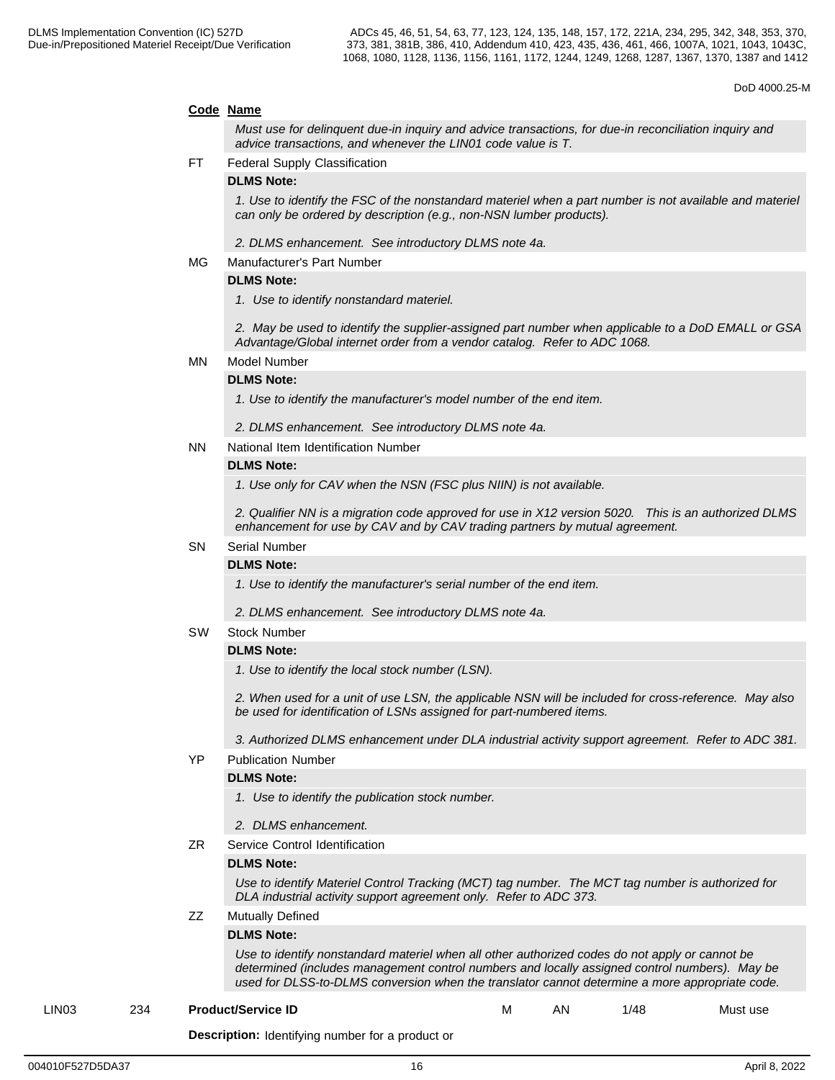DoD 4000.25-M

### **Code Name**

*Must use for delinquent due-in inquiry and advice transactions, for due-in reconciliation inquiry and advice transactions, and whenever the LIN01 code value is T.*

#### FT Federal Supply Classification

#### **DLMS Note:**

*1. Use to identify the FSC of the nonstandard materiel when a part number is not available and materiel can only be ordered by description (e.g., non-NSN lumber products).*

*2. DLMS enhancement. See introductory DLMS note 4a.*

#### MG Manufacturer's Part Number

#### **DLMS Note:**

*1. Use to identify nonstandard materiel.*

*2. May be used to identify the supplier-assigned part number when applicable to a DoD EMALL or GSA Advantage/Global internet order from a vendor catalog. Refer to ADC 1068.*

#### MN Model Number

#### **DLMS Note:**

*1. Use to identify the manufacturer's model number of the end item.*

*2. DLMS enhancement. See introductory DLMS note 4a.*

#### NN National Item Identification Number

#### **DLMS Note:**

*1. Use only for CAV when the NSN (FSC plus NIIN) is not available.* 

*2. Qualifier NN is a migration code approved for use in X12 version 5020. This is an authorized DLMS enhancement for use by CAV and by CAV trading partners by mutual agreement.*

### SN Serial Number

#### **DLMS Note:**

*1. Use to identify the manufacturer's serial number of the end item.*

*2. DLMS enhancement. See introductory DLMS note 4a.*

### SW Stock Number

### **DLMS Note:**

*1. Use to identify the local stock number (LSN).* 

*2. When used for a unit of use LSN, the applicable NSN will be included for cross-reference. May also be used for identification of LSNs assigned for part-numbered items.*

*3. Authorized DLMS enhancement under DLA industrial activity support agreement. Refer to ADC 381.*

#### YP Publication Number

#### **DLMS Note:**

*1. Use to identify the publication stock number.*

- *2. DLMS enhancement.*
- ZR Service Control Identification

#### **DLMS Note:**

*Use to identify Materiel Control Tracking (MCT) tag number. The MCT tag number is authorized for DLA industrial activity support agreement only. Refer to ADC 373.*

#### ZZ Mutually Defined

#### **DLMS Note:**

*Use to identify nonstandard materiel when all other authorized codes do not apply or cannot be determined (includes management control numbers and locally assigned control numbers). May be used for DLSS-to-DLMS conversion when the translator cannot determine a more appropriate code.*

### LIN03 234 **Product/Service ID**

**Description:** Identifying number for a product or

M AN 1/48 Must use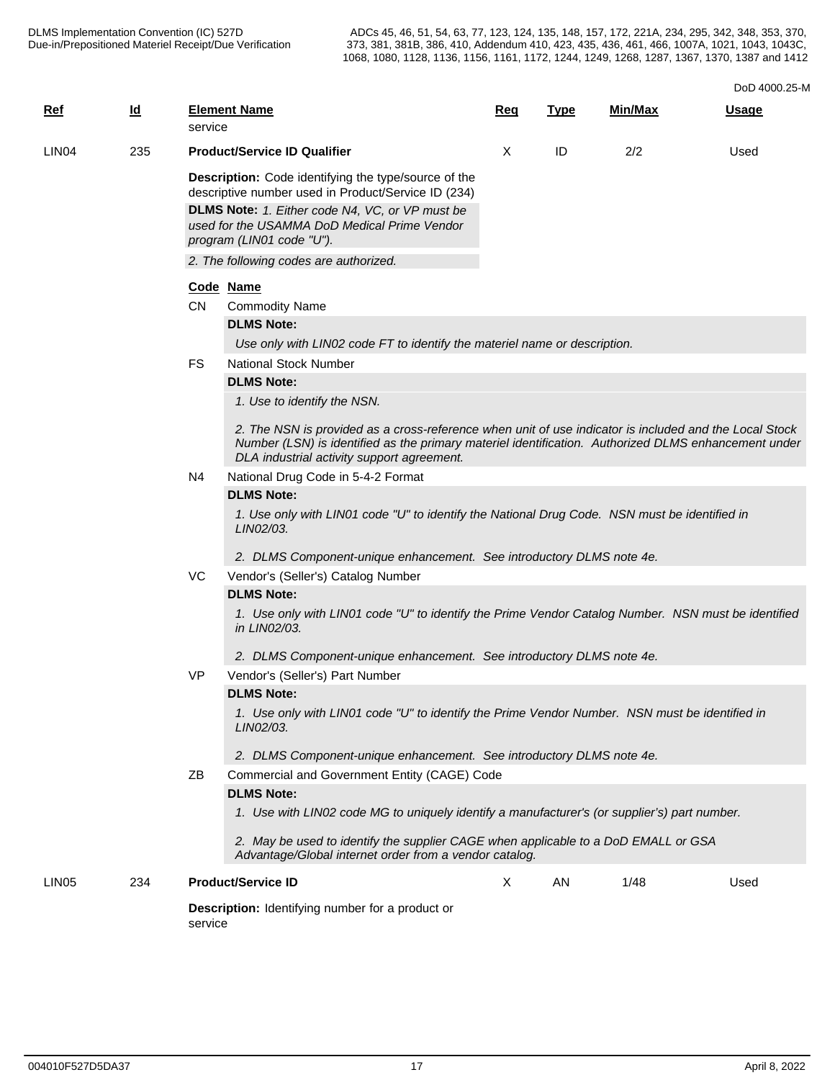| <u>Ref</u>        | $\underline{\mathsf{Id}}$ | service         | <b>Element Name</b>                                                                                                                                                                                                                                                                                               | Req | <b>Type</b> | <b>Min/Max</b> | DoD 4000.25-M<br><u>Usage</u> |  |  |  |  |  |
|-------------------|---------------------------|-----------------|-------------------------------------------------------------------------------------------------------------------------------------------------------------------------------------------------------------------------------------------------------------------------------------------------------------------|-----|-------------|----------------|-------------------------------|--|--|--|--|--|
| LIN <sub>04</sub> | 235                       |                 | <b>Product/Service ID Qualifier</b>                                                                                                                                                                                                                                                                               | X   | ID          | 2/2            | Used                          |  |  |  |  |  |
|                   |                           |                 | Description: Code identifying the type/source of the<br>descriptive number used in Product/Service ID (234)<br>DLMS Note: 1. Either code N4, VC, or VP must be<br>used for the USAMMA DoD Medical Prime Vendor<br>program (LIN01 code "U").<br>2. The following codes are authorized.                             |     |             |                |                               |  |  |  |  |  |
|                   |                           |                 | Code Name                                                                                                                                                                                                                                                                                                         |     |             |                |                               |  |  |  |  |  |
|                   |                           | <b>CN</b><br>FS | <b>Commodity Name</b><br><b>DLMS Note:</b><br>Use only with LIN02 code FT to identify the materiel name or description.<br><b>National Stock Number</b>                                                                                                                                                           |     |             |                |                               |  |  |  |  |  |
|                   |                           |                 | <b>DLMS Note:</b><br>1. Use to identify the NSN.<br>2. The NSN is provided as a cross-reference when unit of use indicator is included and the Local Stock<br>Number (LSN) is identified as the primary materiel identification. Authorized DLMS enhancement under<br>DLA industrial activity support agreement.  |     |             |                |                               |  |  |  |  |  |
|                   |                           | N4              | National Drug Code in 5-4-2 Format<br><b>DLMS Note:</b><br>1. Use only with LIN01 code "U" to identify the National Drug Code. NSN must be identified in<br>LIN02/03.<br>2. DLMS Component-unique enhancement. See introductory DLMS note 4e.                                                                     |     |             |                |                               |  |  |  |  |  |
|                   |                           | VC              | Vendor's (Seller's) Catalog Number<br><b>DLMS Note:</b><br>1. Use only with LIN01 code "U" to identify the Prime Vendor Catalog Number. NSN must be identified<br>in LIN02/03.<br>2. DLMS Component-unique enhancement. See introductory DLMS note 4e.                                                            |     |             |                |                               |  |  |  |  |  |
|                   |                           | VP              | Vendor's (Seller's) Part Number<br><b>DLMS Note:</b><br>1. Use only with LIN01 code "U" to identify the Prime Vendor Number. NSN must be identified in<br>LIN02/03.<br>2. DLMS Component-unique enhancement. See introductory DLMS note 4e.                                                                       |     |             |                |                               |  |  |  |  |  |
|                   |                           | ΖB              | Commercial and Government Entity (CAGE) Code<br><b>DLMS Note:</b><br>1. Use with LIN02 code MG to uniquely identify a manufacturer's (or supplier's) part number.<br>2. May be used to identify the supplier CAGE when applicable to a DoD EMALL or GSA<br>Advantage/Global internet order from a vendor catalog. |     |             |                |                               |  |  |  |  |  |
| LIN <sub>05</sub> | 234                       |                 | <b>Product/Service ID</b>                                                                                                                                                                                                                                                                                         | X   | AN          | 1/48           | Used                          |  |  |  |  |  |
|                   |                           | service         | <b>Description:</b> Identifying number for a product or                                                                                                                                                                                                                                                           |     |             |                |                               |  |  |  |  |  |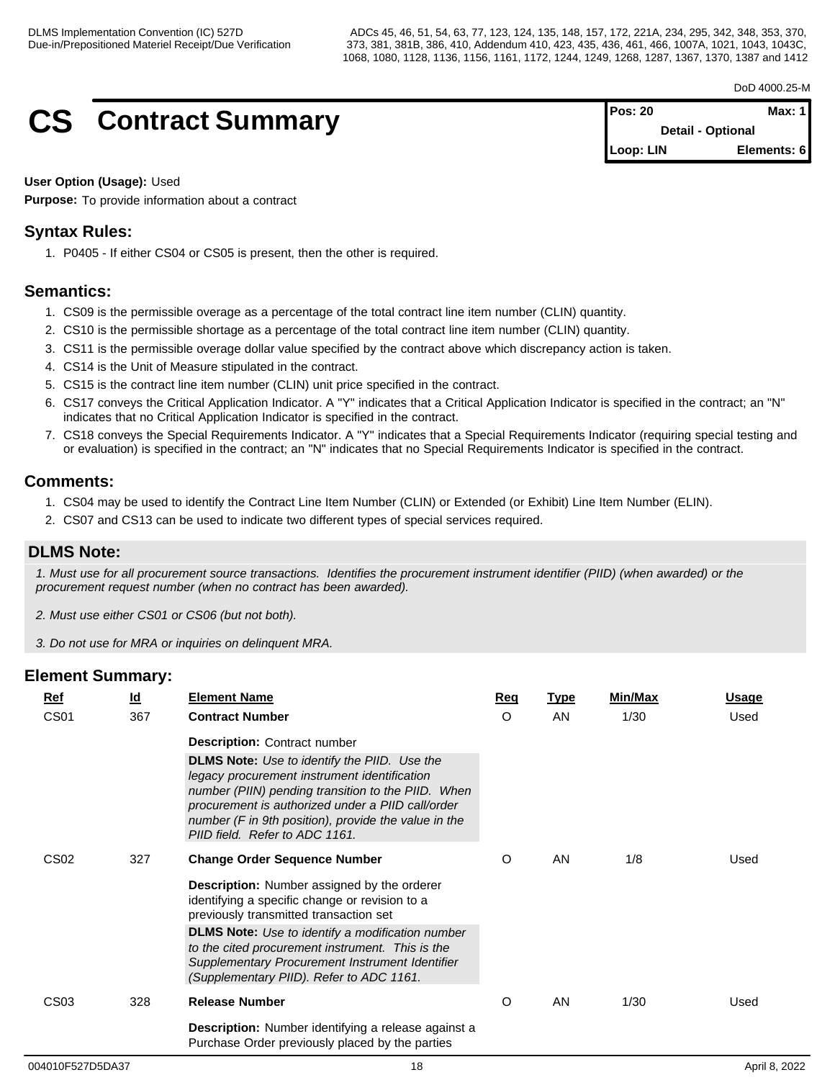DoD 4000.25-M

# **CS** Contract Summary **Pos: 20 Pos: 20 Max: 1 Pos: 20 Max: 1**

**Detail - Optional Loop: LIN Elements: 6**

## **User Option (Usage):** Used

**Purpose:** To provide information about a contract

# **Syntax Rules:**

1. P0405 - If either CS04 or CS05 is present, then the other is required.

# **Semantics:**

- 1. CS09 is the permissible overage as a percentage of the total contract line item number (CLIN) quantity.
- 2. CS10 is the permissible shortage as a percentage of the total contract line item number (CLIN) quantity.
- 3. CS11 is the permissible overage dollar value specified by the contract above which discrepancy action is taken.
- 4. CS14 is the Unit of Measure stipulated in the contract.
- 5. CS15 is the contract line item number (CLIN) unit price specified in the contract.
- 6. CS17 conveys the Critical Application Indicator. A "Y" indicates that a Critical Application Indicator is specified in the contract; an "N" indicates that no Critical Application Indicator is specified in the contract.
- 7. CS18 conveys the Special Requirements Indicator. A "Y" indicates that a Special Requirements Indicator (requiring special testing and or evaluation) is specified in the contract; an "N" indicates that no Special Requirements Indicator is specified in the contract.

# **Comments:**

- 1. CS04 may be used to identify the Contract Line Item Number (CLIN) or Extended (or Exhibit) Line Item Number (ELIN).
- 2. CS07 and CS13 can be used to indicate two different types of special services required.

# **DLMS Note:**

*1. Must use for all procurement source transactions. Identifies the procurement instrument identifier (PIID) (when awarded) or the procurement request number (when no contract has been awarded).*

*2. Must use either CS01 or CS06 (but not both).*

*3. Do not use for MRA or inquiries on delinquent MRA.*

| <b>Ref</b>       | <u>ld</u> | <b>Element Name</b>                                                                                                                                                                                                                                                                                      | Req     | <b>Type</b> | <b>Min/Max</b> | <u>Usage</u> |
|------------------|-----------|----------------------------------------------------------------------------------------------------------------------------------------------------------------------------------------------------------------------------------------------------------------------------------------------------------|---------|-------------|----------------|--------------|
| CS <sub>01</sub> | 367       | <b>Contract Number</b>                                                                                                                                                                                                                                                                                   | $\circ$ | AN          | 1/30           | Used         |
|                  |           | <b>Description:</b> Contract number                                                                                                                                                                                                                                                                      |         |             |                |              |
|                  |           | <b>DLMS Note:</b> Use to identify the PIID. Use the<br>legacy procurement instrument identification<br>number (PIIN) pending transition to the PIID. When<br>procurement is authorized under a PIID call/order<br>number (F in 9th position), provide the value in the<br>PIID field. Refer to ADC 1161. |         |             |                |              |
| CS <sub>02</sub> | 327       | <b>Change Order Sequence Number</b>                                                                                                                                                                                                                                                                      | O       | AN          | 1/8            | Used         |
|                  |           | Description: Number assigned by the orderer<br>identifying a specific change or revision to a<br>previously transmitted transaction set                                                                                                                                                                  |         |             |                |              |
|                  |           | <b>DLMS Note:</b> Use to identify a modification number<br>to the cited procurement instrument. This is the<br>Supplementary Procurement Instrument Identifier<br>(Supplementary PIID). Refer to ADC 1161.                                                                                               |         |             |                |              |
| CS <sub>03</sub> | 328       | <b>Release Number</b>                                                                                                                                                                                                                                                                                    | O       | AN          | 1/30           | Used         |
|                  |           | <b>Description:</b> Number identifying a release against a<br>Purchase Order previously placed by the parties                                                                                                                                                                                            |         |             |                |              |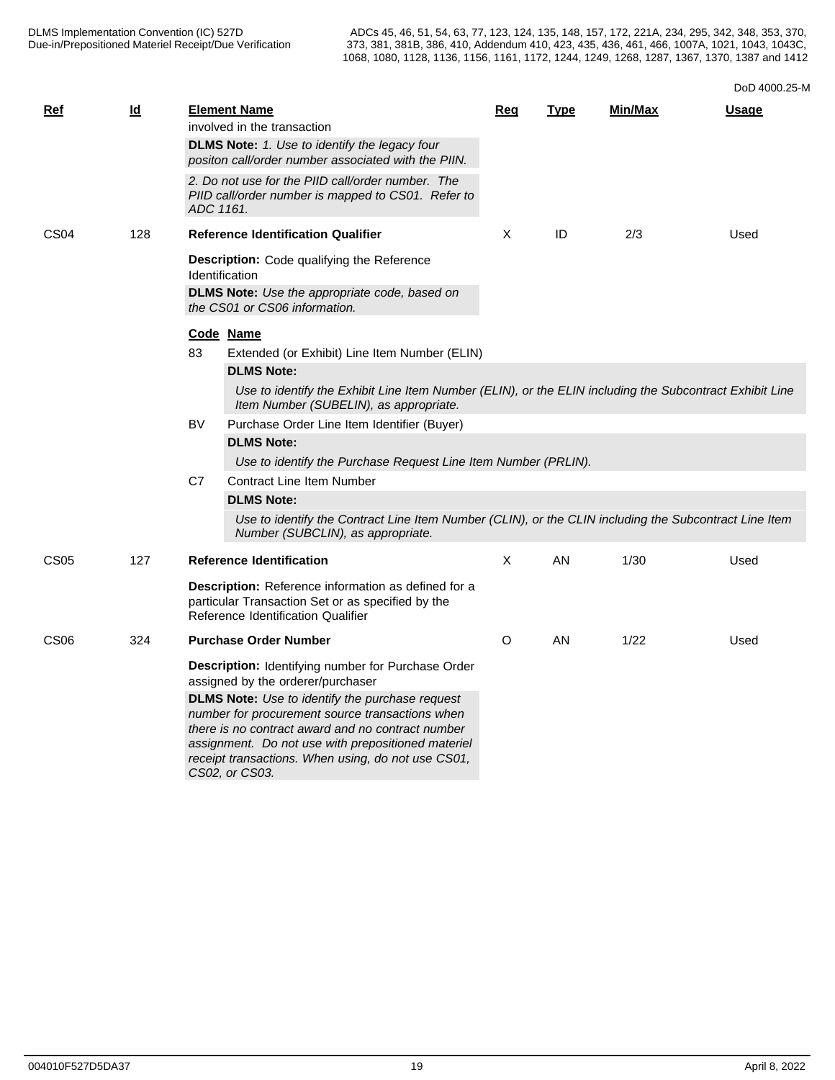|                  |                           |                                                                                                                                                |                                                                                                                                                                                                                                                                                                                                                                                                                                                                                                                                              |          |             |         | DoD 4000.25-M |
|------------------|---------------------------|------------------------------------------------------------------------------------------------------------------------------------------------|----------------------------------------------------------------------------------------------------------------------------------------------------------------------------------------------------------------------------------------------------------------------------------------------------------------------------------------------------------------------------------------------------------------------------------------------------------------------------------------------------------------------------------------------|----------|-------------|---------|---------------|
| <b>Ref</b>       | $\underline{\mathsf{Id}}$ | ADC 1161.                                                                                                                                      | <b>Element Name</b><br>involved in the transaction<br><b>DLMS Note:</b> 1. Use to identify the legacy four<br>positon call/order number associated with the PIIN.<br>2. Do not use for the PIID call/order number. The<br>PIID call/order number is mapped to CS01. Refer to                                                                                                                                                                                                                                                                 | Req      | <b>Type</b> | Min/Max | Usage         |
| CS <sub>04</sub> | 128                       |                                                                                                                                                | <b>Reference Identification Qualifier</b>                                                                                                                                                                                                                                                                                                                                                                                                                                                                                                    | X        | ID          | 2/3     | Used          |
|                  |                           | Description: Code qualifying the Reference<br>Identification<br>DLMS Note: Use the appropriate code, based on<br>the CS01 or CS06 information. |                                                                                                                                                                                                                                                                                                                                                                                                                                                                                                                                              |          |             |         |               |
|                  |                           | 83<br>BV<br>C7                                                                                                                                 | Code Name<br>Extended (or Exhibit) Line Item Number (ELIN)<br><b>DLMS Note:</b><br>Use to identify the Exhibit Line Item Number (ELIN), or the ELIN including the Subcontract Exhibit Line<br>Item Number (SUBELIN), as appropriate.<br>Purchase Order Line Item Identifier (Buyer)<br><b>DLMS Note:</b><br>Use to identify the Purchase Request Line Item Number (PRLIN).<br><b>Contract Line Item Number</b><br><b>DLMS Note:</b><br>Use to identify the Contract Line Item Number (CLIN), or the CLIN including the Subcontract Line Item |          |             |         |               |
| CS <sub>05</sub> | 127                       |                                                                                                                                                | Number (SUBCLIN), as appropriate.<br><b>Reference Identification</b>                                                                                                                                                                                                                                                                                                                                                                                                                                                                         | $\times$ | <b>AN</b>   | 1/30    | Used          |
|                  |                           |                                                                                                                                                | <b>Description:</b> Reference information as defined for a<br>particular Transaction Set or as specified by the<br>Reference Identification Qualifier                                                                                                                                                                                                                                                                                                                                                                                        |          |             |         |               |
| CS <sub>06</sub> | 324                       |                                                                                                                                                | <b>Purchase Order Number</b>                                                                                                                                                                                                                                                                                                                                                                                                                                                                                                                 | $\circ$  | AN.         | 1/22    | Used          |
|                  |                           |                                                                                                                                                | Description: Identifying number for Purchase Order<br>assigned by the orderer/purchaser<br><b>DLMS Note:</b> Use to identify the purchase request<br>number for procurement source transactions when<br>there is no contract award and no contract number<br>assignment. Do not use with prepositioned materiel<br>receipt transactions. When using, do not use CS01,<br>CS02, or CS03.                                                                                                                                                      |          |             |         |               |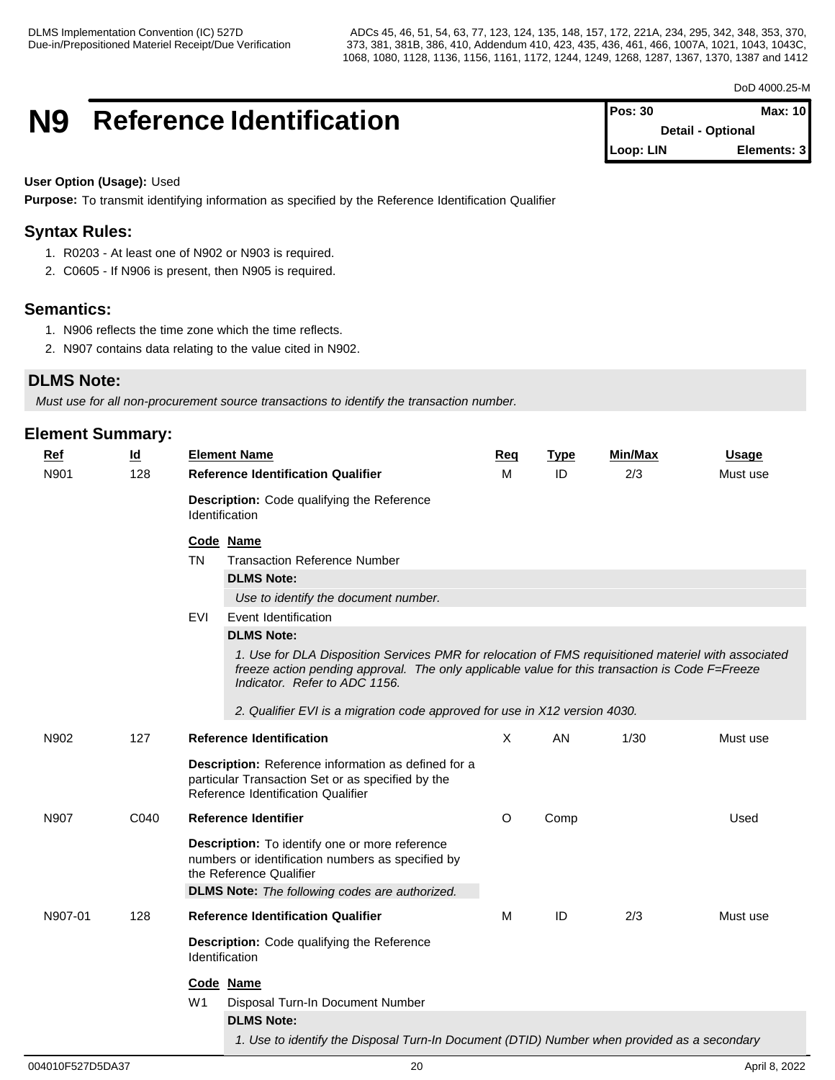DoD 4000.25-M

# **N9** Reference Identification **Pos: 30 Max: 10 Max: 10**

**Detail - Optional Loop: LIN Elements: 3**

### **User Option (Usage):** Used

**Purpose:** To transmit identifying information as specified by the Reference Identification Qualifier

## **Syntax Rules:**

- 1. R0203 At least one of N902 or N903 is required.
- 2. C0605 If N906 is present, then N905 is required.

# **Semantics:**

- 1. N906 reflects the time zone which the time reflects.
- 2. N907 contains data relating to the value cited in N902.

## **DLMS Note:**

*Must use for all non-procurement source transactions to identify the transaction number.*

| <b>Ref</b> | $\underline{\mathsf{Id}}$ | <b>Element Name</b>                                                                                                                                                                                                                      | Req      | <b>Type</b> | <b>Min/Max</b> | Usage    |
|------------|---------------------------|------------------------------------------------------------------------------------------------------------------------------------------------------------------------------------------------------------------------------------------|----------|-------------|----------------|----------|
| N901       | 128                       | <b>Reference Identification Qualifier</b>                                                                                                                                                                                                | м        | ID          | 2/3            | Must use |
|            |                           | Description: Code qualifying the Reference<br>Identification                                                                                                                                                                             |          |             |                |          |
|            |                           | Code Name                                                                                                                                                                                                                                |          |             |                |          |
|            |                           | <b>TN</b><br><b>Transaction Reference Number</b>                                                                                                                                                                                         |          |             |                |          |
|            |                           | <b>DLMS Note:</b>                                                                                                                                                                                                                        |          |             |                |          |
|            |                           | Use to identify the document number.                                                                                                                                                                                                     |          |             |                |          |
|            |                           | EVI<br>Event Identification                                                                                                                                                                                                              |          |             |                |          |
|            |                           | <b>DLMS Note:</b>                                                                                                                                                                                                                        |          |             |                |          |
|            |                           | 1. Use for DLA Disposition Services PMR for relocation of FMS requisitioned materiel with associated<br>freeze action pending approval. The only applicable value for this transaction is Code F=Freeze<br>Indicator. Refer to ADC 1156. |          |             |                |          |
|            |                           | 2. Qualifier EVI is a migration code approved for use in X12 version 4030.                                                                                                                                                               |          |             |                |          |
| N902       | 127                       | <b>Reference Identification</b>                                                                                                                                                                                                          | $\times$ | <b>AN</b>   | 1/30           | Must use |
|            |                           | <b>Description:</b> Reference information as defined for a<br>particular Transaction Set or as specified by the<br>Reference Identification Qualifier                                                                                    |          |             |                |          |
| N907       | C040                      | <b>Reference Identifier</b>                                                                                                                                                                                                              | $\circ$  | Comp        |                | Used     |
|            |                           | <b>Description:</b> To identify one or more reference<br>numbers or identification numbers as specified by<br>the Reference Qualifier                                                                                                    |          |             |                |          |
|            |                           | <b>DLMS Note:</b> The following codes are authorized.                                                                                                                                                                                    |          |             |                |          |
| N907-01    | 128                       | <b>Reference Identification Qualifier</b>                                                                                                                                                                                                | M        | ID          | 2/3            | Must use |
|            |                           | <b>Description:</b> Code qualifying the Reference<br>Identification                                                                                                                                                                      |          |             |                |          |
|            |                           | Code Name<br>W <sub>1</sub><br>Disposal Turn-In Document Number                                                                                                                                                                          |          |             |                |          |
|            |                           | <b>DLMS Note:</b>                                                                                                                                                                                                                        |          |             |                |          |
|            |                           | 1. Use to identify the Disposal Turn-In Document (DTID) Number when provided as a secondary                                                                                                                                              |          |             |                |          |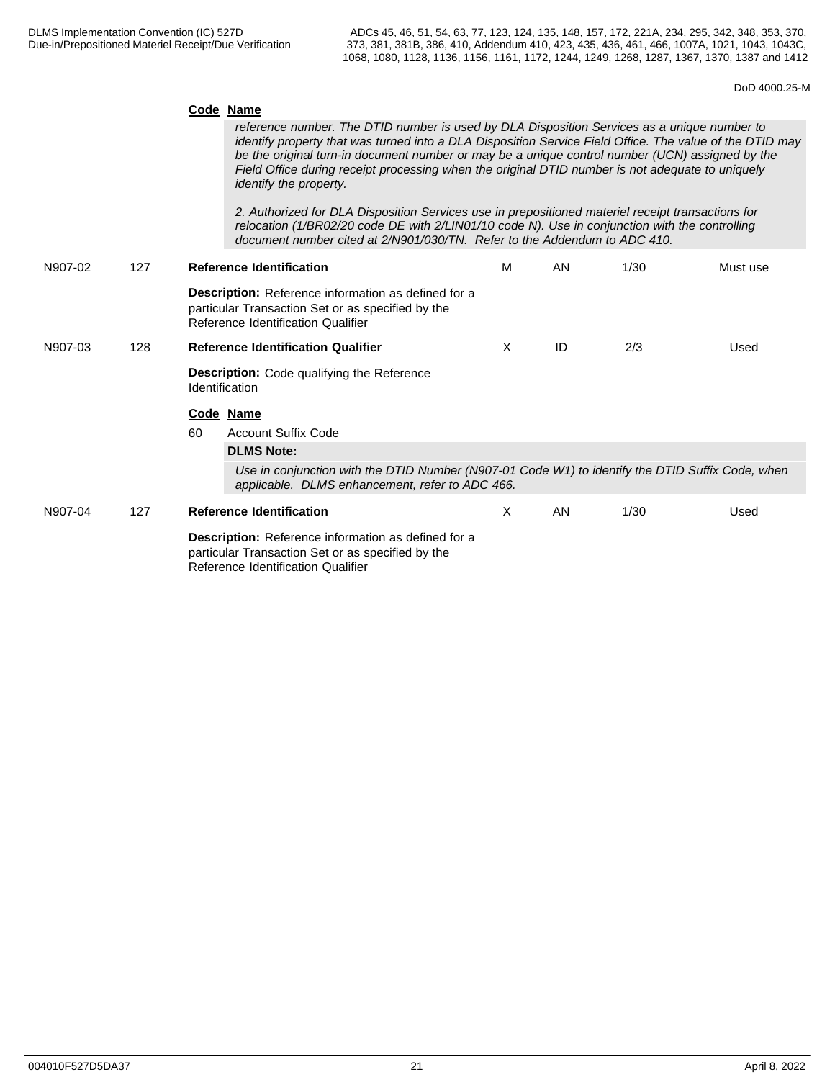DoD 4000.25-M

|         |     | Code Name                                                                                                                                                                                                                                                                                                                                                                                                                                                                                                                                                                                                                                                                                                                    |          |    |      |          |
|---------|-----|------------------------------------------------------------------------------------------------------------------------------------------------------------------------------------------------------------------------------------------------------------------------------------------------------------------------------------------------------------------------------------------------------------------------------------------------------------------------------------------------------------------------------------------------------------------------------------------------------------------------------------------------------------------------------------------------------------------------------|----------|----|------|----------|
|         |     | reference number. The DTID number is used by DLA Disposition Services as a unique number to<br>identify property that was turned into a DLA Disposition Service Field Office. The value of the DTID may<br>be the original turn-in document number or may be a unique control number (UCN) assigned by the<br>Field Office during receipt processing when the original DTID number is not adequate to uniquely<br>identify the property.<br>2. Authorized for DLA Disposition Services use in prepositioned materiel receipt transactions for<br>relocation (1/BR02/20 code DE with 2/LIN01/10 code N). Use in conjunction with the controlling<br>document number cited at 2/N901/030/TN. Refer to the Addendum to ADC 410. |          |    |      |          |
| N907-02 | 127 | <b>Reference Identification</b>                                                                                                                                                                                                                                                                                                                                                                                                                                                                                                                                                                                                                                                                                              | м        | AN | 1/30 | Must use |
|         |     | Description: Reference information as defined for a<br>particular Transaction Set or as specified by the<br>Reference Identification Qualifier                                                                                                                                                                                                                                                                                                                                                                                                                                                                                                                                                                               |          |    |      |          |
| N907-03 | 128 | <b>Reference Identification Qualifier</b>                                                                                                                                                                                                                                                                                                                                                                                                                                                                                                                                                                                                                                                                                    | $\times$ | ID | 2/3  | Used     |
|         |     | <b>Description:</b> Code qualifying the Reference<br>Identification                                                                                                                                                                                                                                                                                                                                                                                                                                                                                                                                                                                                                                                          |          |    |      |          |
|         |     | Code Name<br><b>Account Suffix Code</b><br>60<br><b>DLMS Note:</b><br>Use in conjunction with the DTID Number (N907-01 Code W1) to identify the DTID Suffix Code, when<br>applicable. DLMS enhancement, refer to ADC 466.                                                                                                                                                                                                                                                                                                                                                                                                                                                                                                    |          |    |      |          |
| N907-04 | 127 | <b>Reference Identification</b>                                                                                                                                                                                                                                                                                                                                                                                                                                                                                                                                                                                                                                                                                              | X        | AN | 1/30 | Used     |
|         |     | <b>Description:</b> Reference information as defined for a<br>particular Transaction Set or as specified by the<br>Reference Identification Qualifier                                                                                                                                                                                                                                                                                                                                                                                                                                                                                                                                                                        |          |    |      |          |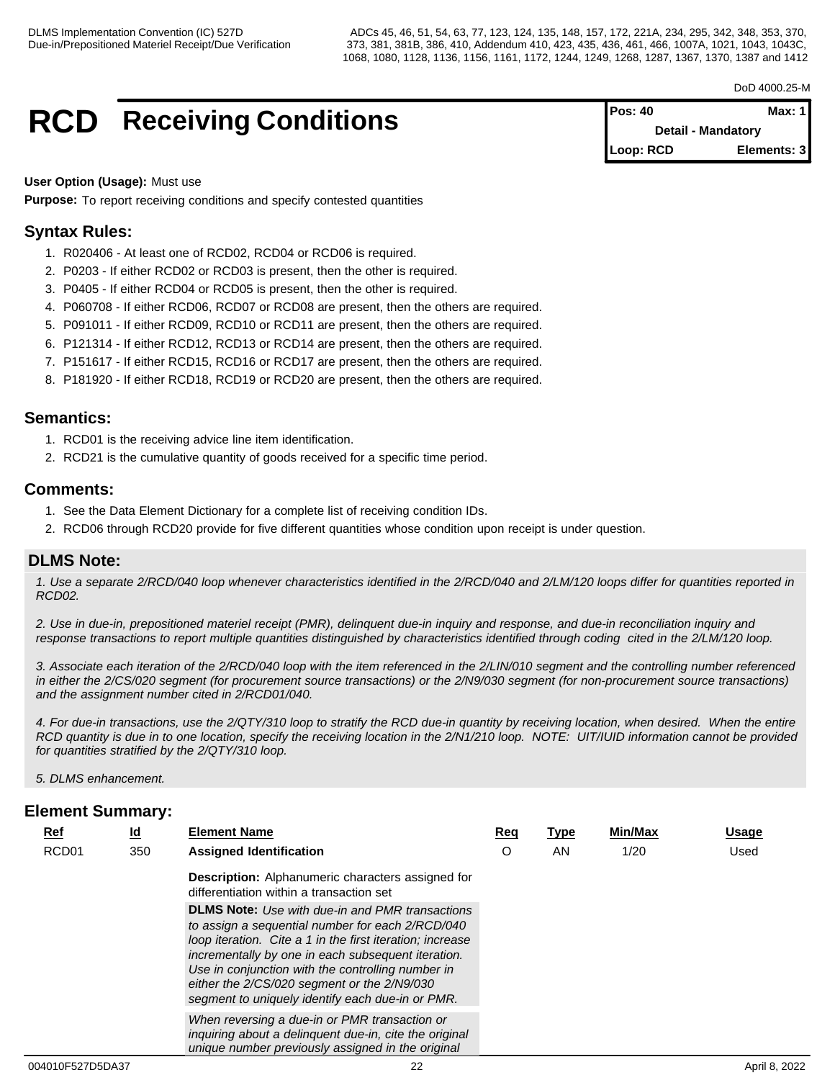DoD 4000.25-M

# **RCD** Receiving Conditions **Pos: 40 Max: 1 Pos: 40 Max: 1**

**Detail - Mandatory Loop: RCD Elements: 3**

## **User Option (Usage):** Must use

**Purpose:** To report receiving conditions and specify contested quantities

# **Syntax Rules:**

- 1. R020406 At least one of RCD02, RCD04 or RCD06 is required.
- 2. P0203 If either RCD02 or RCD03 is present, then the other is required.
- 3. P0405 If either RCD04 or RCD05 is present, then the other is required.
- 4. P060708 If either RCD06, RCD07 or RCD08 are present, then the others are required.
- 5. P091011 If either RCD09, RCD10 or RCD11 are present, then the others are required.
- 6. P121314 If either RCD12, RCD13 or RCD14 are present, then the others are required.
- 7. P151617 If either RCD15, RCD16 or RCD17 are present, then the others are required.
- 8. P181920 If either RCD18, RCD19 or RCD20 are present, then the others are required.

## **Semantics:**

- 1. RCD01 is the receiving advice line item identification.
- 2. RCD21 is the cumulative quantity of goods received for a specific time period.

### **Comments:**

- 1. See the Data Element Dictionary for a complete list of receiving condition IDs.
- 2. RCD06 through RCD20 provide for five different quantities whose condition upon receipt is under question.

## **DLMS Note:**

*1. Use a separate 2/RCD/040 loop whenever characteristics identified in the 2/RCD/040 and 2/LM/120 loops differ for quantities reported in RCD02.*

*2. Use in due-in, prepositioned materiel receipt (PMR), delinquent due-in inquiry and response, and due-in reconciliation inquiry and response transactions to report multiple quantities distinguished by characteristics identified through coding cited in the 2/LM/120 loop.* 

*3. Associate each iteration of the 2/RCD/040 loop with the item referenced in the 2/LIN/010 segment and the controlling number referenced in either the 2/CS/020 segment (for procurement source transactions) or the 2/N9/030 segment (for non-procurement source transactions) and the assignment number cited in 2/RCD01/040.*

*4. For due-in transactions, use the 2/QTY/310 loop to stratify the RCD due-in quantity by receiving location, when desired. When the entire RCD quantity is due in to one location, specify the receiving location in the 2/N1/210 loop. NOTE: UIT/IUID information cannot be provided for quantities stratified by the 2/QTY/310 loop.*

*5. DLMS enhancement.*

| <u>Ref</u><br>RCD <sub>01</sub> | <u>ld</u><br>350 | <b>Element Name</b><br><b>Assigned Identification</b>                                                                                                                                                                                                                                                                                                                                 | Req | <u>Type</u><br>AN | <b>Min/Max</b><br>1/20 | <u>Usage</u><br>Used |
|---------------------------------|------------------|---------------------------------------------------------------------------------------------------------------------------------------------------------------------------------------------------------------------------------------------------------------------------------------------------------------------------------------------------------------------------------------|-----|-------------------|------------------------|----------------------|
|                                 |                  | <b>Description:</b> Alphanumeric characters assigned for<br>differentiation within a transaction set                                                                                                                                                                                                                                                                                  |     |                   |                        |                      |
|                                 |                  | <b>DLMS Note:</b> Use with due-in and PMR transactions<br>to assign a sequential number for each 2/RCD/040<br>loop iteration. Cite a 1 in the first iteration; increase<br>incrementally by one in each subsequent iteration.<br>Use in conjunction with the controlling number in<br>either the 2/CS/020 segment or the 2/N9/030<br>segment to uniquely identify each due-in or PMR. |     |                   |                        |                      |
|                                 |                  | When reversing a due-in or PMR transaction or<br>inquiring about a delinquent due-in, cite the original<br>unique number previously assigned in the original                                                                                                                                                                                                                          |     |                   |                        |                      |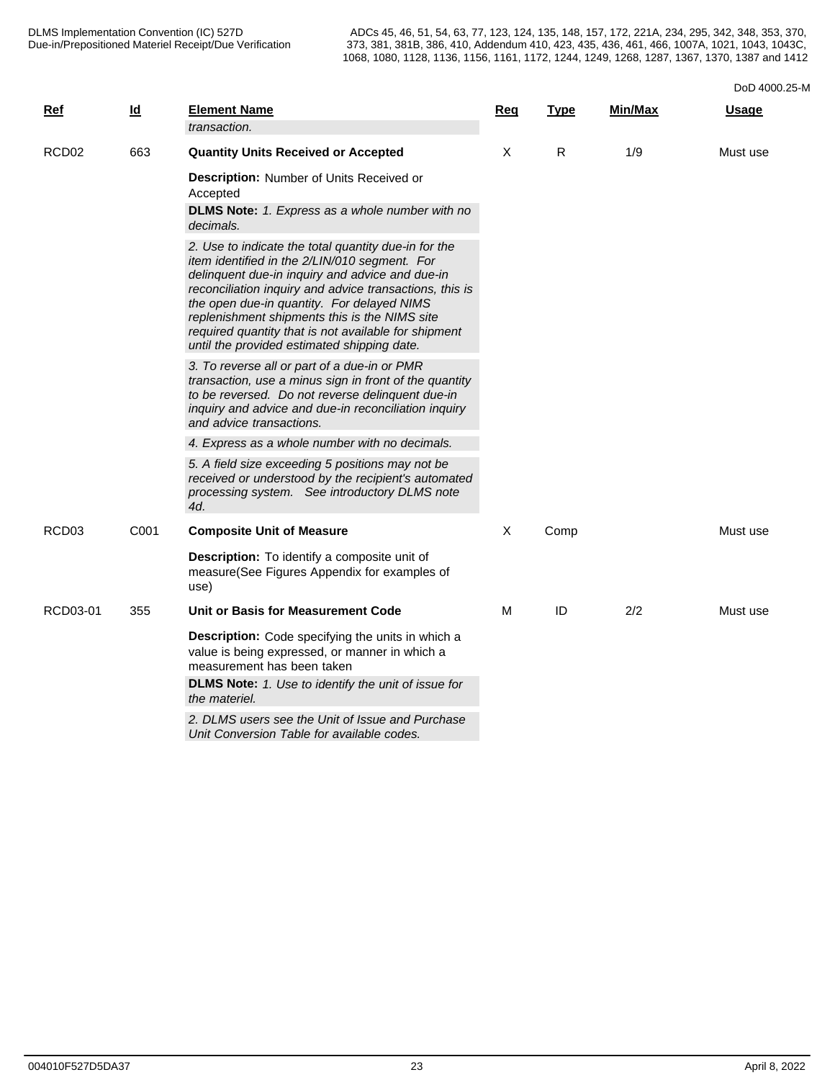|                   |                           |                                                                                                                                                                                                                                                                                                                                                                                                                           |            |             |         | DoD 4000.25-M |
|-------------------|---------------------------|---------------------------------------------------------------------------------------------------------------------------------------------------------------------------------------------------------------------------------------------------------------------------------------------------------------------------------------------------------------------------------------------------------------------------|------------|-------------|---------|---------------|
| Ref               | $\underline{\mathsf{Id}}$ | <b>Element Name</b><br>transaction.                                                                                                                                                                                                                                                                                                                                                                                       | <u>Req</u> | <b>Type</b> | Min/Max | <b>Usage</b>  |
| RCD <sub>02</sub> | 663                       | <b>Quantity Units Received or Accepted</b>                                                                                                                                                                                                                                                                                                                                                                                | X          | R           | 1/9     | Must use      |
|                   |                           | Description: Number of Units Received or<br>Accepted                                                                                                                                                                                                                                                                                                                                                                      |            |             |         |               |
|                   |                           | DLMS Note: 1. Express as a whole number with no<br>decimals.                                                                                                                                                                                                                                                                                                                                                              |            |             |         |               |
|                   |                           | 2. Use to indicate the total quantity due-in for the<br>item identified in the 2/LIN/010 segment. For<br>delinquent due-in inquiry and advice and due-in<br>reconciliation inquiry and advice transactions, this is<br>the open due-in quantity. For delayed NIMS<br>replenishment shipments this is the NIMS site<br>required quantity that is not available for shipment<br>until the provided estimated shipping date. |            |             |         |               |
|                   |                           | 3. To reverse all or part of a due-in or PMR<br>transaction, use a minus sign in front of the quantity<br>to be reversed. Do not reverse delinquent due-in<br>inquiry and advice and due-in reconciliation inquiry<br>and advice transactions.                                                                                                                                                                            |            |             |         |               |
|                   |                           | 4. Express as a whole number with no decimals.                                                                                                                                                                                                                                                                                                                                                                            |            |             |         |               |
|                   |                           | 5. A field size exceeding 5 positions may not be<br>received or understood by the recipient's automated<br>processing system. See introductory DLMS note<br>4d.                                                                                                                                                                                                                                                           |            |             |         |               |
| RCD <sub>03</sub> | C001                      | <b>Composite Unit of Measure</b>                                                                                                                                                                                                                                                                                                                                                                                          | X          | Comp        |         | Must use      |
|                   |                           | Description: To identify a composite unit of<br>measure(See Figures Appendix for examples of<br>use)                                                                                                                                                                                                                                                                                                                      |            |             |         |               |
| RCD03-01          | 355                       | Unit or Basis for Measurement Code                                                                                                                                                                                                                                                                                                                                                                                        | М          | ID          | 2/2     | Must use      |
|                   |                           | Description: Code specifying the units in which a<br>value is being expressed, or manner in which a<br>measurement has been taken                                                                                                                                                                                                                                                                                         |            |             |         |               |
|                   |                           | <b>DLMS Note:</b> 1. Use to identify the unit of issue for<br>the materiel.                                                                                                                                                                                                                                                                                                                                               |            |             |         |               |
|                   |                           | 2. DLMS users see the Unit of Issue and Purchase<br>Unit Conversion Table for available codes.                                                                                                                                                                                                                                                                                                                            |            |             |         |               |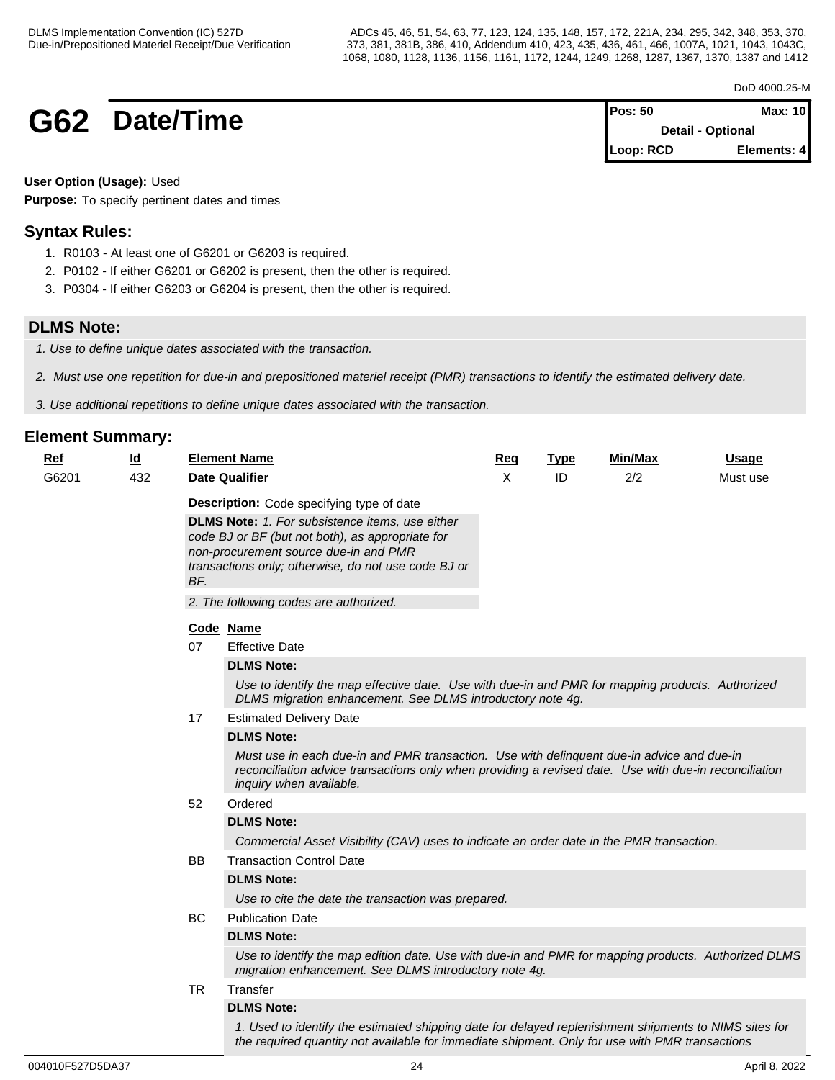DoD 4000.25-M

| G62 | <b>Date/Time</b> | <b>Pos: 50</b> | Max: 10         |  |
|-----|------------------|----------------|-----------------|--|
|     |                  | Detail         | <b>Optional</b> |  |

**Detail - Optional Loop: RCD Elements: 4**

**User Option (Usage):** Used

**Purpose:** To specify pertinent dates and times

# **Syntax Rules:**

- 1. R0103 At least one of G6201 or G6203 is required.
- 2. P0102 If either G6201 or G6202 is present, then the other is required.
- 3. P0304 If either G6203 or G6204 is present, then the other is required.

# **DLMS Note:**

*1. Use to define unique dates associated with the transaction.* 

*2. Must use one repetition for due-in and prepositioned materiel receipt (PMR) transactions to identify the estimated delivery date.*

*3. Use additional repetitions to define unique dates associated with the transaction.*

| <b>Ref</b> | $\underline{\mathsf{Id}}$ |           | <b>Element Name</b>                                                                                                                                                                                                           | <b>Req</b> | <b>Type</b> | Min/Max | <b>Usage</b> |
|------------|---------------------------|-----------|-------------------------------------------------------------------------------------------------------------------------------------------------------------------------------------------------------------------------------|------------|-------------|---------|--------------|
| G6201      | 432                       |           | <b>Date Qualifier</b>                                                                                                                                                                                                         | X          | ID          | 2/2     | Must use     |
|            |                           |           | Description: Code specifying type of date                                                                                                                                                                                     |            |             |         |              |
|            |                           | BF.       | <b>DLMS Note:</b> 1. For subsistence items, use either<br>code BJ or BF (but not both), as appropriate for<br>non-procurement source due-in and PMR<br>transactions only; otherwise, do not use code BJ or                    |            |             |         |              |
|            |                           |           | 2. The following codes are authorized.                                                                                                                                                                                        |            |             |         |              |
|            |                           |           | Code Name                                                                                                                                                                                                                     |            |             |         |              |
|            |                           | 07        | <b>Effective Date</b>                                                                                                                                                                                                         |            |             |         |              |
|            |                           |           | <b>DLMS Note:</b>                                                                                                                                                                                                             |            |             |         |              |
|            |                           |           | Use to identify the map effective date. Use with due-in and PMR for mapping products. Authorized<br>DLMS migration enhancement. See DLMS introductory note 4g.                                                                |            |             |         |              |
|            |                           | 17        | <b>Estimated Delivery Date</b>                                                                                                                                                                                                |            |             |         |              |
|            |                           |           | <b>DLMS Note:</b>                                                                                                                                                                                                             |            |             |         |              |
|            |                           |           | Must use in each due-in and PMR transaction. Use with delinguent due-in advice and due-in<br>reconciliation advice transactions only when providing a revised date. Use with due-in reconciliation<br>inquiry when available. |            |             |         |              |
|            |                           | 52        | Ordered                                                                                                                                                                                                                       |            |             |         |              |
|            |                           |           | <b>DLMS Note:</b>                                                                                                                                                                                                             |            |             |         |              |
|            |                           |           | Commercial Asset Visibility (CAV) uses to indicate an order date in the PMR transaction.                                                                                                                                      |            |             |         |              |
|            |                           | <b>BB</b> | <b>Transaction Control Date</b>                                                                                                                                                                                               |            |             |         |              |
|            |                           |           | <b>DLMS Note:</b>                                                                                                                                                                                                             |            |             |         |              |
|            |                           |           | Use to cite the date the transaction was prepared.                                                                                                                                                                            |            |             |         |              |
|            |                           | <b>BC</b> | <b>Publication Date</b>                                                                                                                                                                                                       |            |             |         |              |
|            |                           |           | <b>DLMS Note:</b>                                                                                                                                                                                                             |            |             |         |              |
|            |                           |           | Use to identify the map edition date. Use with due-in and PMR for mapping products. Authorized DLMS<br>migration enhancement. See DLMS introductory note 4g.                                                                  |            |             |         |              |
|            |                           | <b>TR</b> | Transfer                                                                                                                                                                                                                      |            |             |         |              |
|            |                           |           | <b>DLMS Note:</b>                                                                                                                                                                                                             |            |             |         |              |
|            |                           |           | 1. Used to identify the estimated shipping date for delayed replenishment shipments to NIMS sites for<br>the required quantity not available for immediate shipment. Only for use with PMR transactions                       |            |             |         |              |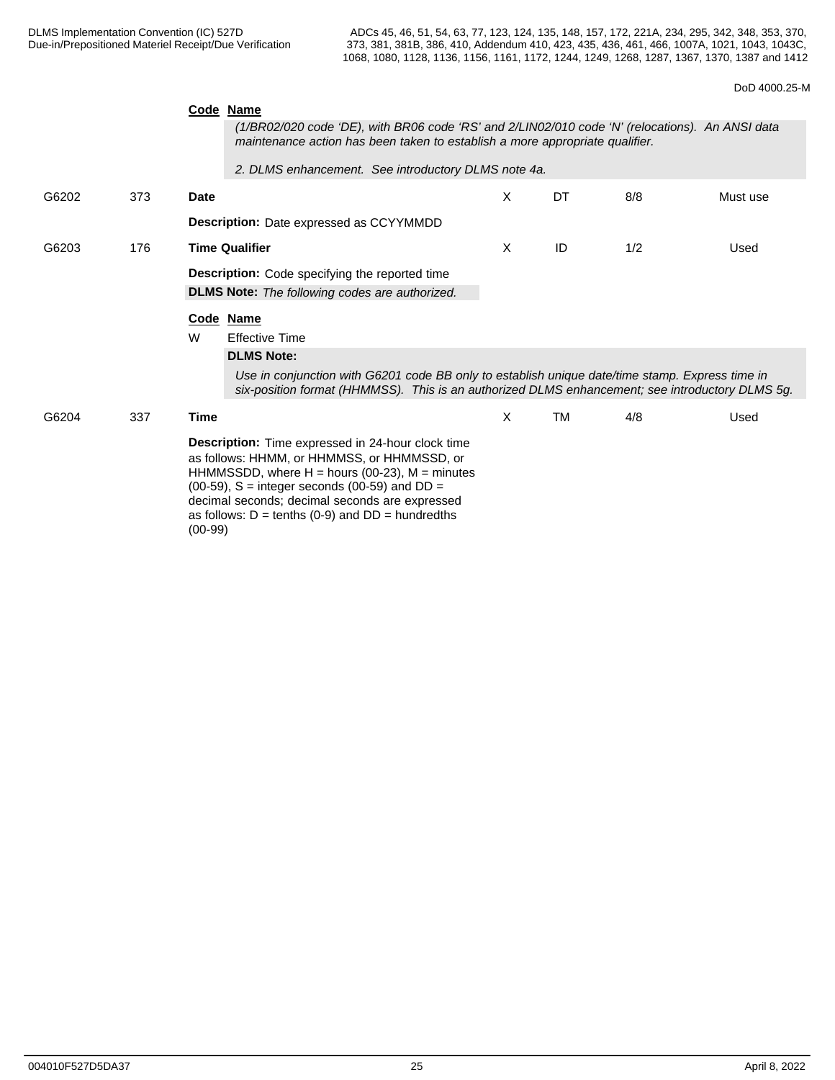DoD 4000.25-M

|       |     | Code Name      | (1/BR02/020 code 'DE), with BR06 code 'RS' and 2/LIN02/010 code 'N' (relocations). An ANSI data<br>maintenance action has been taken to establish a more appropriate qualifier.<br>2. DLMS enhancement. See introductory DLMS note 4a.                                                                                               |   |           |     |          |
|-------|-----|----------------|--------------------------------------------------------------------------------------------------------------------------------------------------------------------------------------------------------------------------------------------------------------------------------------------------------------------------------------|---|-----------|-----|----------|
| G6202 | 373 | <b>Date</b>    |                                                                                                                                                                                                                                                                                                                                      | X | DT        | 8/8 | Must use |
|       |     |                | <b>Description:</b> Date expressed as CCYYMMDD                                                                                                                                                                                                                                                                                       |   |           |     |          |
| G6203 | 176 |                | <b>Time Qualifier</b>                                                                                                                                                                                                                                                                                                                | X | ID        | 1/2 | Used     |
|       |     |                | <b>Description:</b> Code specifying the reported time<br><b>DLMS Note:</b> The following codes are authorized.                                                                                                                                                                                                                       |   |           |     |          |
|       |     | Code Name<br>W | <b>Effective Time</b><br><b>DLMS Note:</b><br>Use in conjunction with G6201 code BB only to establish unique date/time stamp. Express time in<br>six-position format (HHMMSS). This is an authorized DLMS enhancement; see introductory DLMS 5g.                                                                                     |   |           |     |          |
| G6204 | 337 | <b>Time</b>    |                                                                                                                                                                                                                                                                                                                                      | X | <b>TM</b> | 4/8 | Used     |
|       |     | $(00-99)$      | Description: Time expressed in 24-hour clock time<br>as follows: HHMM, or HHMMSS, or HHMMSSD, or<br>HHMMSSDD, where $H =$ hours (00-23), $M =$ minutes<br>$(00-59)$ , S = integer seconds $(00-59)$ and DD =<br>decimal seconds; decimal seconds are expressed<br>as follows: $D = \text{tenths} (0-9)$ and $DD = \text{hundredths}$ |   |           |     |          |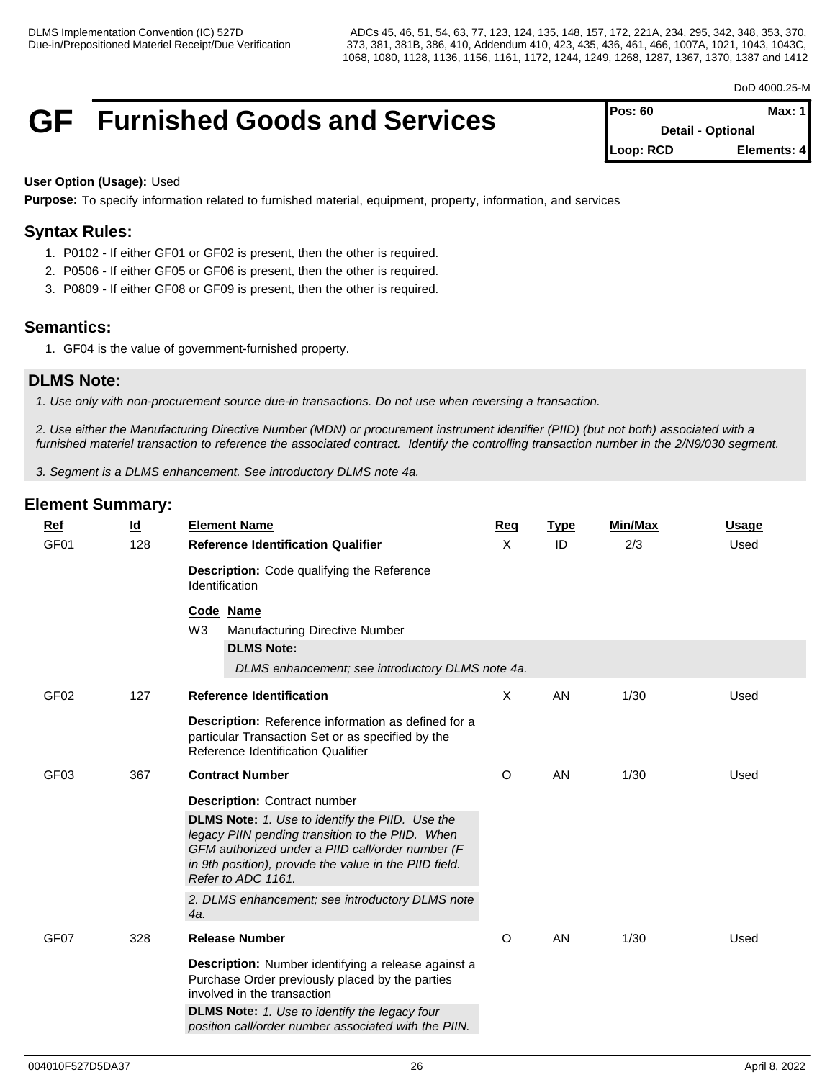DoD 4000.25-M

# GF Furnished Goods and Services **Pos: 60** Max: 1

**Detail - Optional Loop: RCD Elements: 4**

## **User Option (Usage):** Used

**Purpose:** To specify information related to furnished material, equipment, property, information, and services

# **Syntax Rules:**

- 1. P0102 If either GF01 or GF02 is present, then the other is required.
- 2. P0506 If either GF05 or GF06 is present, then the other is required.
- 3. P0809 If either GF08 or GF09 is present, then the other is required.

# **Semantics:**

1. GF04 is the value of government-furnished property.

## **DLMS Note:**

*1. Use only with non-procurement source due-in transactions. Do not use when reversing a transaction.*

*2. Use either the Manufacturing Directive Number (MDN) or procurement instrument identifier (PIID) (but not both) associated with a furnished materiel transaction to reference the associated contract. Identify the controlling transaction number in the 2/N9/030 segment.*

*3. Segment is a DLMS enhancement. See introductory DLMS note 4a.*

| Ref              | $\underline{\mathsf{Id}}$ | <b>Element Name</b>                                                                                                                                                                                                                                                            | Req      | <b>Type</b> | Min/Max | <b>Usage</b> |
|------------------|---------------------------|--------------------------------------------------------------------------------------------------------------------------------------------------------------------------------------------------------------------------------------------------------------------------------|----------|-------------|---------|--------------|
| GF <sub>01</sub> | 128                       | <b>Reference Identification Qualifier</b>                                                                                                                                                                                                                                      | X        | ID          | 2/3     | Used         |
|                  |                           | <b>Description:</b> Code qualifying the Reference<br>Identification                                                                                                                                                                                                            |          |             |         |              |
|                  |                           | Code Name<br>W <sub>3</sub><br>Manufacturing Directive Number<br><b>DLMS Note:</b>                                                                                                                                                                                             |          |             |         |              |
|                  |                           | DLMS enhancement; see introductory DLMS note 4a.                                                                                                                                                                                                                               |          |             |         |              |
| GF <sub>02</sub> | 127                       | <b>Reference Identification</b>                                                                                                                                                                                                                                                | $\times$ | <b>AN</b>   | 1/30    | Used         |
|                  |                           | Description: Reference information as defined for a<br>particular Transaction Set or as specified by the<br>Reference Identification Qualifier                                                                                                                                 |          |             |         |              |
| GF <sub>03</sub> | 367                       | <b>Contract Number</b>                                                                                                                                                                                                                                                         | O        | <b>AN</b>   | 1/30    | Used         |
|                  |                           | <b>Description: Contract number</b><br>DLMS Note: 1. Use to identify the PIID. Use the<br>legacy PIIN pending transition to the PIID. When<br>GFM authorized under a PIID call/order number (F<br>in 9th position), provide the value in the PIID field.<br>Refer to ADC 1161. |          |             |         |              |
|                  |                           | 2. DLMS enhancement; see introductory DLMS note<br>4a.                                                                                                                                                                                                                         |          |             |         |              |
| GF07             | 328                       | <b>Release Number</b>                                                                                                                                                                                                                                                          | O        | <b>AN</b>   | 1/30    | Used         |
|                  |                           | <b>Description:</b> Number identifying a release against a<br>Purchase Order previously placed by the parties<br>involved in the transaction                                                                                                                                   |          |             |         |              |
|                  |                           | <b>DLMS Note:</b> 1. Use to identify the legacy four<br>position call/order number associated with the PIIN.                                                                                                                                                                   |          |             |         |              |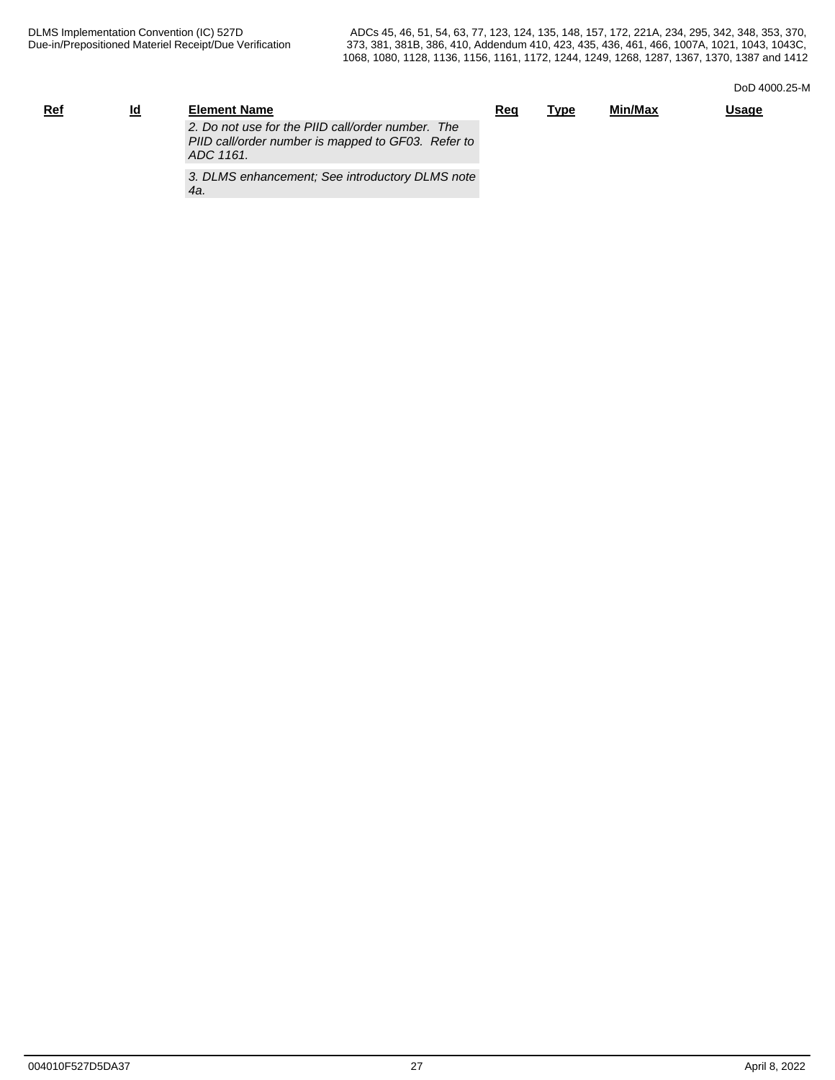*4a.*

ADCs 45, 46, 51, 54, 63, 77, 123, 124, 135, 148, 157, 172, 221A, 234, 295, 342, 348, 353, 370, 373, 381, 381B, 386, 410, Addendum 410, 423, 435, 436, 461, 466, 1007A, 1021, 1043, 1043C, 1068, 1080, 1128, 1136, 1156, 1161, 1172, 1244, 1249, 1268, 1287, 1367, 1370, 1387 and 1412

DoD 4000.25-M

| <b>Ref</b> | Id | <b>Element Name</b>                                                                                                  | Req | Type | Min/Max | <u>Usage</u> |
|------------|----|----------------------------------------------------------------------------------------------------------------------|-----|------|---------|--------------|
|            |    | 2. Do not use for the PIID call/order number. The<br>PIID call/order number is mapped to GF03. Refer to<br>ADC 1161. |     |      |         |              |
|            |    | 3. DLMS enhancement; See introductory DLMS note                                                                      |     |      |         |              |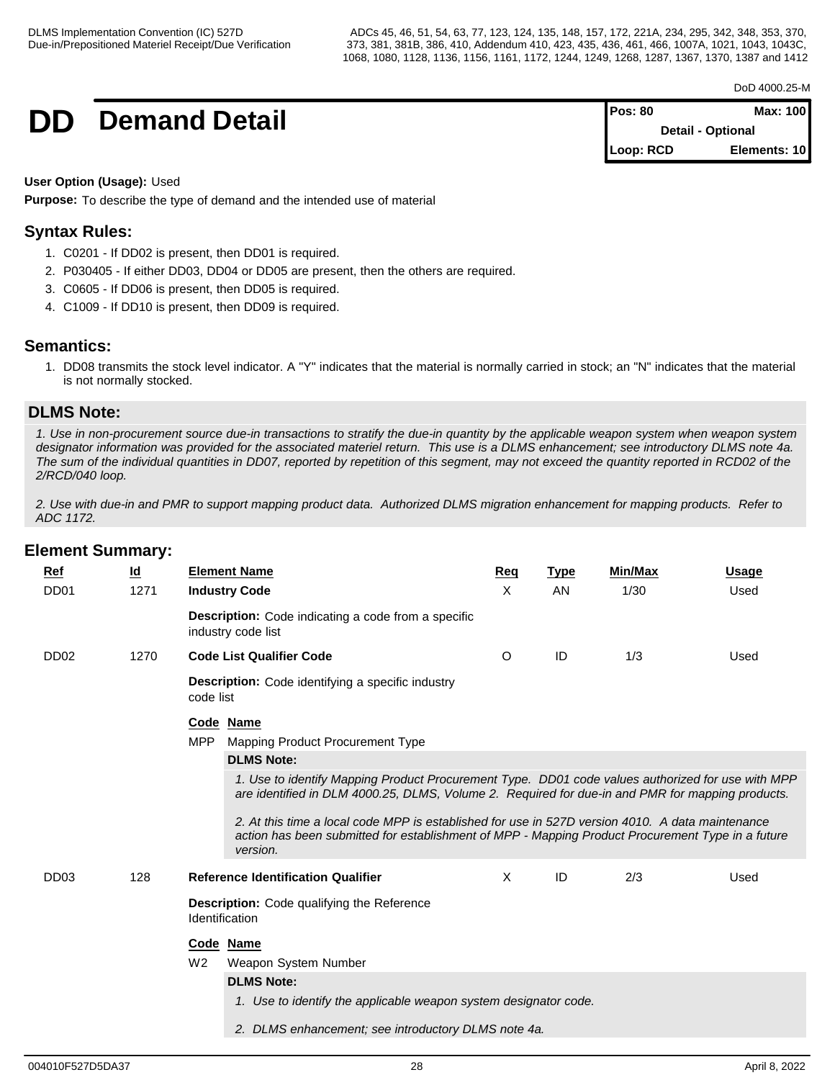DoD 4000.25-M

| <b>DD</b><br><b>Demand Detail</b> | <b>TPos: 80</b>           | Max: 100 |  |
|-----------------------------------|---------------------------|----------|--|
|                                   | Detail<br><b>Optional</b> |          |  |

**Detail - Optional Loop: RCD Elements: 10**

## **User Option (Usage):** Used

**Purpose:** To describe the type of demand and the intended use of material

# **Syntax Rules:**

- 1. C0201 If DD02 is present, then DD01 is required.
- 2. P030405 If either DD03, DD04 or DD05 are present, then the others are required.
- 3. C0605 If DD06 is present, then DD05 is required.
- 4. C1009 If DD10 is present, then DD09 is required.

# **Semantics:**

1. DD08 transmits the stock level indicator. A "Y" indicates that the material is normally carried in stock; an "N" indicates that the material is not normally stocked.

# **DLMS Note:**

*1. Use in non-procurement source due-in transactions to stratify the due-in quantity by the applicable weapon system when weapon system* designator information was provided for the associated materiel return. This use is a DLMS enhancement; see introductory DLMS note 4a. *The sum of the individual quantities in DD07, reported by repetition of this segment, may not exceed the quantity reported in RCD02 of the 2/RCD/040 loop.*

*2. Use with due-in and PMR to support mapping product data. Authorized DLMS migration enhancement for mapping products. Refer to ADC 1172.*

| <u>Ref</u><br>DD <sub>01</sub> | <u>ld</u><br>1271 | <b>Element Name</b><br><b>Industry Code</b>                                                                                                                                                                       | Req<br>X | <b>Type</b><br>AN | <b>Min/Max</b><br>1/30 | <b>Usage</b><br>Used |
|--------------------------------|-------------------|-------------------------------------------------------------------------------------------------------------------------------------------------------------------------------------------------------------------|----------|-------------------|------------------------|----------------------|
|                                |                   | Description: Code indicating a code from a specific<br>industry code list                                                                                                                                         |          |                   |                        |                      |
| DD <sub>02</sub>               | 1270              | <b>Code List Qualifier Code</b>                                                                                                                                                                                   | $\circ$  | ID                | 1/3                    | Used                 |
|                                |                   | <b>Description:</b> Code identifying a specific industry<br>code list                                                                                                                                             |          |                   |                        |                      |
|                                |                   | Code Name                                                                                                                                                                                                         |          |                   |                        |                      |
|                                |                   | <b>MPP</b><br>Mapping Product Procurement Type                                                                                                                                                                    |          |                   |                        |                      |
|                                |                   | <b>DLMS Note:</b>                                                                                                                                                                                                 |          |                   |                        |                      |
|                                |                   | 1. Use to identify Mapping Product Procurement Type. DD01 code values authorized for use with MPP<br>are identified in DLM 4000.25, DLMS, Volume 2. Required for due-in and PMR for mapping products.             |          |                   |                        |                      |
|                                |                   | 2. At this time a local code MPP is established for use in 527D version 4010. A data maintenance<br>action has been submitted for establishment of MPP - Mapping Product Procurement Type in a future<br>version. |          |                   |                        |                      |
| DD <sub>03</sub>               | 128               | <b>Reference Identification Qualifier</b>                                                                                                                                                                         | $\times$ | ID                | 2/3                    | Used                 |
|                                |                   | <b>Description:</b> Code qualifying the Reference<br>Identification                                                                                                                                               |          |                   |                        |                      |
|                                |                   | Code Name                                                                                                                                                                                                         |          |                   |                        |                      |
|                                |                   | W <sub>2</sub><br>Weapon System Number                                                                                                                                                                            |          |                   |                        |                      |
|                                |                   | <b>DLMS Note:</b>                                                                                                                                                                                                 |          |                   |                        |                      |
|                                |                   | 1. Use to identify the applicable weapon system designator code.                                                                                                                                                  |          |                   |                        |                      |
|                                |                   | 2. DLMS enhancement; see introductory DLMS note 4a.                                                                                                                                                               |          |                   |                        |                      |
|                                |                   |                                                                                                                                                                                                                   |          |                   |                        |                      |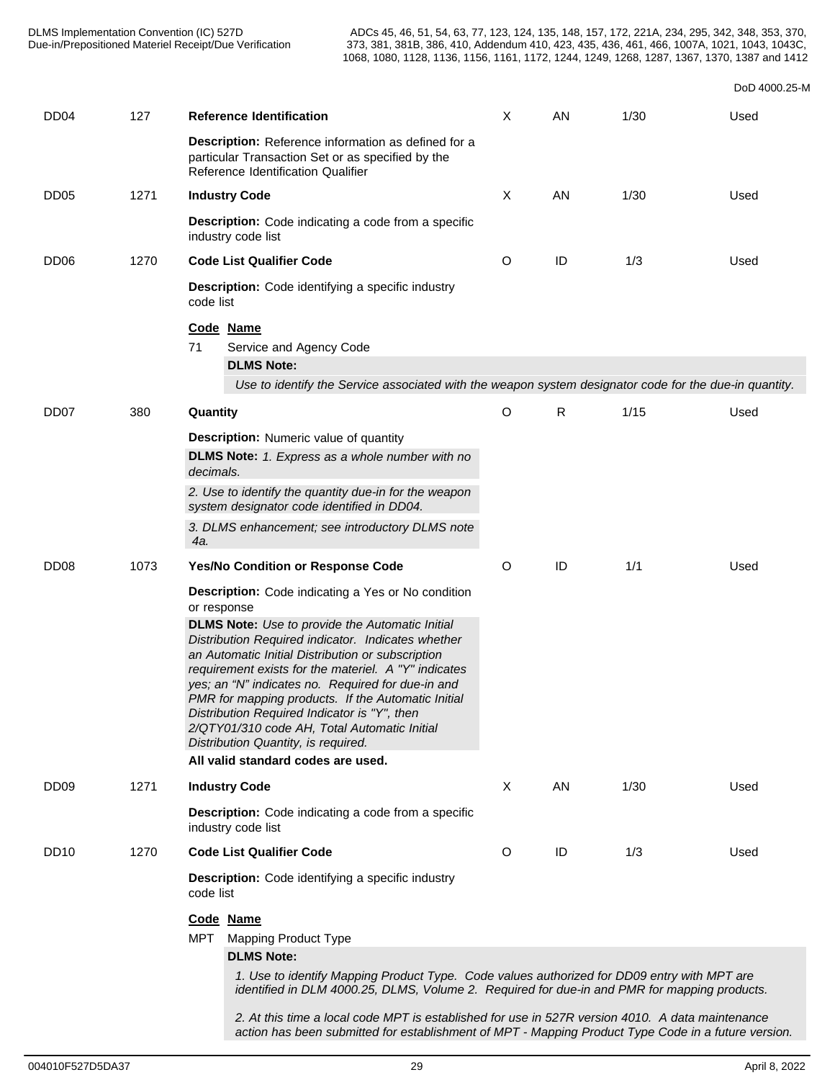|                  |      |                                                                                                                                                                                                                                                                                                                                                                                                                                                                                                                                                                                                                                                                                                                                                                                                                                                                                                                      |         |              |      | DoD 4000.25-M |
|------------------|------|----------------------------------------------------------------------------------------------------------------------------------------------------------------------------------------------------------------------------------------------------------------------------------------------------------------------------------------------------------------------------------------------------------------------------------------------------------------------------------------------------------------------------------------------------------------------------------------------------------------------------------------------------------------------------------------------------------------------------------------------------------------------------------------------------------------------------------------------------------------------------------------------------------------------|---------|--------------|------|---------------|
| DD <sub>04</sub> | 127  | <b>Reference Identification</b>                                                                                                                                                                                                                                                                                                                                                                                                                                                                                                                                                                                                                                                                                                                                                                                                                                                                                      | X       | AN           | 1/30 | Used          |
|                  |      | Description: Reference information as defined for a<br>particular Transaction Set or as specified by the<br>Reference Identification Qualifier                                                                                                                                                                                                                                                                                                                                                                                                                                                                                                                                                                                                                                                                                                                                                                       |         |              |      |               |
| DD <sub>05</sub> | 1271 | <b>Industry Code</b>                                                                                                                                                                                                                                                                                                                                                                                                                                                                                                                                                                                                                                                                                                                                                                                                                                                                                                 | X       | AN           | 1/30 | Used          |
|                  |      | <b>Description:</b> Code indicating a code from a specific<br>industry code list                                                                                                                                                                                                                                                                                                                                                                                                                                                                                                                                                                                                                                                                                                                                                                                                                                     |         |              |      |               |
| DD <sub>06</sub> | 1270 | <b>Code List Qualifier Code</b>                                                                                                                                                                                                                                                                                                                                                                                                                                                                                                                                                                                                                                                                                                                                                                                                                                                                                      | O       | ID           | 1/3  | Used          |
|                  |      | <b>Description:</b> Code identifying a specific industry<br>code list                                                                                                                                                                                                                                                                                                                                                                                                                                                                                                                                                                                                                                                                                                                                                                                                                                                |         |              |      |               |
|                  |      | Code Name<br>Service and Agency Code<br>71<br><b>DLMS Note:</b><br>Use to identify the Service associated with the weapon system designator code for the due-in quantity.                                                                                                                                                                                                                                                                                                                                                                                                                                                                                                                                                                                                                                                                                                                                            |         |              |      |               |
| DD <sub>07</sub> | 380  | Quantity                                                                                                                                                                                                                                                                                                                                                                                                                                                                                                                                                                                                                                                                                                                                                                                                                                                                                                             | O       | $\mathsf{R}$ | 1/15 | Used          |
| DD <sub>08</sub> | 1073 | <b>Description:</b> Numeric value of quantity<br><b>DLMS Note:</b> 1. Express as a whole number with no<br>decimals.<br>2. Use to identify the quantity due-in for the weapon<br>system designator code identified in DD04.<br>3. DLMS enhancement; see introductory DLMS note<br>4a.<br>Yes/No Condition or Response Code<br>Description: Code indicating a Yes or No condition<br>or response<br><b>DLMS Note:</b> Use to provide the Automatic Initial<br>Distribution Required indicator. Indicates whether<br>an Automatic Initial Distribution or subscription<br>requirement exists for the materiel. A "Y" indicates<br>yes; an "N" indicates no. Required for due-in and<br>PMR for mapping products. If the Automatic Initial<br>Distribution Required Indicator is "Y", then<br>2/QTY01/310 code AH, Total Automatic Initial<br>Distribution Quantity, is required.<br>All valid standard codes are used. | O       | ID           | 1/1  | Used          |
| DD <sub>09</sub> | 1271 | <b>Industry Code</b><br><b>Description:</b> Code indicating a code from a specific                                                                                                                                                                                                                                                                                                                                                                                                                                                                                                                                                                                                                                                                                                                                                                                                                                   | X       | AN           | 1/30 | Used          |
|                  |      | industry code list                                                                                                                                                                                                                                                                                                                                                                                                                                                                                                                                                                                                                                                                                                                                                                                                                                                                                                   |         |              |      |               |
| DD <sub>10</sub> | 1270 | <b>Code List Qualifier Code</b><br><b>Description:</b> Code identifying a specific industry<br>code list                                                                                                                                                                                                                                                                                                                                                                                                                                                                                                                                                                                                                                                                                                                                                                                                             | $\circ$ | ID           | 1/3  | Used          |
|                  |      | Code Name<br>MPT<br><b>Mapping Product Type</b><br><b>DLMS Note:</b><br>1. Use to identify Mapping Product Type. Code values authorized for DD09 entry with MPT are<br>identified in DLM 4000.25, DLMS, Volume 2. Required for due-in and PMR for mapping products.<br>2. At this time a local code MPT is established for use in 527R version 4010. A data maintenance<br>action has been submitted for establishment of MPT - Mapping Product Type Code in a future version.                                                                                                                                                                                                                                                                                                                                                                                                                                       |         |              |      |               |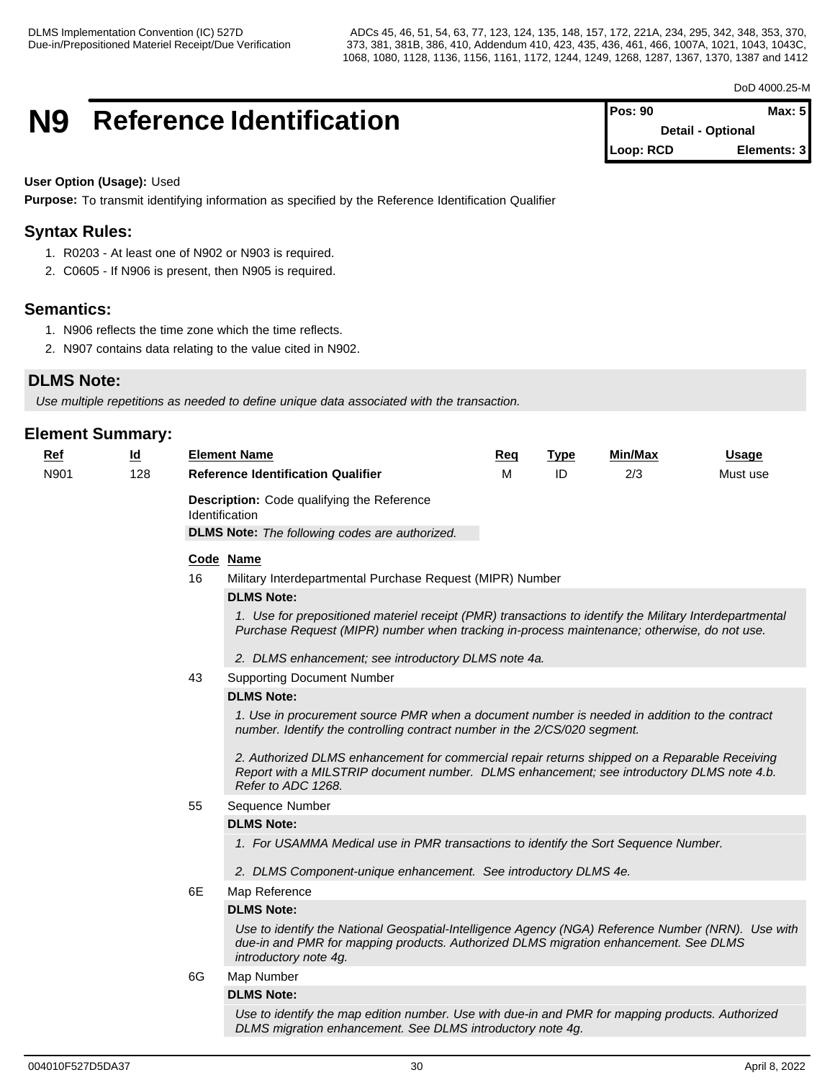DoD 4000.25-M

# **N9** Reference Identification **Pos: 90** Max: 5

**Detail - Optional Loop: RCD Elements: 3**

## **User Option (Usage):** Used

**Purpose:** To transmit identifying information as specified by the Reference Identification Qualifier

## **Syntax Rules:**

- 1. R0203 At least one of N902 or N903 is required.
- 2. C0605 If N906 is present, then N905 is required.

# **Semantics:**

- 1. N906 reflects the time zone which the time reflects.
- 2. N907 contains data relating to the value cited in N902.

## **DLMS Note:**

*Use multiple repetitions as needed to define unique data associated with the transaction.*

## **Element Summary:**

| $Ref$ | $\underline{\mathsf{Id}}$ |                                                                                                                                                                                                        | <b>Element Name</b>                                                                                                                                                                                                 | Req | <b>Type</b> | <b>Min/Max</b> | <b>Usage</b> |  |  |  |  |
|-------|---------------------------|--------------------------------------------------------------------------------------------------------------------------------------------------------------------------------------------------------|---------------------------------------------------------------------------------------------------------------------------------------------------------------------------------------------------------------------|-----|-------------|----------------|--------------|--|--|--|--|
| N901  | 128                       |                                                                                                                                                                                                        | <b>Reference Identification Qualifier</b>                                                                                                                                                                           | M   | ID          | 2/3            | Must use     |  |  |  |  |
|       |                           |                                                                                                                                                                                                        | <b>Description:</b> Code qualifying the Reference<br>Identification                                                                                                                                                 |     |             |                |              |  |  |  |  |
|       |                           |                                                                                                                                                                                                        | <b>DLMS Note:</b> The following codes are authorized.                                                                                                                                                               |     |             |                |              |  |  |  |  |
|       |                           |                                                                                                                                                                                                        | Code Name                                                                                                                                                                                                           |     |             |                |              |  |  |  |  |
|       |                           | 16                                                                                                                                                                                                     | Military Interdepartmental Purchase Request (MIPR) Number                                                                                                                                                           |     |             |                |              |  |  |  |  |
|       |                           |                                                                                                                                                                                                        | <b>DLMS Note:</b>                                                                                                                                                                                                   |     |             |                |              |  |  |  |  |
|       |                           | 1. Use for prepositioned materiel receipt (PMR) transactions to identify the Military Interdepartmental<br>Purchase Request (MIPR) number when tracking in-process maintenance; otherwise, do not use. |                                                                                                                                                                                                                     |     |             |                |              |  |  |  |  |
|       |                           |                                                                                                                                                                                                        | 2. DLMS enhancement; see introductory DLMS note 4a.                                                                                                                                                                 |     |             |                |              |  |  |  |  |
|       |                           | 43                                                                                                                                                                                                     | <b>Supporting Document Number</b>                                                                                                                                                                                   |     |             |                |              |  |  |  |  |
|       |                           |                                                                                                                                                                                                        | <b>DLMS Note:</b>                                                                                                                                                                                                   |     |             |                |              |  |  |  |  |
|       |                           |                                                                                                                                                                                                        | 1. Use in procurement source PMR when a document number is needed in addition to the contract<br>number. Identify the controlling contract number in the 2/CS/020 segment.                                          |     |             |                |              |  |  |  |  |
|       |                           |                                                                                                                                                                                                        | 2. Authorized DLMS enhancement for commercial repair returns shipped on a Reparable Receiving<br>Report with a MILSTRIP document number. DLMS enhancement; see introductory DLMS note 4.b.<br>Refer to ADC 1268.    |     |             |                |              |  |  |  |  |
|       |                           | 55                                                                                                                                                                                                     | Sequence Number                                                                                                                                                                                                     |     |             |                |              |  |  |  |  |
|       |                           |                                                                                                                                                                                                        | <b>DLMS Note:</b>                                                                                                                                                                                                   |     |             |                |              |  |  |  |  |
|       |                           |                                                                                                                                                                                                        | 1. For USAMMA Medical use in PMR transactions to identify the Sort Sequence Number.                                                                                                                                 |     |             |                |              |  |  |  |  |
|       |                           |                                                                                                                                                                                                        | 2. DLMS Component-unique enhancement. See introductory DLMS 4e.                                                                                                                                                     |     |             |                |              |  |  |  |  |
|       |                           | 6E                                                                                                                                                                                                     | Map Reference                                                                                                                                                                                                       |     |             |                |              |  |  |  |  |
|       |                           |                                                                                                                                                                                                        | <b>DLMS Note:</b>                                                                                                                                                                                                   |     |             |                |              |  |  |  |  |
|       |                           |                                                                                                                                                                                                        | Use to identify the National Geospatial-Intelligence Agency (NGA) Reference Number (NRN). Use with<br>due-in and PMR for mapping products. Authorized DLMS migration enhancement. See DLMS<br>introductory note 4g. |     |             |                |              |  |  |  |  |
|       |                           | 6G                                                                                                                                                                                                     | Map Number                                                                                                                                                                                                          |     |             |                |              |  |  |  |  |
|       |                           |                                                                                                                                                                                                        | <b>DLMS Note:</b>                                                                                                                                                                                                   |     |             |                |              |  |  |  |  |
|       |                           |                                                                                                                                                                                                        | Use to identify the map edition number. Use with due-in and PMR for mapping products. Authorized                                                                                                                    |     |             |                |              |  |  |  |  |

*DLMS migration enhancement. See DLMS introductory note 4g.*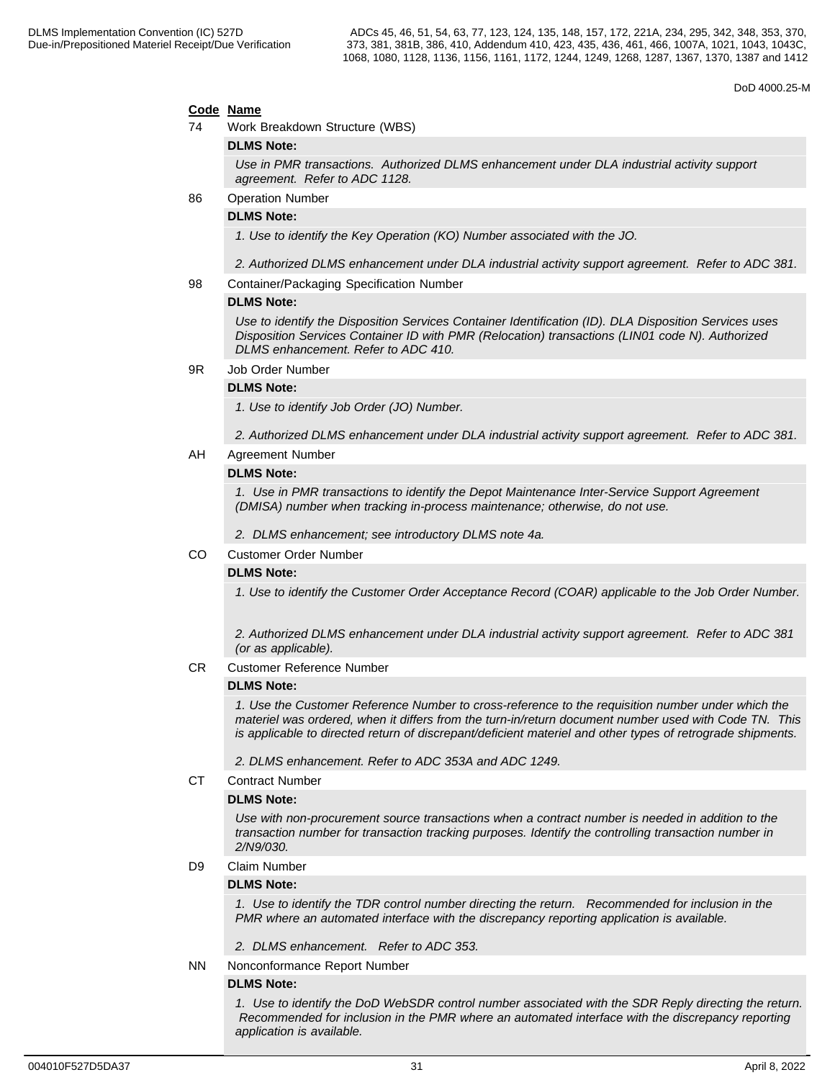DoD 4000.25-M

### **Code Name**

74 Work Breakdown Structure (WBS)

#### **DLMS Note:**

*Use in PMR transactions. Authorized DLMS enhancement under DLA industrial activity support agreement. Refer to ADC 1128.*

### 86 Operation Number

### **DLMS Note:**

*1. Use to identify the Key Operation (KO) Number associated with the JO.* 

*2. Authorized DLMS enhancement under DLA industrial activity support agreement. Refer to ADC 381.*

98 Container/Packaging Specification Number

#### **DLMS Note:**

*Use to identify the Disposition Services Container Identification (ID). DLA Disposition Services uses Disposition Services Container ID with PMR (Relocation) transactions (LIN01 code N). Authorized DLMS enhancement. Refer to ADC 410.*

#### 9R Job Order Number

#### **DLMS Note:**

*1. Use to identify Job Order (JO) Number.*

*2. Authorized DLMS enhancement under DLA industrial activity support agreement. Refer to ADC 381.*

#### AH Agreement Number

#### **DLMS Note:**

*1. Use in PMR transactions to identify the Depot Maintenance Inter-Service Support Agreement (DMISA) number when tracking in-process maintenance; otherwise, do not use.*

*2. DLMS enhancement; see introductory DLMS note 4a.*

#### CO Customer Order Number

#### **DLMS Note:**

*1. Use to identify the Customer Order Acceptance Record (COAR) applicable to the Job Order Number.*

*2. Authorized DLMS enhancement under DLA industrial activity support agreement. Refer to ADC 381 (or as applicable).*

CR Customer Reference Number

#### **DLMS Note:**

*1. Use the Customer Reference Number to cross-reference to the requisition number under which the materiel was ordered, when it differs from the turn-in/return document number used with Code TN. This is applicable to directed return of discrepant/deficient materiel and other types of retrograde shipments.*

*2. DLMS enhancement. Refer to ADC 353A and ADC 1249.*

CT Contract Number

#### **DLMS Note:**

*Use with non-procurement source transactions when a contract number is needed in addition to the transaction number for transaction tracking purposes. Identify the controlling transaction number in 2/N9/030.*

D9 Claim Number

#### **DLMS Note:**

*1. Use to identify the TDR control number directing the return. Recommended for inclusion in the PMR where an automated interface with the discrepancy reporting application is available.*

*2. DLMS enhancement. Refer to ADC 353.*

NN Nonconformance Report Number

#### **DLMS Note:**

*1. Use to identify the DoD WebSDR control number associated with the SDR Reply directing the return. Recommended for inclusion in the PMR where an automated interface with the discrepancy reporting application is available.*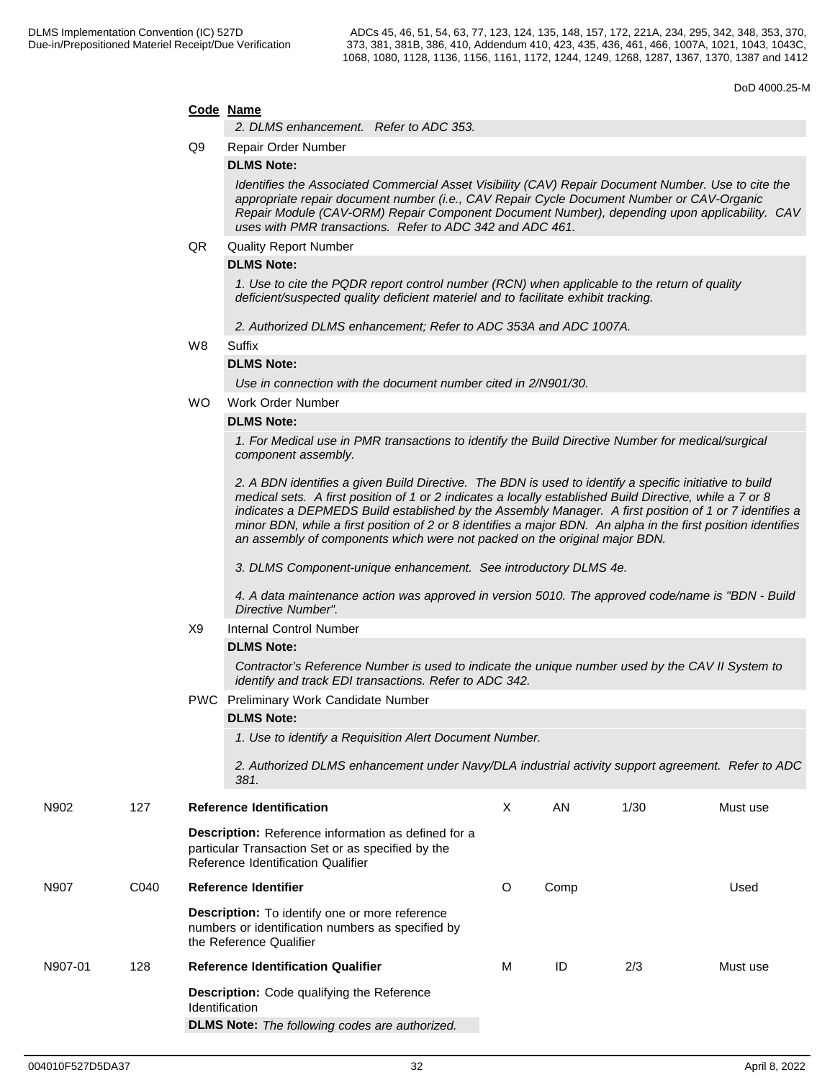DoD 4000.25-M

#### **Code Name**

*2. DLMS enhancement. Refer to ADC 353.*

Q9 Repair Order Number

### **DLMS Note:**

*Identifies the Associated Commercial Asset Visibility (CAV) Repair Document Number. Use to cite the appropriate repair document number (i.e., CAV Repair Cycle Document Number or CAV-Organic Repair Module (CAV-ORM) Repair Component Document Number), depending upon applicability. CAV uses with PMR transactions. Refer to ADC 342 and ADC 461.*

QR Quality Report Number

#### **DLMS Note:**

*1. Use to cite the PQDR report control number (RCN) when applicable to the return of quality deficient/suspected quality deficient materiel and to facilitate exhibit tracking.*

 *2. Authorized DLMS enhancement; Refer to ADC 353A and ADC 1007A.*

#### W8 Suffix **Suffix Suffix Suffix Suffix Suffix Suffix SUFFIX SUFFIX SUFFIX**

### **DLMS Note:**

*Use in connection with the document number cited in 2/N901/30.*

WO Work Order Number

#### **DLMS Note:**

*1. For Medical use in PMR transactions to identify the Build Directive Number for medical/surgical component assembly.* 

*2. A BDN identifies a given Build Directive. The BDN is used to identify a specific initiative to build medical sets. A first position of 1 or 2 indicates a locally established Build Directive, while a 7 or 8 indicates a DEPMEDS Build established by the Assembly Manager. A first position of 1 or 7 identifies a minor BDN, while a first position of 2 or 8 identifies a major BDN. An alpha in the first position identifies an assembly of components which were not packed on the original major BDN.*

*3. DLMS Component-unique enhancement. See introductory DLMS 4e.*

*4. A data maintenance action was approved in version 5010. The approved code/name is "BDN - Build Directive Number".*

X9 Internal Control Number

#### **DLMS Note:**

*Contractor's Reference Number is used to indicate the unique number used by the CAV II System to identify and track EDI transactions. Refer to ADC 342.*

PWC Preliminary Work Candidate Number

### **DLMS Note:**

*1. Use to identify a Requisition Alert Document Number.* 

*2. Authorized DLMS enhancement under Navy/DLA industrial activity support agreement. Refer to ADC 381.*

| N902    | 127  | <b>Reference Identification</b>                                                                                                                       | X | AN   | 1/30 | Must use |
|---------|------|-------------------------------------------------------------------------------------------------------------------------------------------------------|---|------|------|----------|
|         |      | <b>Description:</b> Reference information as defined for a<br>particular Transaction Set or as specified by the<br>Reference Identification Qualifier |   |      |      |          |
| N907    | C040 | Reference Identifier                                                                                                                                  | O | Comp |      | Used     |
|         |      | <b>Description:</b> To identify one or more reference<br>numbers or identification numbers as specified by<br>the Reference Qualifier                 |   |      |      |          |
| N907-01 | 128  | <b>Reference Identification Qualifier</b>                                                                                                             | M | ID   | 2/3  | Must use |
|         |      | <b>Description:</b> Code qualifying the Reference<br><b>Identification</b>                                                                            |   |      |      |          |
|         |      | <b>DLMS Note:</b> The following codes are authorized.                                                                                                 |   |      |      |          |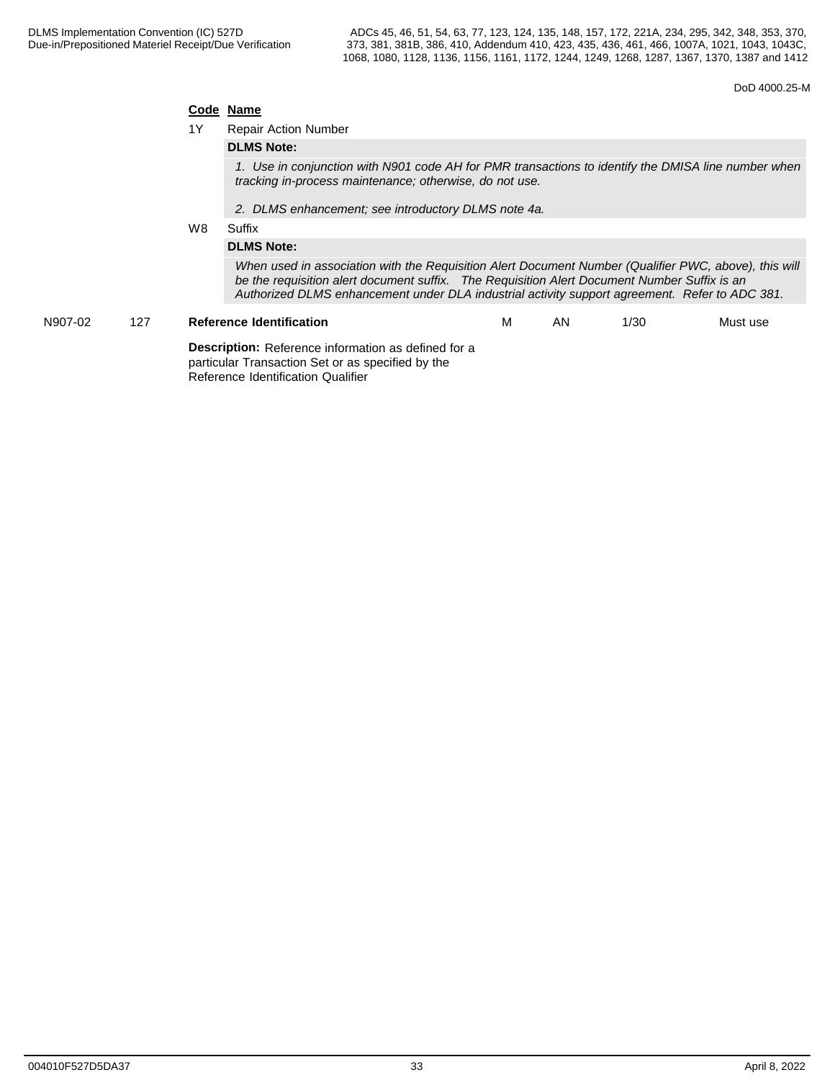DoD 4000.25-M

1/30 Must use

### **Code Name**

1Y Repair Action Number

#### **DLMS Note:**

*1. Use in conjunction with N901 code AH for PMR transactions to identify the DMISA line number when tracking in-process maintenance; otherwise, do not use.*

*2. DLMS enhancement; see introductory DLMS note 4a.*

### W8 Suffix

### **DLMS Note:**

*When used in association with the Requisition Alert Document Number (Qualifier PWC, above), this will be the requisition alert document suffix. The Requisition Alert Document Number Suffix is an Authorized DLMS enhancement under DLA industrial activity support agreement. Refer to ADC 381.*

## N907-02 127 **Reference Identification**

**Description:** Reference information as defined for a particular Transaction Set or as specified by the Reference Identification Qualifier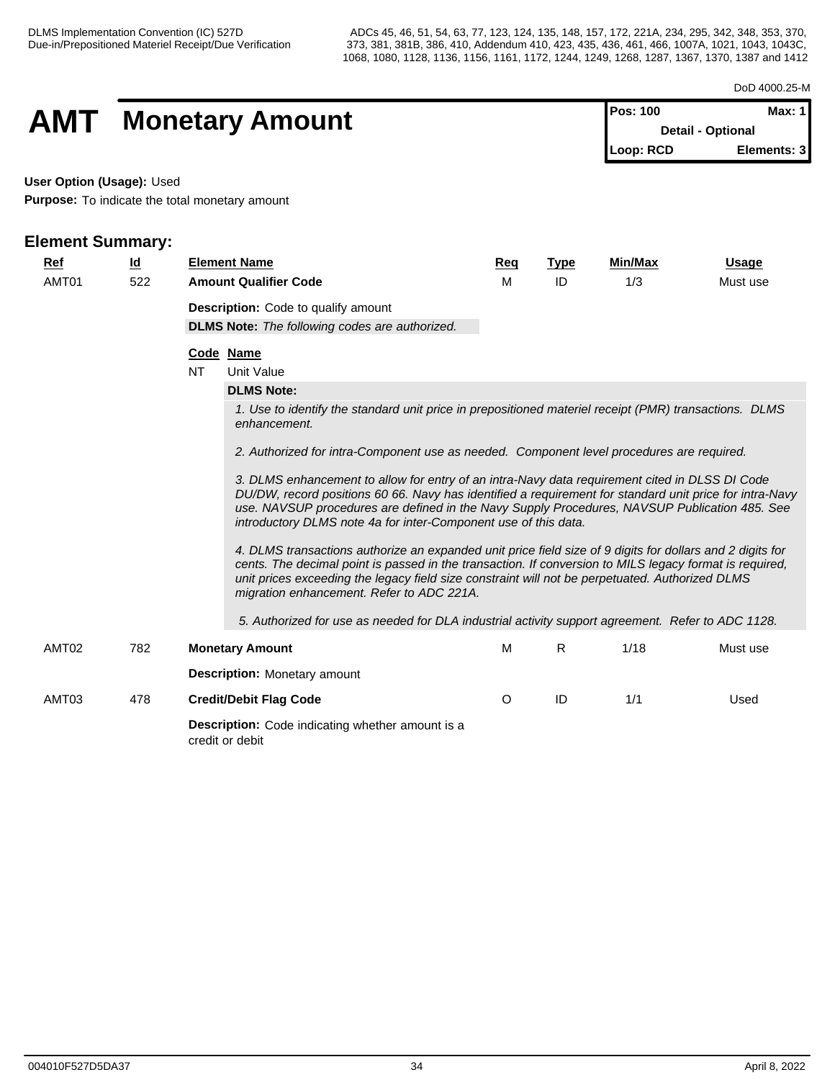DoD 4000.25-M

# **AMT** Monetary Amount

| $Pos: 100$               | Max: $1$    |  |
|--------------------------|-------------|--|
| <b>Detail - Optional</b> |             |  |
| Loop: RCD                | Elements: 3 |  |

**User Option (Usage):** Used

**Purpose:** To indicate the total monetary amount

| $Ref$ | $\underline{\mathsf{Id}}$ | <b>Element Name</b>                                                                                                                                                                                                                                                                                                                                                           | <b>Reg</b> | <b>Type</b>  | Min/Max | Usage    |
|-------|---------------------------|-------------------------------------------------------------------------------------------------------------------------------------------------------------------------------------------------------------------------------------------------------------------------------------------------------------------------------------------------------------------------------|------------|--------------|---------|----------|
| AMT01 | 522                       | <b>Amount Qualifier Code</b><br><b>Description:</b> Code to qualify amount                                                                                                                                                                                                                                                                                                    | M          | ID           | 1/3     | Must use |
|       |                           | <b>DLMS Note:</b> The following codes are authorized.                                                                                                                                                                                                                                                                                                                         |            |              |         |          |
|       |                           | Code Name<br><b>NT</b><br>Unit Value                                                                                                                                                                                                                                                                                                                                          |            |              |         |          |
|       |                           | <b>DLMS Note:</b>                                                                                                                                                                                                                                                                                                                                                             |            |              |         |          |
|       |                           | 1. Use to identify the standard unit price in prepositioned materiel receipt (PMR) transactions. DLMS<br>enhancement.<br>2. Authorized for intra-Component use as needed. Component level procedures are required.                                                                                                                                                            |            |              |         |          |
|       |                           | 3. DLMS enhancement to allow for entry of an intra-Navy data requirement cited in DLSS DI Code<br>DU/DW, record positions 60 66. Navy has identified a requirement for standard unit price for intra-Navy<br>use. NAVSUP procedures are defined in the Navy Supply Procedures, NAVSUP Publication 485. See<br>introductory DLMS note 4a for inter-Component use of this data. |            |              |         |          |
|       |                           | 4. DLMS transactions authorize an expanded unit price field size of 9 digits for dollars and 2 digits for<br>cents. The decimal point is passed in the transaction. If conversion to MILS legacy format is required,<br>unit prices exceeding the legacy field size constraint will not be perpetuated. Authorized DLMS<br>migration enhancement. Refer to ADC 221A.          |            |              |         |          |
|       |                           | 5. Authorized for use as needed for DLA industrial activity support agreement. Refer to ADC 1128.                                                                                                                                                                                                                                                                             |            |              |         |          |
| AMT02 | 782                       | <b>Monetary Amount</b>                                                                                                                                                                                                                                                                                                                                                        | M          | $\mathsf{R}$ | 1/18    | Must use |
|       |                           | <b>Description:</b> Monetary amount                                                                                                                                                                                                                                                                                                                                           |            |              |         |          |
| AMT03 | 478                       | <b>Credit/Debit Flag Code</b>                                                                                                                                                                                                                                                                                                                                                 | O          | ID           | 1/1     | Used     |
|       |                           | <b>Description:</b> Code indicating whether amount is a<br>credit or debit                                                                                                                                                                                                                                                                                                    |            |              |         |          |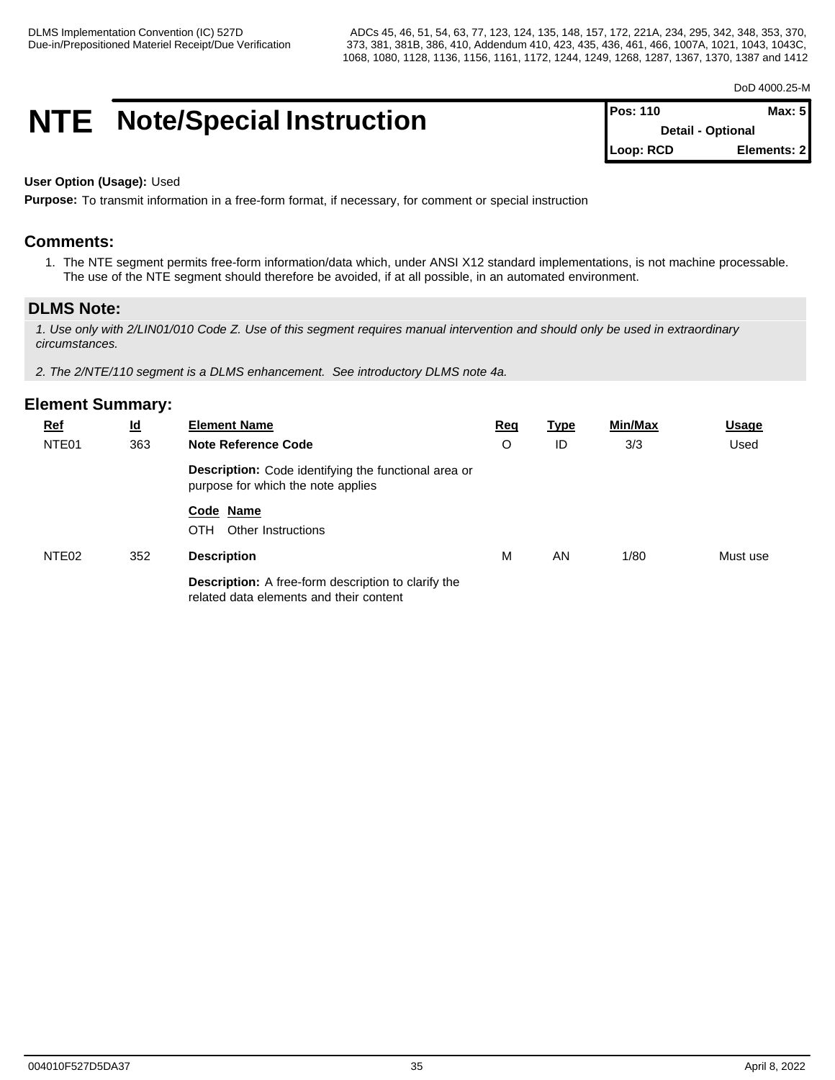DoD 4000.25-M

# **NTE Note/Special Instruction Pos:** 110 **Pos:** 110 **Max:** 5

**Detail - Optional Loop: RCD Elements: 2**

## **User Option (Usage):** Used

**Purpose:** To transmit information in a free-form format, if necessary, for comment or special instruction

# **Comments:**

1. The NTE segment permits free-form information/data which, under ANSI X12 standard implementations, is not machine processable. The use of the NTE segment should therefore be avoided, if at all possible, in an automated environment.

# **DLMS Note:**

*1. Use only with 2/LIN01/010 Code Z. Use of this segment requires manual intervention and should only be used in extraordinary circumstances.*

*2. The 2/NTE/110 segment is a DLMS enhancement. See introductory DLMS note 4a.* 

| $Ref$             | <u>ld</u> | <b>Element Name</b>                                                                                   | <b>Req</b> | <u>Type</u> | <b>Min/Max</b> | <b>Usage</b> |
|-------------------|-----------|-------------------------------------------------------------------------------------------------------|------------|-------------|----------------|--------------|
| NTE <sub>01</sub> | 363       | Note Reference Code                                                                                   | O          | ID          | 3/3            | Used         |
|                   |           | <b>Description:</b> Code identifying the functional area or<br>purpose for which the note applies     |            |             |                |              |
|                   |           | Code Name<br>Other Instructions<br>OTH                                                                |            |             |                |              |
| NTE <sub>02</sub> | 352       | <b>Description</b>                                                                                    | М          | AN          | 1/80           | Must use     |
|                   |           | <b>Description:</b> A free-form description to clarify the<br>related data elements and their content |            |             |                |              |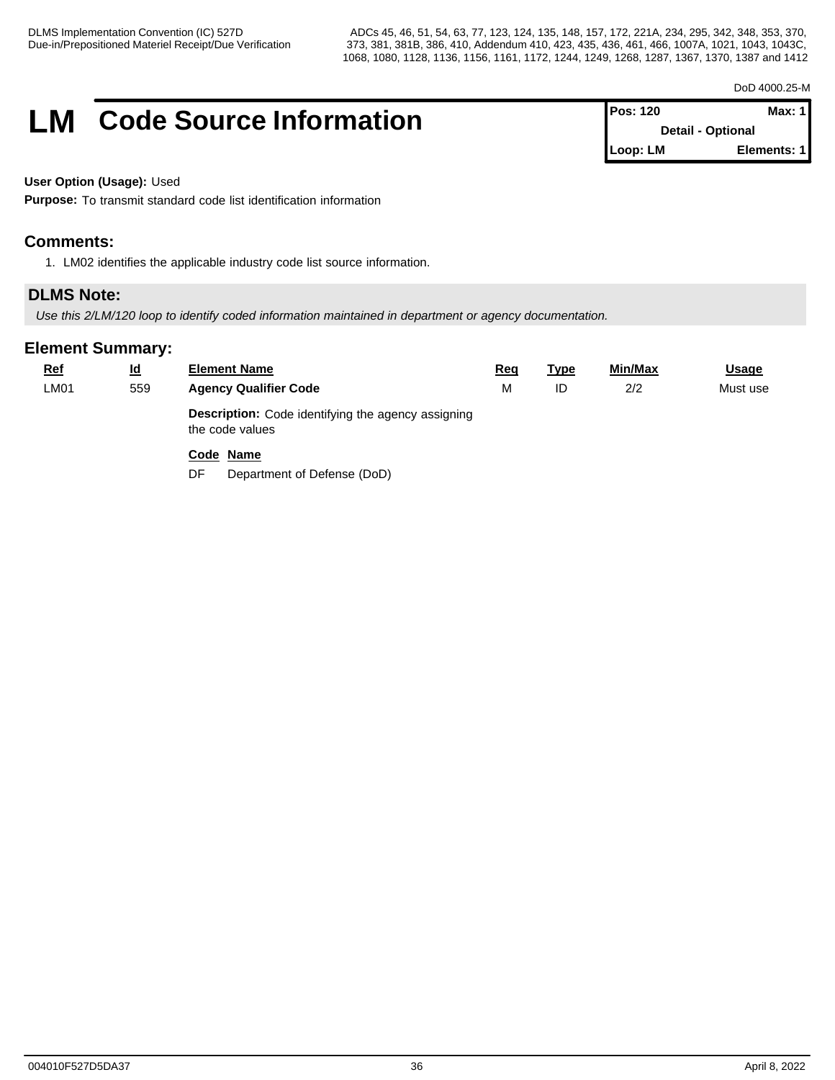DoD 4000.25-M

# **LM** Code Source Information **Pos: 120** Max: 1

**Detail - Optional Loop: LM Elements: 1**

## **User Option (Usage):** Used

**Purpose:** To transmit standard code list identification information

# **Comments:**

1. LM02 identifies the applicable industry code list source information.

# **DLMS Note:**

*Use this 2/LM/120 loop to identify coded information maintained in department or agency documentation.*

| $\underline{\mathsf{Id}}$ | <b>Element Name</b>                                                          | <u>Req</u> | <b>Type</b> | Min/Max | <b>Usage</b> |
|---------------------------|------------------------------------------------------------------------------|------------|-------------|---------|--------------|
| 559                       | <b>Agency Qualifier Code</b>                                                 | M          | ID          | 2/2     | Must use     |
|                           | <b>Description:</b> Code identifying the agency assigning<br>the code values |            |             |         |              |
|                           | Code Name<br>Department of Defense (DoD)<br>DF                               |            |             |         |              |
|                           |                                                                              |            |             |         |              |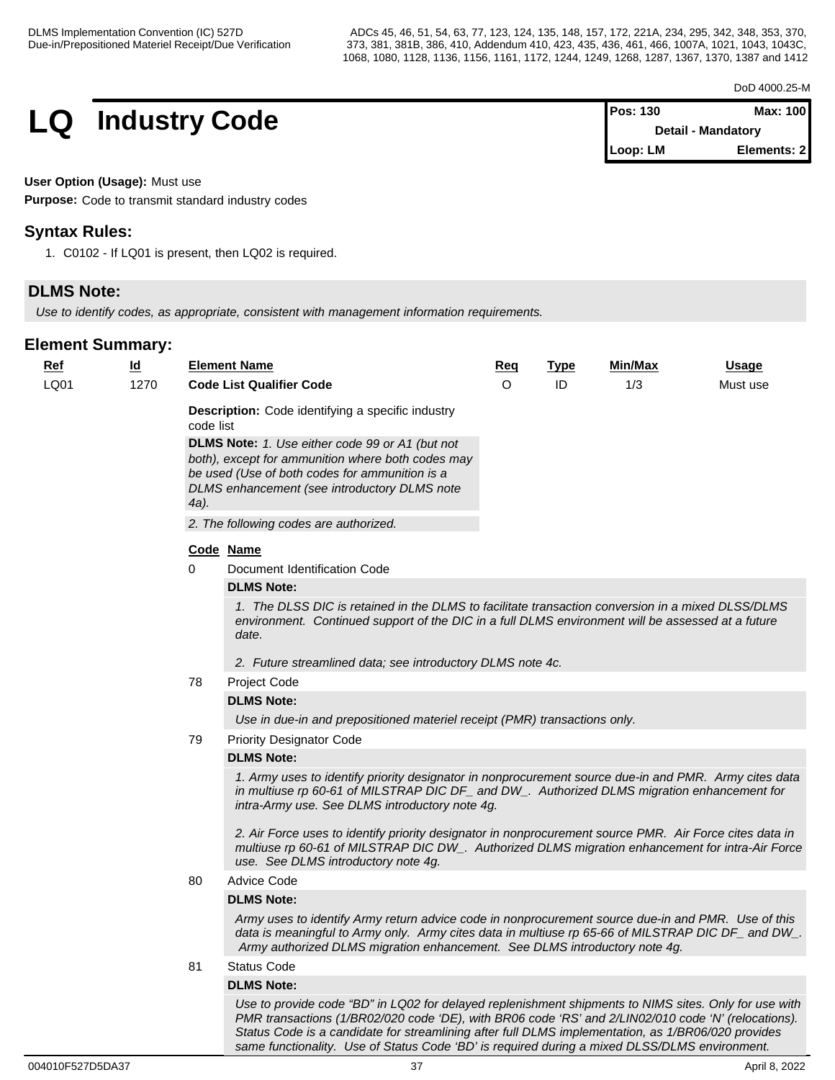DoD 4000.25-M

| LQ | <b>Industry Code</b> | <b>Pos: 130</b>       | Max: 100 |  |
|----|----------------------|-----------------------|----------|--|
|    |                      | - Mandatory<br>Detail |          |  |

| <b>Pos: 130</b> | Max: 100                  |  |
|-----------------|---------------------------|--|
|                 | <b>Detail - Mandatory</b> |  |
| Loop: LM        | Elements: 2               |  |

### **User Option (Usage):** Must use

**Purpose:** Code to transmit standard industry codes

# **Syntax Rules:**

1. C0102 - If LQ01 is present, then LQ02 is required.

## **DLMS Note:**

*Use to identify codes, as appropriate, consistent with management information requirements.*

## **Element Summary:**

| Ref  | <u>ld</u> |           | <b>Element Name</b>                                                                                                                                                                                                                                                                                                                                               | Req      | <u>Type</u> | Min/Max | Usage    |
|------|-----------|-----------|-------------------------------------------------------------------------------------------------------------------------------------------------------------------------------------------------------------------------------------------------------------------------------------------------------------------------------------------------------------------|----------|-------------|---------|----------|
| LQ01 | 1270      |           | <b>Code List Qualifier Code</b>                                                                                                                                                                                                                                                                                                                                   | $\Omega$ | ID          | 1/3     | Must use |
|      |           | code list | <b>Description:</b> Code identifying a specific industry                                                                                                                                                                                                                                                                                                          |          |             |         |          |
|      |           |           | DLMS Note: 1. Use either code 99 or A1 (but not                                                                                                                                                                                                                                                                                                                   |          |             |         |          |
|      |           |           | both), except for ammunition where both codes may                                                                                                                                                                                                                                                                                                                 |          |             |         |          |
|      |           |           | be used (Use of both codes for ammunition is a<br>DLMS enhancement (see introductory DLMS note                                                                                                                                                                                                                                                                    |          |             |         |          |
|      |           | 4a).      |                                                                                                                                                                                                                                                                                                                                                                   |          |             |         |          |
|      |           |           | 2. The following codes are authorized.                                                                                                                                                                                                                                                                                                                            |          |             |         |          |
|      |           |           | Code Name                                                                                                                                                                                                                                                                                                                                                         |          |             |         |          |
|      |           | 0         | Document Identification Code                                                                                                                                                                                                                                                                                                                                      |          |             |         |          |
|      |           |           | <b>DLMS Note:</b>                                                                                                                                                                                                                                                                                                                                                 |          |             |         |          |
|      |           |           | 1. The DLSS DIC is retained in the DLMS to facilitate transaction conversion in a mixed DLSS/DLMS<br>environment. Continued support of the DIC in a full DLMS environment will be assessed at a future<br>date.                                                                                                                                                   |          |             |         |          |
|      |           |           | 2. Future streamlined data; see introductory DLMS note 4c.                                                                                                                                                                                                                                                                                                        |          |             |         |          |
|      |           | 78        | Project Code                                                                                                                                                                                                                                                                                                                                                      |          |             |         |          |
|      |           |           | <b>DLMS Note:</b>                                                                                                                                                                                                                                                                                                                                                 |          |             |         |          |
|      |           |           | Use in due-in and prepositioned materiel receipt (PMR) transactions only.                                                                                                                                                                                                                                                                                         |          |             |         |          |
|      |           | 79        | <b>Priority Designator Code</b>                                                                                                                                                                                                                                                                                                                                   |          |             |         |          |
|      |           |           | <b>DLMS Note:</b>                                                                                                                                                                                                                                                                                                                                                 |          |             |         |          |
|      |           |           | 1. Army uses to identify priority designator in nonprocurement source due-in and PMR. Army cites data<br>in multiuse rp 60-61 of MILSTRAP DIC DF_ and DW_. Authorized DLMS migration enhancement for<br>intra-Army use. See DLMS introductory note 4g.<br>2. Air Force uses to identify priority designator in nonprocurement source PMR. Air Force cites data in |          |             |         |          |
|      |           |           | multiuse rp 60-61 of MILSTRAP DIC DW_. Authorized DLMS migration enhancement for intra-Air Force<br>use. See DLMS introductory note 4g.                                                                                                                                                                                                                           |          |             |         |          |
|      |           | 80        | Advice Code                                                                                                                                                                                                                                                                                                                                                       |          |             |         |          |
|      |           |           | <b>DLMS Note:</b>                                                                                                                                                                                                                                                                                                                                                 |          |             |         |          |
|      |           |           | Army uses to identify Army return advice code in nonprocurement source due-in and PMR. Use of this<br>data is meaningful to Army only. Army cites data in multiuse rp 65-66 of MILSTRAP DIC DF_ and DW_.<br>Army authorized DLMS migration enhancement. See DLMS introductory note 4g.                                                                            |          |             |         |          |
|      |           | 81        | <b>Status Code</b>                                                                                                                                                                                                                                                                                                                                                |          |             |         |          |
|      |           |           | <b>DLMS Note:</b>                                                                                                                                                                                                                                                                                                                                                 |          |             |         |          |
|      |           |           | Use to provide code "BD" in LQ02 for delayed replenishment shipments to NIMS sites. Only for use with<br>PMR transactions (1/BR02/020 code 'DE), with BR06 code 'RS' and 2/LIN02/010 code 'N' (relocations).                                                                                                                                                      |          |             |         |          |

*Status Code is a candidate for streamlining after full DLMS implementation, as 1/BR06/020 provides same functionality. Use of Status Code 'BD' is required during a mixed DLSS/DLMS environment.*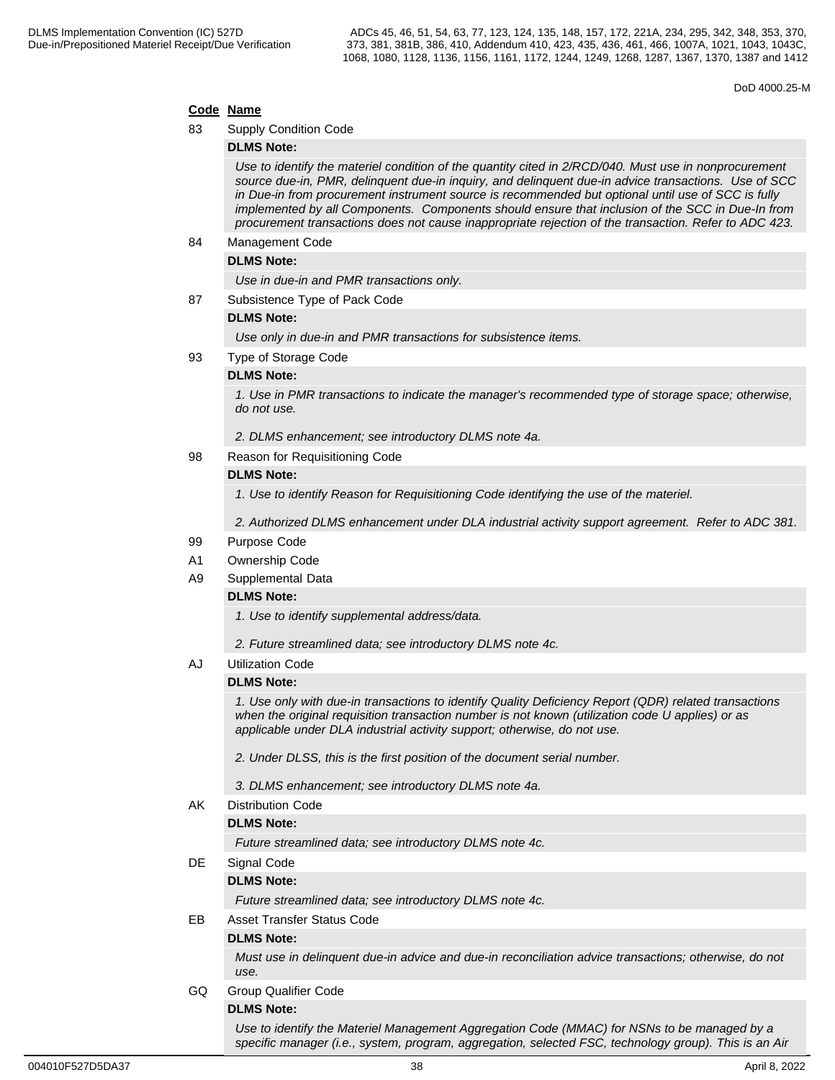DoD 4000.25-M

|                | Code Name                                                                                                                                                                                                                                                                                                                                                                                                                                                                                                                        |  |
|----------------|----------------------------------------------------------------------------------------------------------------------------------------------------------------------------------------------------------------------------------------------------------------------------------------------------------------------------------------------------------------------------------------------------------------------------------------------------------------------------------------------------------------------------------|--|
| 83             | <b>Supply Condition Code</b>                                                                                                                                                                                                                                                                                                                                                                                                                                                                                                     |  |
|                | <b>DLMS Note:</b>                                                                                                                                                                                                                                                                                                                                                                                                                                                                                                                |  |
|                | Use to identify the materiel condition of the quantity cited in 2/RCD/040. Must use in nonprocurement<br>source due-in, PMR, delinquent due-in inquiry, and delinquent due-in advice transactions. Use of SCC<br>in Due-in from procurement instrument source is recommended but optional until use of SCC is fully<br>implemented by all Components. Components should ensure that inclusion of the SCC in Due-In from<br>procurement transactions does not cause inappropriate rejection of the transaction. Refer to ADC 423. |  |
| 84             | Management Code                                                                                                                                                                                                                                                                                                                                                                                                                                                                                                                  |  |
|                | <b>DLMS Note:</b>                                                                                                                                                                                                                                                                                                                                                                                                                                                                                                                |  |
|                | Use in due-in and PMR transactions only.                                                                                                                                                                                                                                                                                                                                                                                                                                                                                         |  |
| 87             | Subsistence Type of Pack Code<br><b>DLMS Note:</b>                                                                                                                                                                                                                                                                                                                                                                                                                                                                               |  |
|                | Use only in due-in and PMR transactions for subsistence items.                                                                                                                                                                                                                                                                                                                                                                                                                                                                   |  |
| 93             | Type of Storage Code                                                                                                                                                                                                                                                                                                                                                                                                                                                                                                             |  |
|                | <b>DLMS Note:</b>                                                                                                                                                                                                                                                                                                                                                                                                                                                                                                                |  |
|                | 1. Use in PMR transactions to indicate the manager's recommended type of storage space; otherwise,<br>do not use.                                                                                                                                                                                                                                                                                                                                                                                                                |  |
|                | 2. DLMS enhancement; see introductory DLMS note 4a.                                                                                                                                                                                                                                                                                                                                                                                                                                                                              |  |
| 98             | Reason for Requisitioning Code                                                                                                                                                                                                                                                                                                                                                                                                                                                                                                   |  |
|                | <b>DLMS Note:</b>                                                                                                                                                                                                                                                                                                                                                                                                                                                                                                                |  |
|                | 1. Use to identify Reason for Requisitioning Code identifying the use of the materiel.                                                                                                                                                                                                                                                                                                                                                                                                                                           |  |
|                | 2. Authorized DLMS enhancement under DLA industrial activity support agreement. Refer to ADC 381.                                                                                                                                                                                                                                                                                                                                                                                                                                |  |
| 99             | Purpose Code                                                                                                                                                                                                                                                                                                                                                                                                                                                                                                                     |  |
| A1             | Ownership Code                                                                                                                                                                                                                                                                                                                                                                                                                                                                                                                   |  |
| A <sub>9</sub> | Supplemental Data                                                                                                                                                                                                                                                                                                                                                                                                                                                                                                                |  |
|                | <b>DLMS Note:</b>                                                                                                                                                                                                                                                                                                                                                                                                                                                                                                                |  |
|                | 1. Use to identify supplemental address/data.                                                                                                                                                                                                                                                                                                                                                                                                                                                                                    |  |
|                | 2. Future streamlined data; see introductory DLMS note 4c.                                                                                                                                                                                                                                                                                                                                                                                                                                                                       |  |
| AJ             | <b>Utilization Code</b>                                                                                                                                                                                                                                                                                                                                                                                                                                                                                                          |  |
|                | <b>DLMS Note:</b>                                                                                                                                                                                                                                                                                                                                                                                                                                                                                                                |  |
|                | 1. Use only with due-in transactions to identify Quality Deficiency Report (QDR) related transactions<br>when the original requisition transaction number is not known (utilization code U applies) or as<br>applicable under DLA industrial activity support; otherwise, do not use.                                                                                                                                                                                                                                            |  |
|                | 2. Under DLSS, this is the first position of the document serial number.                                                                                                                                                                                                                                                                                                                                                                                                                                                         |  |
|                | 3. DLMS enhancement; see introductory DLMS note 4a.                                                                                                                                                                                                                                                                                                                                                                                                                                                                              |  |
| AK             | <b>Distribution Code</b>                                                                                                                                                                                                                                                                                                                                                                                                                                                                                                         |  |
|                | <b>DLMS Note:</b>                                                                                                                                                                                                                                                                                                                                                                                                                                                                                                                |  |
|                | Future streamlined data; see introductory DLMS note 4c.                                                                                                                                                                                                                                                                                                                                                                                                                                                                          |  |
| DE             | Signal Code                                                                                                                                                                                                                                                                                                                                                                                                                                                                                                                      |  |
|                | <b>DLMS Note:</b>                                                                                                                                                                                                                                                                                                                                                                                                                                                                                                                |  |
|                | Future streamlined data; see introductory DLMS note 4c.                                                                                                                                                                                                                                                                                                                                                                                                                                                                          |  |
| EB             | <b>Asset Transfer Status Code</b>                                                                                                                                                                                                                                                                                                                                                                                                                                                                                                |  |
|                | <b>DLMS Note:</b>                                                                                                                                                                                                                                                                                                                                                                                                                                                                                                                |  |
|                | Must use in delinquent due-in advice and due-in reconciliation advice transactions; otherwise, do not<br>use.                                                                                                                                                                                                                                                                                                                                                                                                                    |  |
| GQ             | <b>Group Qualifier Code</b>                                                                                                                                                                                                                                                                                                                                                                                                                                                                                                      |  |
|                | <b>DLMS Note:</b>                                                                                                                                                                                                                                                                                                                                                                                                                                                                                                                |  |
|                | Use to identify the Materiel Management Aggregation Code (MMAC) for NSNs to be managed by a<br>specific manager (i.e., system, program, aggregation, selected FSC, technology group). This is an Air                                                                                                                                                                                                                                                                                                                             |  |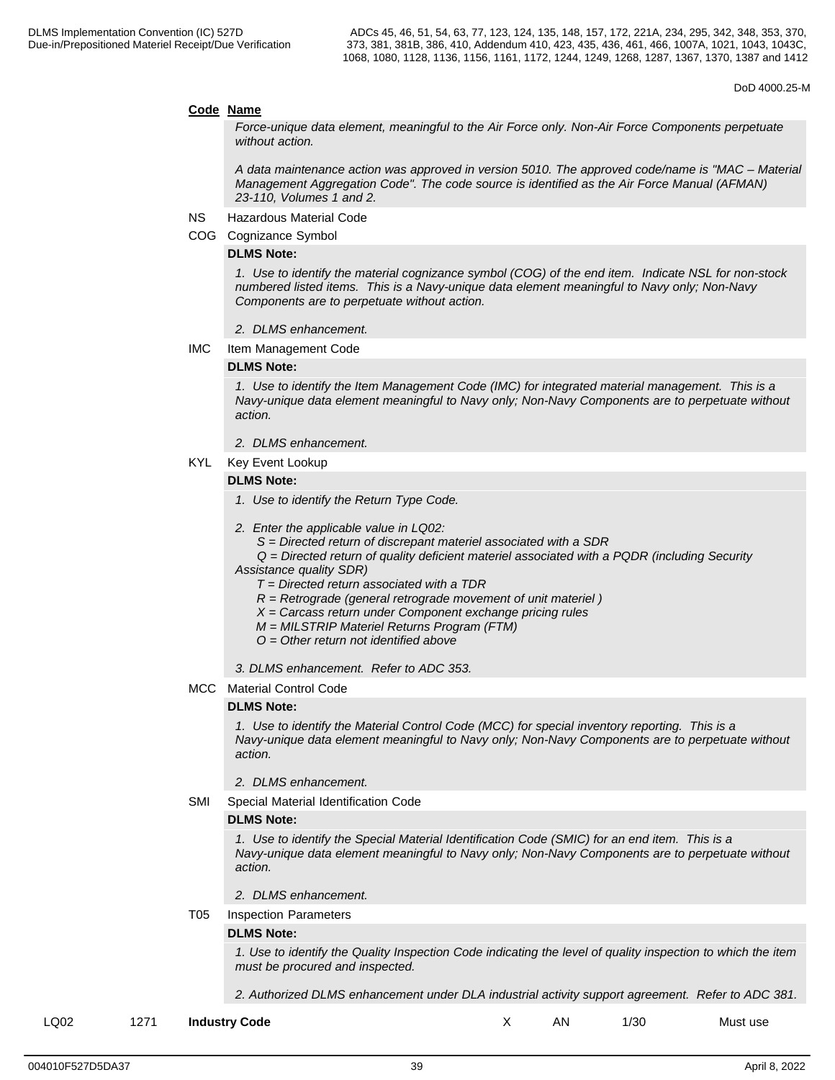DoD 4000.25-M

### **Code Name**

*Force-unique data element, meaningful to the Air Force only. Non-Air Force Components perpetuate without action.* 

*A data maintenance action was approved in version 5010. The approved code/name is "MAC – Material Management Aggregation Code". The code source is identified as the Air Force Manual (AFMAN) 23-110, Volumes 1 and 2.*

- NS Hazardous Material Code
- COG Cognizance Symbol

### **DLMS Note:**

*1. Use to identify the material cognizance symbol (COG) of the end item. Indicate NSL for non-stock numbered listed items. This is a Navy-unique data element meaningful to Navy only; Non-Navy Components are to perpetuate without action.*

- *2. DLMS enhancement.*
- IMC Item Management Code

#### **DLMS Note:**

*1. Use to identify the Item Management Code (IMC) for integrated material management. This is a Navy-unique data element meaningful to Navy only; Non-Navy Components are to perpetuate without action.*

- *2. DLMS enhancement.*
- KYL Key Event Lookup

#### **DLMS Note:**

- *1. Use to identify the Return Type Code.*
- *2. Enter the applicable value in LQ02:*
	- *S = Directed return of discrepant materiel associated with a SDR*
	- *Q = Directed return of quality deficient materiel associated with a PQDR (including Security*

*Assistance quality SDR)*

- *T = Directed return associated with a TDR*
- *R = Retrograde (general retrograde movement of unit materiel )*
- *X = Carcass return under Component exchange pricing rules*
- *M = MILSTRIP Materiel Returns Program (FTM)*
- *O = Other return not identified above*
- *3. DLMS enhancement. Refer to ADC 353.*
- MCC Material Control Code

### **DLMS Note:**

*1. Use to identify the Material Control Code (MCC) for special inventory reporting. This is a Navy-unique data element meaningful to Navy only; Non-Navy Components are to perpetuate without action.*

- *2. DLMS enhancement.*
- SMI Special Material Identification Code

#### **DLMS Note:**

*1. Use to identify the Special Material Identification Code (SMIC) for an end item. This is a Navy-unique data element meaningful to Navy only; Non-Navy Components are to perpetuate without action.*

*2. DLMS enhancement.*

T05 Inspection Parameters

#### **DLMS Note:**

*1. Use to identify the Quality Inspection Code indicating the level of quality inspection to which the item must be procured and inspected.*

*2. Authorized DLMS enhancement under DLA industrial activity support agreement. Refer to ADC 381.*

LQ02 1271 **Industry Code** X AN 1/30 Must use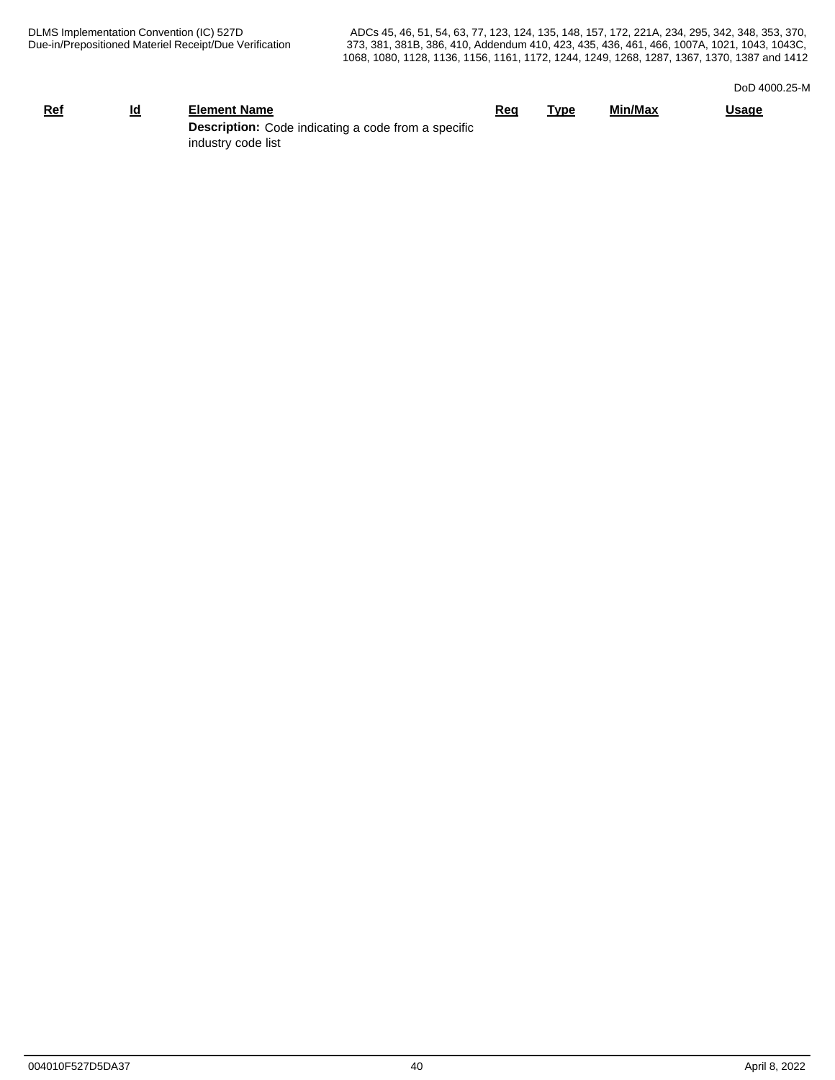DoD 4000.25-M

| <b>Ref</b> | <u>ia</u> | Element Name                                               | Req | Tvpe | Min/Max | Jsage |
|------------|-----------|------------------------------------------------------------|-----|------|---------|-------|
|            |           | <b>Description:</b> Code indicating a code from a specific |     |      |         |       |
|            |           | industry code list                                         |     |      |         |       |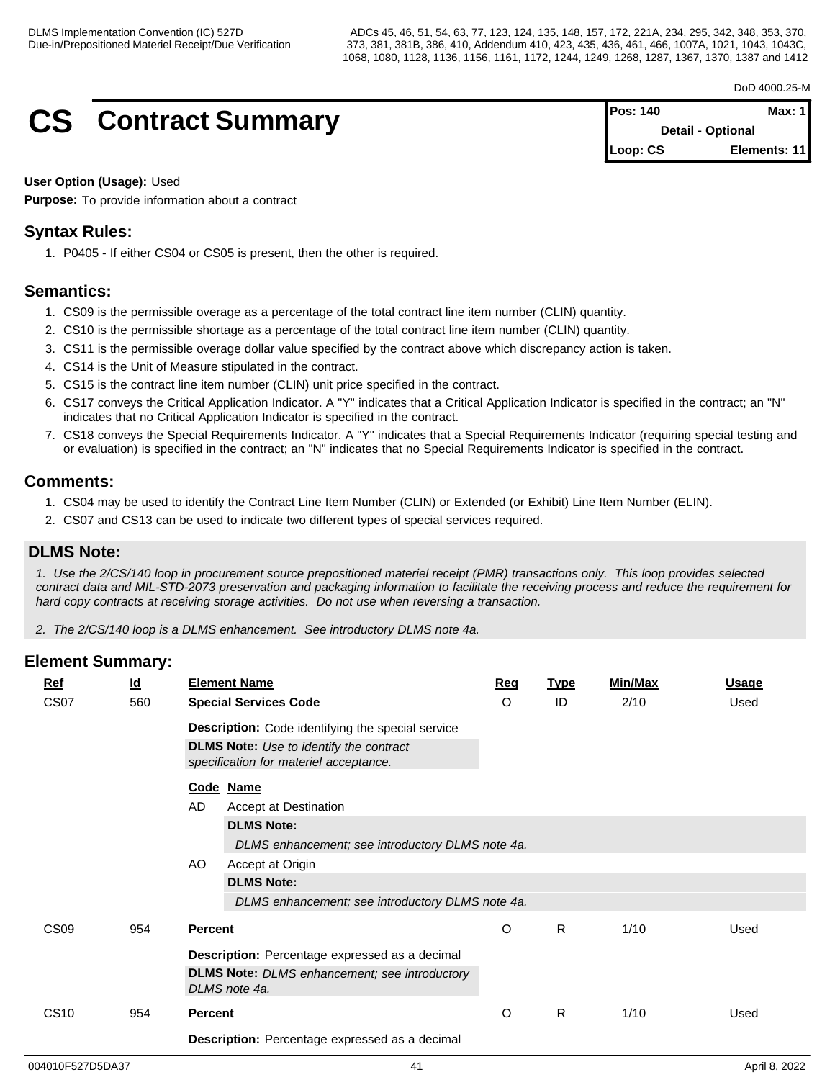DoD 4000.25-M

# **CS** Contract Summary **Pos: 140 Pos: 140 Max: 1**

**Detail - Optional Loop: CS Elements: 11**

## **User Option (Usage):** Used

**Purpose:** To provide information about a contract

# **Syntax Rules:**

1. P0405 - If either CS04 or CS05 is present, then the other is required.

# **Semantics:**

- 1. CS09 is the permissible overage as a percentage of the total contract line item number (CLIN) quantity.
- 2. CS10 is the permissible shortage as a percentage of the total contract line item number (CLIN) quantity.
- 3. CS11 is the permissible overage dollar value specified by the contract above which discrepancy action is taken.
- 4. CS14 is the Unit of Measure stipulated in the contract.
- 5. CS15 is the contract line item number (CLIN) unit price specified in the contract.
- 6. CS17 conveys the Critical Application Indicator. A "Y" indicates that a Critical Application Indicator is specified in the contract; an "N" indicates that no Critical Application Indicator is specified in the contract.
- 7. CS18 conveys the Special Requirements Indicator. A "Y" indicates that a Special Requirements Indicator (requiring special testing and or evaluation) is specified in the contract; an "N" indicates that no Special Requirements Indicator is specified in the contract.

# **Comments:**

- 1. CS04 may be used to identify the Contract Line Item Number (CLIN) or Extended (or Exhibit) Line Item Number (ELIN).
- 2. CS07 and CS13 can be used to indicate two different types of special services required.

# **DLMS Note:**

*1. Use the 2/CS/140 loop in procurement source prepositioned materiel receipt (PMR) transactions only. This loop provides selected contract data and MIL-STD-2073 preservation and packaging information to facilitate the receiving process and reduce the requirement for hard copy contracts at receiving storage activities. Do not use when reversing a transaction.*

*2. The 2/CS/140 loop is a DLMS enhancement. See introductory DLMS note 4a.*

| <b>Ref</b>       | $\underline{\mathsf{Id}}$ |         | <b>Element Name</b>                                                                      | Reg     | <b>Type</b> | <b>Min/Max</b> | <b>Usage</b> |
|------------------|---------------------------|---------|------------------------------------------------------------------------------------------|---------|-------------|----------------|--------------|
| CS07             | 560                       |         | <b>Special Services Code</b>                                                             | $\circ$ | ID          | 2/10           | Used         |
|                  |                           |         | Description: Code identifying the special service                                        |         |             |                |              |
|                  |                           |         | <b>DLMS Note:</b> Use to identify the contract<br>specification for materiel acceptance. |         |             |                |              |
|                  |                           |         | Code Name                                                                                |         |             |                |              |
|                  |                           | AD.     | Accept at Destination                                                                    |         |             |                |              |
|                  |                           |         | <b>DLMS Note:</b>                                                                        |         |             |                |              |
|                  |                           |         | DLMS enhancement; see introductory DLMS note 4a.                                         |         |             |                |              |
|                  |                           | AO      | Accept at Origin                                                                         |         |             |                |              |
|                  |                           |         | <b>DLMS Note:</b>                                                                        |         |             |                |              |
|                  |                           |         | DLMS enhancement; see introductory DLMS note 4a.                                         |         |             |                |              |
| CS <sub>09</sub> | 954                       | Percent |                                                                                          | O       | R           | 1/10           | Used         |
|                  |                           |         | Description: Percentage expressed as a decimal                                           |         |             |                |              |
|                  |                           |         | <b>DLMS Note:</b> DLMS enhancement; see introductory<br>DLMS note 4a.                    |         |             |                |              |
| <b>CS10</b>      | 954                       | Percent |                                                                                          | O       | R.          | 1/10           | Used         |
|                  |                           |         | Description: Percentage expressed as a decimal                                           |         |             |                |              |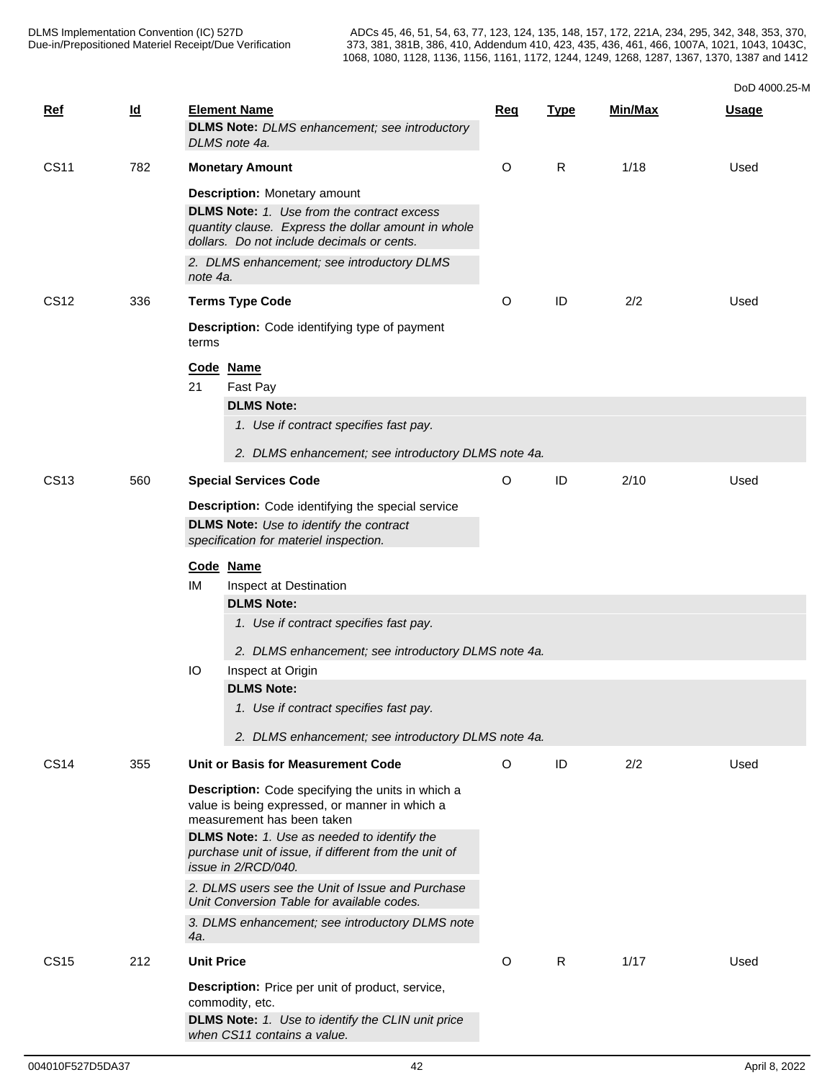| <b>Ref</b>  | $\underline{\mathsf{Id}}$ | <b>Element Name</b><br><b>DLMS Note:</b> DLMS enhancement; see introductory<br>DLMS note 4a.                                                                                                                                                                                                                                                                                                                                                                                                                                                             | Req     | <b>Type</b> | Min/Max | DoD 4000.25-M<br><b>Usage</b> |
|-------------|---------------------------|----------------------------------------------------------------------------------------------------------------------------------------------------------------------------------------------------------------------------------------------------------------------------------------------------------------------------------------------------------------------------------------------------------------------------------------------------------------------------------------------------------------------------------------------------------|---------|-------------|---------|-------------------------------|
| <b>CS11</b> | 782                       | <b>Monetary Amount</b><br><b>Description: Monetary amount</b><br><b>DLMS Note:</b> 1. Use from the contract excess<br>quantity clause. Express the dollar amount in whole<br>dollars. Do not include decimals or cents.<br>2. DLMS enhancement; see introductory DLMS<br>note 4a.                                                                                                                                                                                                                                                                        | O       | R           | 1/18    | Used                          |
| <b>CS12</b> | 336                       | <b>Terms Type Code</b><br>Description: Code identifying type of payment<br>terms<br>Code Name<br>Fast Pay<br>21<br><b>DLMS Note:</b><br>1. Use if contract specifies fast pay.                                                                                                                                                                                                                                                                                                                                                                           | $\circ$ | ID          | 2/2     | Used                          |
| <b>CS13</b> | 560                       | 2. DLMS enhancement; see introductory DLMS note 4a.<br><b>Special Services Code</b><br>Description: Code identifying the special service<br><b>DLMS Note:</b> Use to identify the contract<br>specification for materiel inspection.<br>Code Name<br>Inspect at Destination<br>IМ<br><b>DLMS Note:</b><br>1. Use if contract specifies fast pay.<br>2. DLMS enhancement; see introductory DLMS note 4a.<br>IО<br>Inspect at Origin<br><b>DLMS Note:</b><br>1. Use if contract specifies fast pay.<br>2. DLMS enhancement; see introductory DLMS note 4a. | $\circ$ | ID          | 2/10    | Used                          |
| <b>CS14</b> | 355                       | Unit or Basis for Measurement Code<br>Description: Code specifying the units in which a<br>value is being expressed, or manner in which a<br>measurement has been taken<br><b>DLMS Note:</b> 1. Use as needed to identify the<br>purchase unit of issue, if different from the unit of<br>issue in 2/RCD/040.<br>2. DLMS users see the Unit of Issue and Purchase<br>Unit Conversion Table for available codes.<br>3. DLMS enhancement; see introductory DLMS note<br>4a.                                                                                | $\circ$ | ID          | 2/2     | Used                          |
| <b>CS15</b> | 212                       | <b>Unit Price</b><br>Description: Price per unit of product, service,<br>commodity, etc.<br><b>DLMS Note:</b> 1. Use to identify the CLIN unit price<br>when CS11 contains a value.                                                                                                                                                                                                                                                                                                                                                                      | $\circ$ | R.          | 1/17    | Used                          |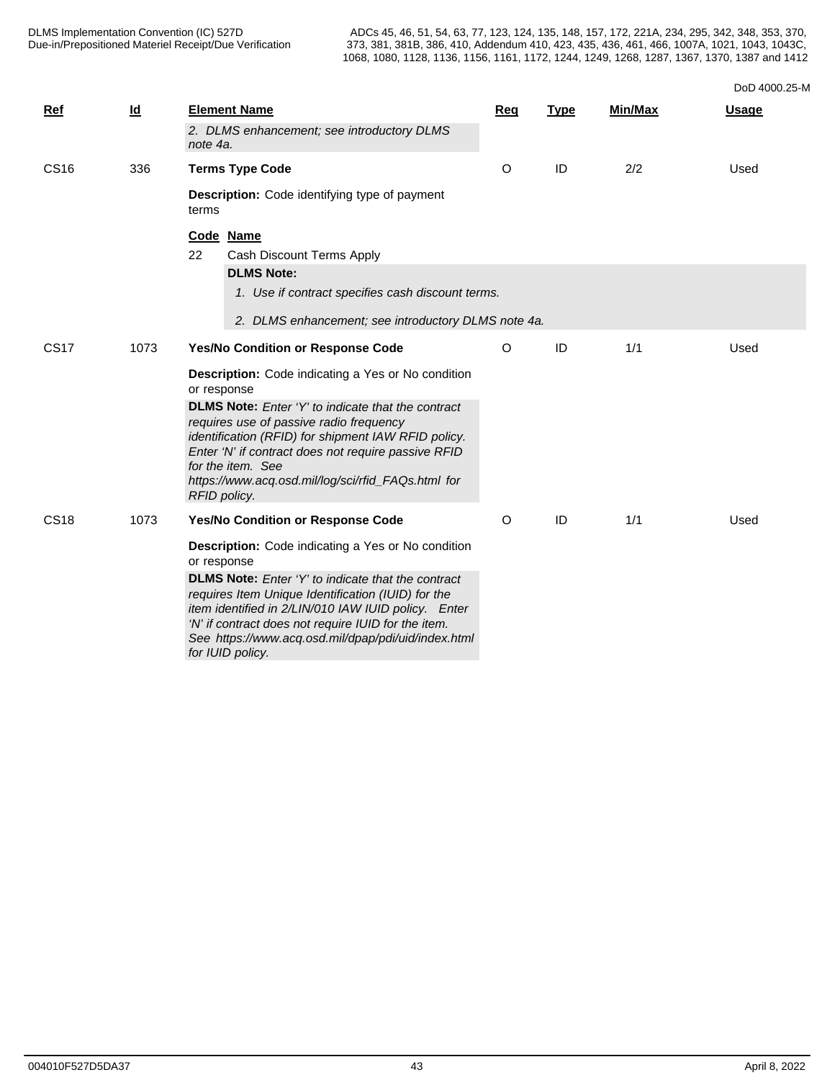|             |                           |                                                                                                                                                                                                                                                                                                                                                                                                                                |         |             |         | DoD 4000.25-M |
|-------------|---------------------------|--------------------------------------------------------------------------------------------------------------------------------------------------------------------------------------------------------------------------------------------------------------------------------------------------------------------------------------------------------------------------------------------------------------------------------|---------|-------------|---------|---------------|
| <b>Ref</b>  | $\underline{\mathsf{Id}}$ | <b>Element Name</b>                                                                                                                                                                                                                                                                                                                                                                                                            | Req     | <b>Type</b> | Min/Max | <b>Usage</b>  |
|             |                           | 2. DLMS enhancement; see introductory DLMS<br>note 4a.                                                                                                                                                                                                                                                                                                                                                                         |         |             |         |               |
| <b>CS16</b> | 336                       | <b>Terms Type Code</b>                                                                                                                                                                                                                                                                                                                                                                                                         | $\circ$ | ID          | 2/2     | Used          |
|             |                           | <b>Description:</b> Code identifying type of payment<br>terms                                                                                                                                                                                                                                                                                                                                                                  |         |             |         |               |
|             |                           | Code Name<br>22<br>Cash Discount Terms Apply<br><b>DLMS Note:</b><br>1. Use if contract specifies cash discount terms.<br>2. DLMS enhancement; see introductory DLMS note 4a.                                                                                                                                                                                                                                                  |         |             |         |               |
| <b>CS17</b> | 1073                      | <b>Yes/No Condition or Response Code</b><br>Description: Code indicating a Yes or No condition<br>or response<br><b>DLMS Note:</b> Enter 'Y' to indicate that the contract<br>requires use of passive radio frequency<br>identification (RFID) for shipment IAW RFID policy.<br>Enter 'N' if contract does not require passive RFID<br>for the item. See<br>https://www.acq.osd.mil/log/sci/rfid_FAQs.html for<br>RFID policy. | O       | ID          | 1/1     | Used          |
| <b>CS18</b> | 1073                      | Yes/No Condition or Response Code<br>Description: Code indicating a Yes or No condition<br>or response<br><b>DLMS Note:</b> Enter 'Y' to indicate that the contract<br>requires Item Unique Identification (IUID) for the<br>item identified in 2/LIN/010 IAW IUID policy. Enter<br>'N' if contract does not require IUID for the item.<br>See https://www.acq.osd.mil/dpap/pdi/uid/index.html<br>for IUID policy.             | O       | ID          | 1/1     | Used          |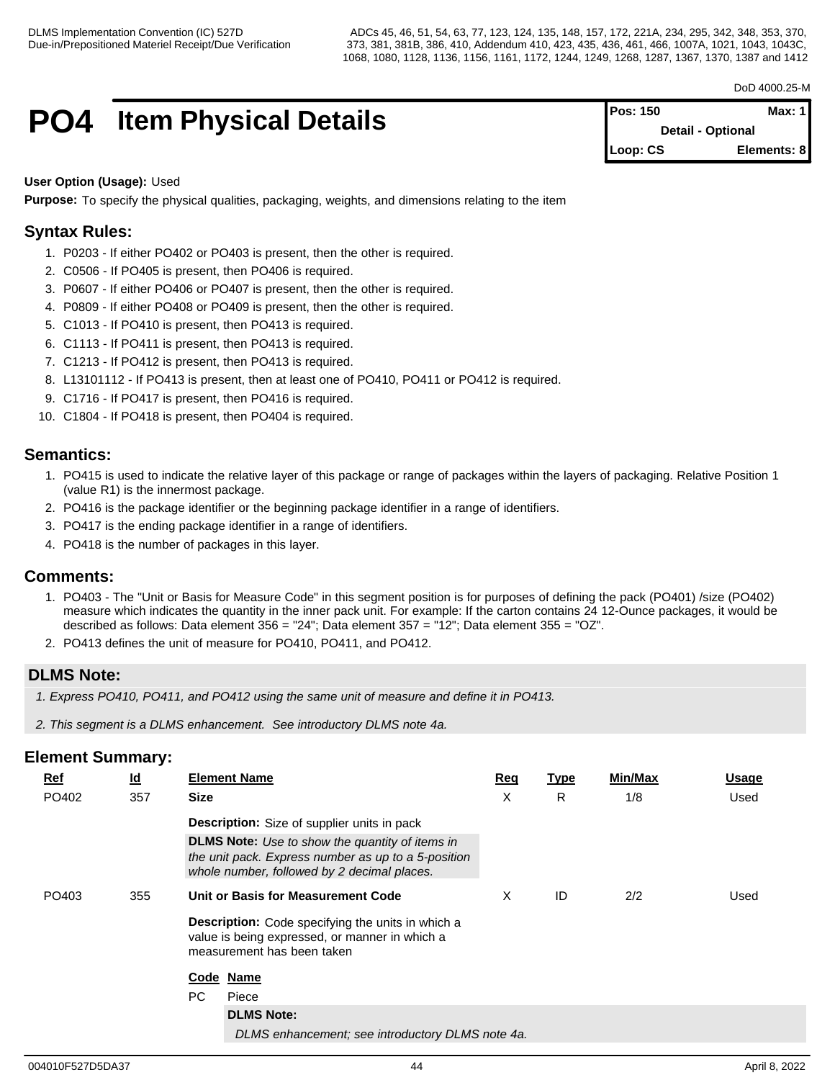DoD 4000.25-M

# **PO4 Item Physical Details PO4 If and Max: PO4 Max: Max:**

**Detail - Optional Loop: CS Elements: 8**

## **User Option (Usage):** Used

**Purpose:** To specify the physical qualities, packaging, weights, and dimensions relating to the item

# **Syntax Rules:**

- 1. P0203 If either PO402 or PO403 is present, then the other is required.
- 2. C0506 If PO405 is present, then PO406 is required.
- 3. P0607 If either PO406 or PO407 is present, then the other is required.
- 4. P0809 If either PO408 or PO409 is present, then the other is required.
- 5. C1013 If PO410 is present, then PO413 is required.
- 6. C1113 If PO411 is present, then PO413 is required.
- 7. C1213 If PO412 is present, then PO413 is required.
- 8. L13101112 If PO413 is present, then at least one of PO410, PO411 or PO412 is required.
- 9. C1716 If PO417 is present, then PO416 is required.
- 10. C1804 If PO418 is present, then PO404 is required.

## **Semantics:**

- 1. PO415 is used to indicate the relative layer of this package or range of packages within the layers of packaging. Relative Position 1 (value R1) is the innermost package.
- 2. PO416 is the package identifier or the beginning package identifier in a range of identifiers.
- 3. PO417 is the ending package identifier in a range of identifiers.
- 4. PO418 is the number of packages in this layer.

## **Comments:**

- 1. PO403 The "Unit or Basis for Measure Code" in this segment position is for purposes of defining the pack (PO401) /size (PO402) measure which indicates the quantity in the inner pack unit. For example: If the carton contains 24 12-Ounce packages, it would be described as follows: Data element 356 = "24"; Data element 357 = "12"; Data element 355 = "OZ".
- 2. PO413 defines the unit of measure for PO410, PO411, and PO412.

# **DLMS Note:**

*1. Express PO410, PO411, and PO412 using the same unit of measure and define it in PO413.*

*2. This segment is a DLMS enhancement. See introductory DLMS note 4a.*

| <b>Ref</b> | $\underline{\mathsf{Id}}$ | <b>Element Name</b>                                                                                                                                          | Req | <u>Type</u> | Min/Max | Usage |
|------------|---------------------------|--------------------------------------------------------------------------------------------------------------------------------------------------------------|-----|-------------|---------|-------|
| PO402      | 357                       | Size                                                                                                                                                         | X   | R           | 1/8     | Used  |
|            |                           | <b>Description:</b> Size of supplier units in pack                                                                                                           |     |             |         |       |
|            |                           | <b>DLMS Note:</b> Use to show the quantity of items in<br>the unit pack. Express number as up to a 5-position<br>whole number, followed by 2 decimal places. |     |             |         |       |
| PO403      | 355                       | Unit or Basis for Measurement Code                                                                                                                           | x   | ID          | 2/2     | Used  |
|            |                           | <b>Description:</b> Code specifying the units in which a<br>value is being expressed, or manner in which a<br>measurement has been taken                     |     |             |         |       |
|            |                           | Code Name                                                                                                                                                    |     |             |         |       |
|            |                           | PC<br>Piece                                                                                                                                                  |     |             |         |       |
|            |                           | <b>DLMS Note:</b>                                                                                                                                            |     |             |         |       |
|            |                           | DLMS enhancement: see introductory DLMS note 4a.                                                                                                             |     |             |         |       |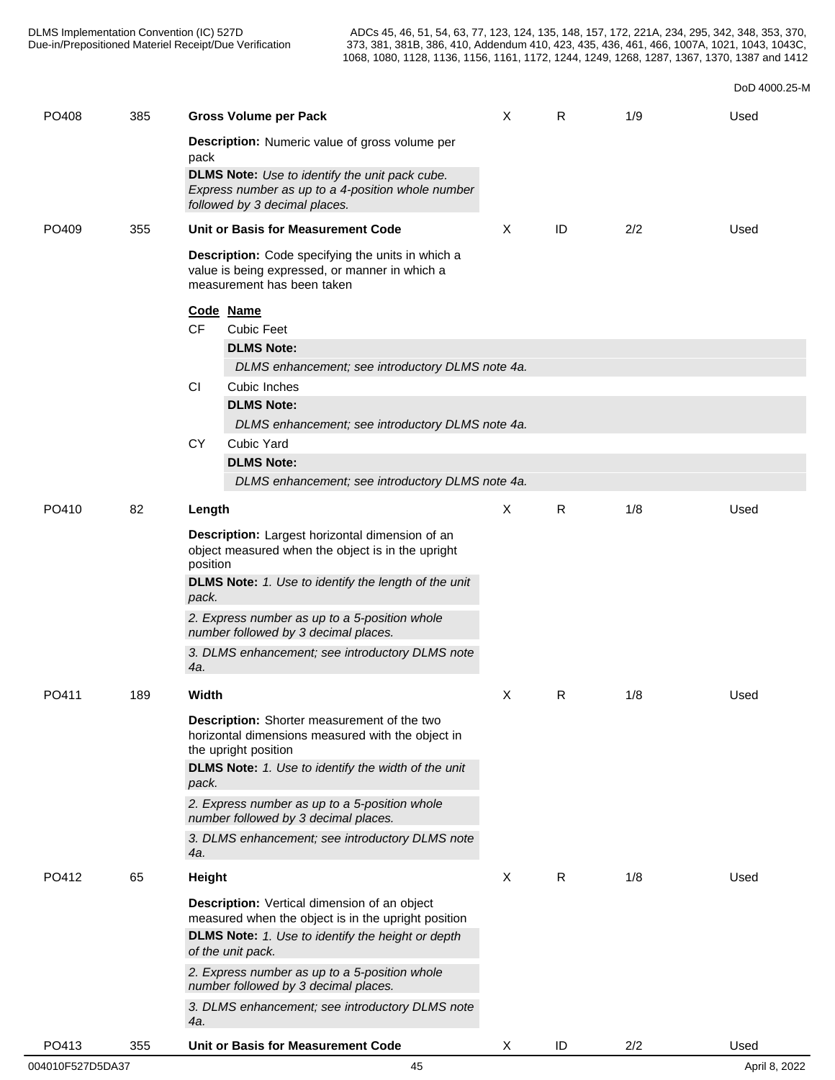|                  |     |                                                                                                                                                                               |          |    |     | DoD 4000.25-M |
|------------------|-----|-------------------------------------------------------------------------------------------------------------------------------------------------------------------------------|----------|----|-----|---------------|
| PO408            | 385 | <b>Gross Volume per Pack</b>                                                                                                                                                  | X        | R  | 1/9 | Used          |
|                  |     | Description: Numeric value of gross volume per<br>pack                                                                                                                        |          |    |     |               |
|                  |     | DLMS Note: Use to identify the unit pack cube.<br>Express number as up to a 4-position whole number<br>followed by 3 decimal places.                                          |          |    |     |               |
| PO409            | 355 | Unit or Basis for Measurement Code                                                                                                                                            | X        | ID | 2/2 | Used          |
|                  |     | Description: Code specifying the units in which a<br>value is being expressed, or manner in which a<br>measurement has been taken                                             |          |    |     |               |
|                  |     | Code Name                                                                                                                                                                     |          |    |     |               |
|                  |     | <b>CF</b><br><b>Cubic Feet</b>                                                                                                                                                |          |    |     |               |
|                  |     | <b>DLMS Note:</b><br>DLMS enhancement; see introductory DLMS note 4a.                                                                                                         |          |    |     |               |
|                  |     | CI<br>Cubic Inches                                                                                                                                                            |          |    |     |               |
|                  |     | <b>DLMS Note:</b>                                                                                                                                                             |          |    |     |               |
|                  |     | DLMS enhancement; see introductory DLMS note 4a.                                                                                                                              |          |    |     |               |
|                  |     | <b>CY</b><br>Cubic Yard                                                                                                                                                       |          |    |     |               |
|                  |     | <b>DLMS Note:</b>                                                                                                                                                             |          |    |     |               |
|                  |     | DLMS enhancement; see introductory DLMS note 4a.                                                                                                                              |          |    |     |               |
| PO410            | 82  | Length                                                                                                                                                                        | X        | R  | 1/8 | Used          |
|                  |     | Description: Largest horizontal dimension of an<br>object measured when the object is in the upright<br>position                                                              |          |    |     |               |
|                  |     | <b>DLMS Note:</b> 1. Use to identify the length of the unit<br>pack.                                                                                                          |          |    |     |               |
|                  |     | 2. Express number as up to a 5-position whole<br>number followed by 3 decimal places.                                                                                         |          |    |     |               |
|                  |     | 3. DLMS enhancement; see introductory DLMS note<br>4a.                                                                                                                        |          |    |     |               |
| PO411            | 189 | Width                                                                                                                                                                         | Χ        | R  | 1/8 | Used          |
|                  |     | Description: Shorter measurement of the two<br>horizontal dimensions measured with the object in<br>the upright position                                                      |          |    |     |               |
|                  |     | DLMS Note: 1. Use to identify the width of the unit<br>pack.                                                                                                                  |          |    |     |               |
|                  |     | 2. Express number as up to a 5-position whole<br>number followed by 3 decimal places.                                                                                         |          |    |     |               |
|                  |     | 3. DLMS enhancement; see introductory DLMS note<br>4a.                                                                                                                        |          |    |     |               |
| PO412            | 65  | Height                                                                                                                                                                        | X        | R  | 1/8 | Used          |
|                  |     | Description: Vertical dimension of an object<br>measured when the object is in the upright position<br>DLMS Note: 1. Use to identify the height or depth<br>of the unit pack. |          |    |     |               |
|                  |     | 2. Express number as up to a 5-position whole<br>number followed by 3 decimal places.                                                                                         |          |    |     |               |
|                  |     | 3. DLMS enhancement; see introductory DLMS note<br>4a.                                                                                                                        |          |    |     |               |
| PO413            | 355 | Unit or Basis for Measurement Code                                                                                                                                            | $\times$ | ID | 2/2 | Used          |
| 004010F527D5DA37 |     | 45                                                                                                                                                                            |          |    |     | April 8, 2022 |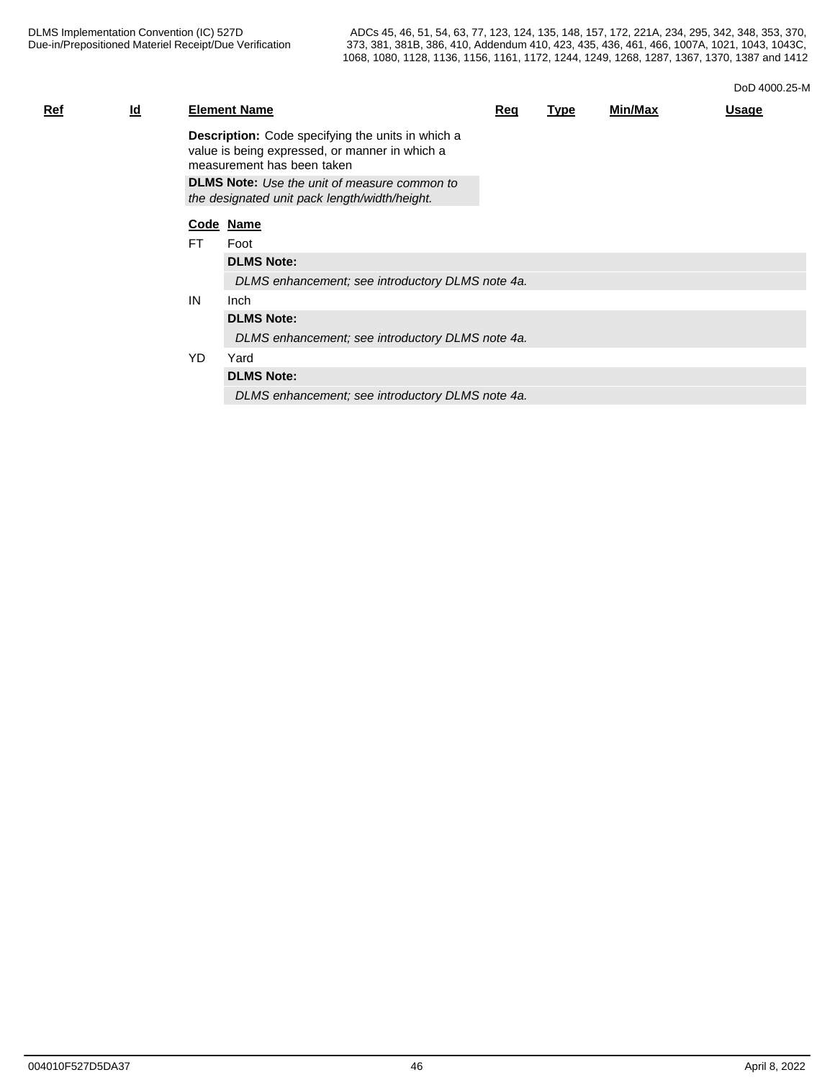| DoD 4000.25-M |
|---------------|

| Ref | $\underline{\mathsf{Id}}$ |     | <b>Element Name</b>                                                                                                               | <u>Req</u> | <b>Type</b> | <b>Min/Max</b> | <u>Usage</u> |
|-----|---------------------------|-----|-----------------------------------------------------------------------------------------------------------------------------------|------------|-------------|----------------|--------------|
|     |                           |     | Description: Code specifying the units in which a<br>value is being expressed, or manner in which a<br>measurement has been taken |            |             |                |              |
|     |                           |     | <b>DLMS Note:</b> Use the unit of measure common to<br>the designated unit pack length/width/height.                              |            |             |                |              |
|     |                           |     | Code Name                                                                                                                         |            |             |                |              |
|     |                           | FT. | Foot                                                                                                                              |            |             |                |              |
|     |                           |     | <b>DLMS Note:</b>                                                                                                                 |            |             |                |              |
|     |                           |     | DLMS enhancement; see introductory DLMS note 4a.                                                                                  |            |             |                |              |
|     |                           | IN  | Inch                                                                                                                              |            |             |                |              |
|     |                           |     | <b>DLMS Note:</b>                                                                                                                 |            |             |                |              |
|     |                           |     | DLMS enhancement; see introductory DLMS note 4a.                                                                                  |            |             |                |              |
|     |                           | YD  | Yard                                                                                                                              |            |             |                |              |
|     |                           |     | <b>DLMS Note:</b>                                                                                                                 |            |             |                |              |
|     |                           |     | DLMS enhancement; see introductory DLMS note 4a.                                                                                  |            |             |                |              |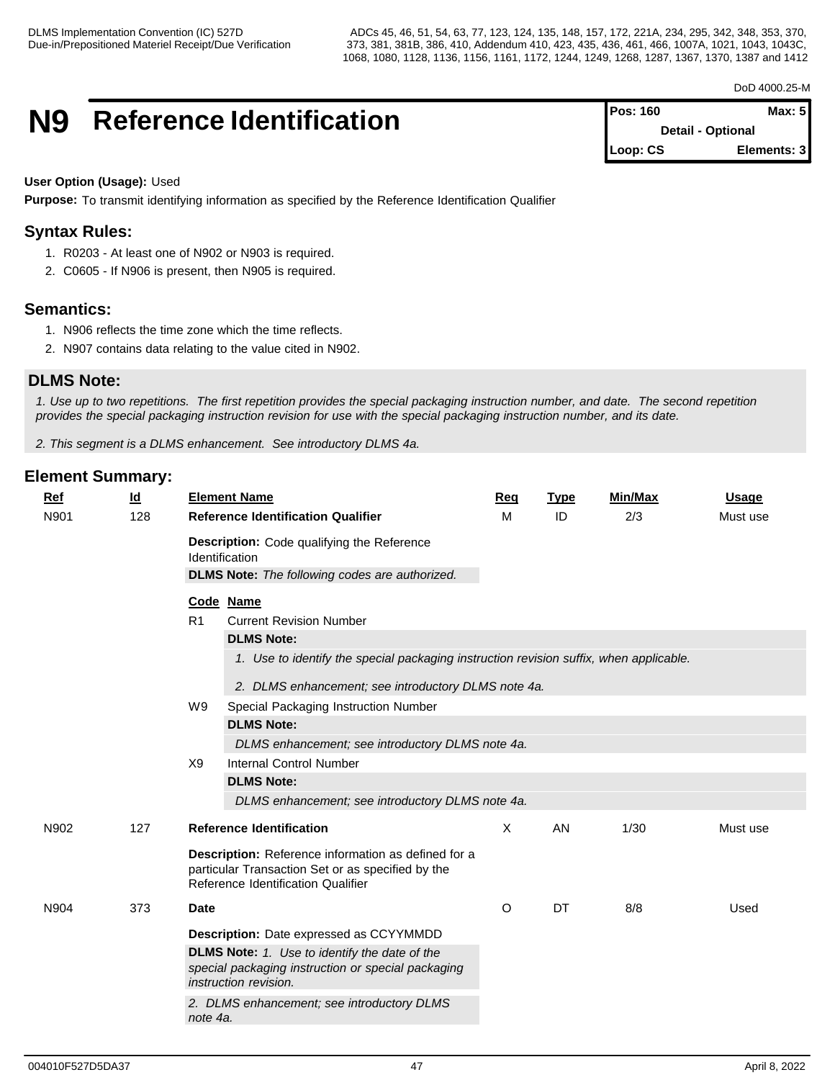DoD 4000.25-M

# **N9** Reference Identification **Pos: 160** Max: 5

**Detail - Optional Loop: CS Elements: 3**

## **User Option (Usage):** Used

**Purpose:** To transmit identifying information as specified by the Reference Identification Qualifier

# **Syntax Rules:**

- 1. R0203 At least one of N902 or N903 is required.
- 2. C0605 If N906 is present, then N905 is required.

# **Semantics:**

- 1. N906 reflects the time zone which the time reflects.
- 2. N907 contains data relating to the value cited in N902.

# **DLMS Note:**

*1. Use up to two repetitions. The first repetition provides the special packaging instruction number, and date. The second repetition provides the special packaging instruction revision for use with the special packaging instruction number, and its date.*

*2. This segment is a DLMS enhancement. See introductory DLMS 4a.*

| $Ref$ | <u>ld</u> | <b>Element Name</b>             |                                                                                                                                                | <b>Req</b>   | <b>Type</b> | <b>Min/Max</b> | <b>Usage</b> |
|-------|-----------|---------------------------------|------------------------------------------------------------------------------------------------------------------------------------------------|--------------|-------------|----------------|--------------|
| N901  | 128       |                                 | <b>Reference Identification Qualifier</b>                                                                                                      | M            | ID          | 2/3            | Must use     |
|       |           | Identification                  | <b>Description:</b> Code qualifying the Reference<br><b>DLMS Note:</b> The following codes are authorized.                                     |              |             |                |              |
|       |           | Code Name                       |                                                                                                                                                |              |             |                |              |
|       |           | R <sub>1</sub>                  | <b>Current Revision Number</b>                                                                                                                 |              |             |                |              |
|       |           | <b>DLMS Note:</b>               |                                                                                                                                                |              |             |                |              |
|       |           |                                 | 1. Use to identify the special packaging instruction revision suffix, when applicable.                                                         |              |             |                |              |
|       |           |                                 | 2. DLMS enhancement; see introductory DLMS note 4a.                                                                                            |              |             |                |              |
|       |           | W9                              | Special Packaging Instruction Number                                                                                                           |              |             |                |              |
|       |           | <b>DLMS Note:</b>               |                                                                                                                                                |              |             |                |              |
|       |           |                                 | DLMS enhancement; see introductory DLMS note 4a.                                                                                               |              |             |                |              |
|       |           | X9                              | <b>Internal Control Number</b>                                                                                                                 |              |             |                |              |
|       |           | <b>DLMS Note:</b>               |                                                                                                                                                |              |             |                |              |
|       |           |                                 | DLMS enhancement; see introductory DLMS note 4a.                                                                                               |              |             |                |              |
| N902  | 127       | <b>Reference Identification</b> |                                                                                                                                                | $\mathsf{X}$ | AN          | 1/30           | Must use     |
|       |           |                                 | Description: Reference information as defined for a<br>particular Transaction Set or as specified by the<br>Reference Identification Qualifier |              |             |                |              |
| N904  | 373       | <b>Date</b>                     |                                                                                                                                                | O            | DT          | 8/8            | Used         |
|       |           |                                 | Description: Date expressed as CCYYMMDD                                                                                                        |              |             |                |              |
|       |           | instruction revision.           | <b>DLMS Note:</b> 1. Use to identify the date of the<br>special packaging instruction or special packaging                                     |              |             |                |              |
|       |           | note 4a.                        | 2. DLMS enhancement; see introductory DLMS                                                                                                     |              |             |                |              |
|       |           |                                 |                                                                                                                                                |              |             |                |              |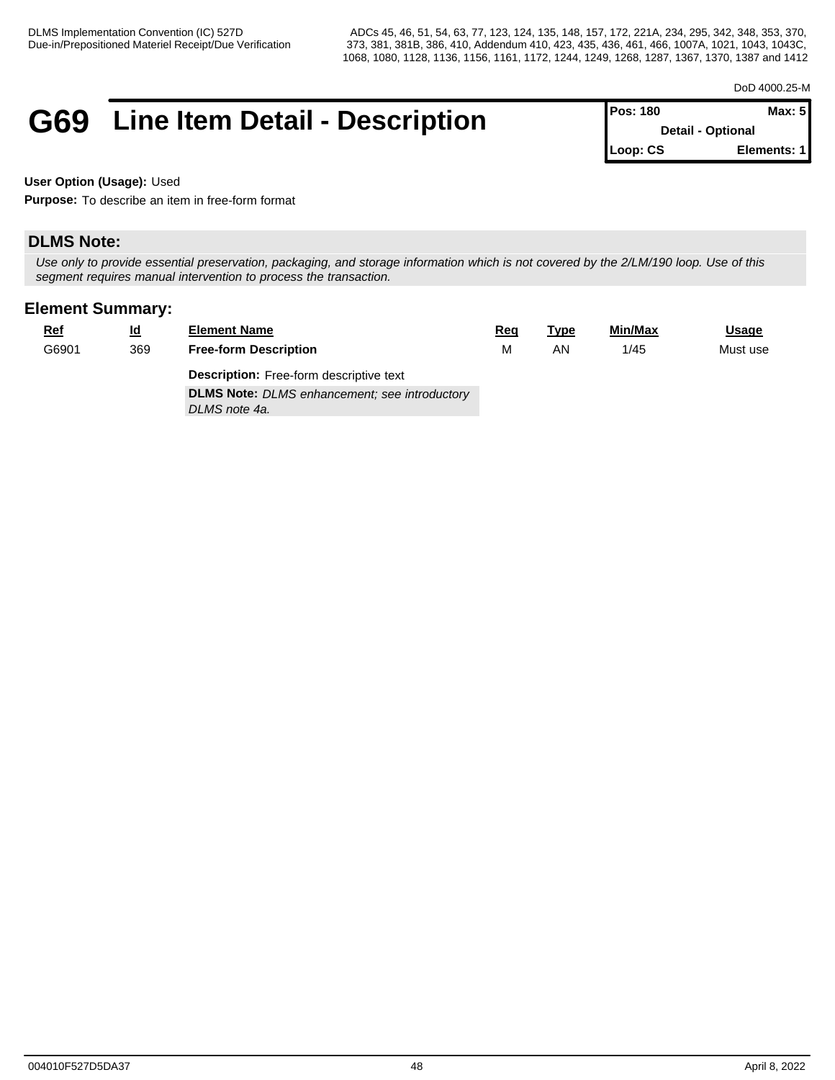DoD 4000.25-M

# G69 Line Item Detail - Description **Position Position** Max: 5

**Detail - Optional Loop: CS Elements: 1**

**User Option (Usage):** Used

**Purpose:** To describe an item in free-form format

# **DLMS Note:**

*Use only to provide essential preservation, packaging, and storage information which is not covered by the 2/LM/190 loop. Use of this segment requires manual intervention to process the transaction.*

| <b>Ref</b> | <u>ld</u> | <b>Element Name</b>                                  | Reg | <u>Type</u> | Min/Max | <u>Usage</u> |
|------------|-----------|------------------------------------------------------|-----|-------------|---------|--------------|
| G6901      | 369       | <b>Free-form Description</b>                         | M   | ΑN          | 1/45    | Must use     |
|            |           | <b>Description:</b> Free-form descriptive text       |     |             |         |              |
|            |           | <b>DLMS Note:</b> DLMS enhancement; see introductory |     |             |         |              |
|            |           | DLMS note 4a.                                        |     |             |         |              |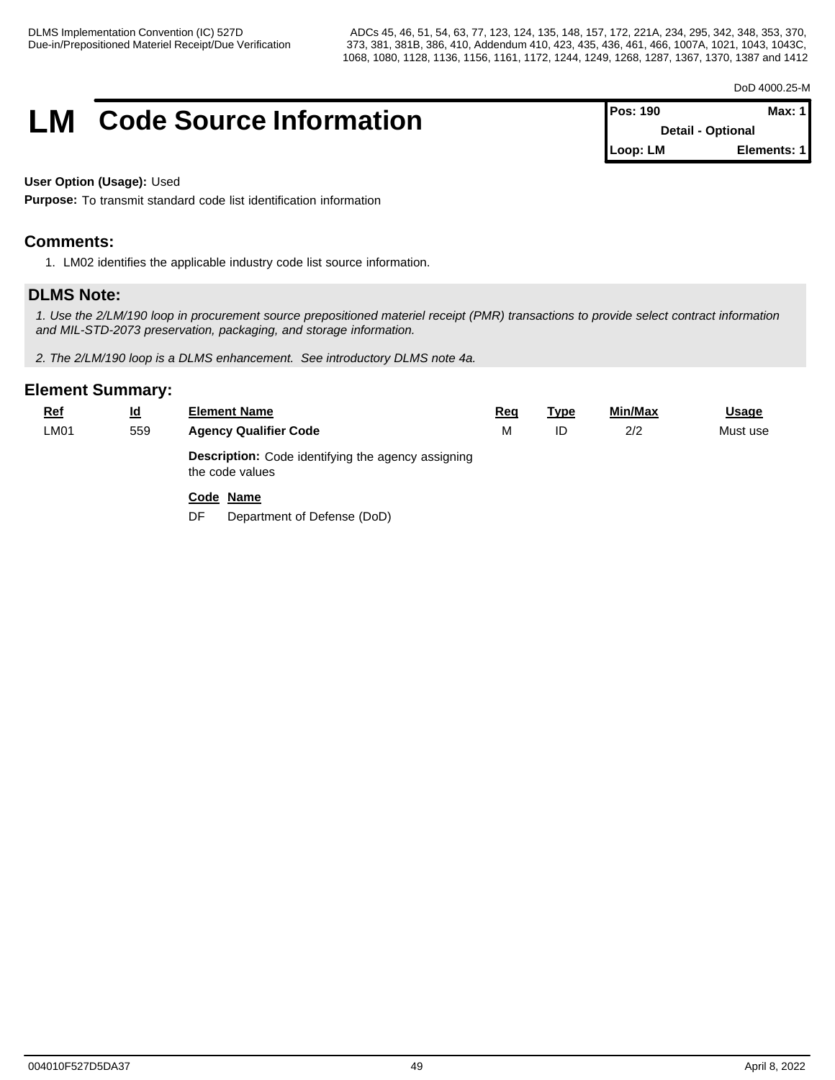DoD 4000.25-M

# **LM** Code Source Information **Pos: 190** Max: 1

**Detail - Optional Loop: LM Elements: 1**

## **User Option (Usage):** Used

**Purpose:** To transmit standard code list identification information

# **Comments:**

1. LM02 identifies the applicable industry code list source information.

# **DLMS Note:**

*1. Use the 2/LM/190 loop in procurement source prepositioned materiel receipt (PMR) transactions to provide select contract information and MIL-STD-2073 preservation, packaging, and storage information.*

*2. The 2/LM/190 loop is a DLMS enhancement. See introductory DLMS note 4a.*

| $Ref$ | <u>ld</u> | <b>Element Name</b>                                                          | <u>Req</u> | <b>Type</b> | <u>Min/Max</u> | <b>Usage</b> |
|-------|-----------|------------------------------------------------------------------------------|------------|-------------|----------------|--------------|
| LM01  | 559       | <b>Agency Qualifier Code</b>                                                 | М          | ID          | 2/2            | Must use     |
|       |           | <b>Description:</b> Code identifying the agency assigning<br>the code values |            |             |                |              |
|       |           | Code Name                                                                    |            |             |                |              |
|       |           | Department of Defense (DoD)<br>DF                                            |            |             |                |              |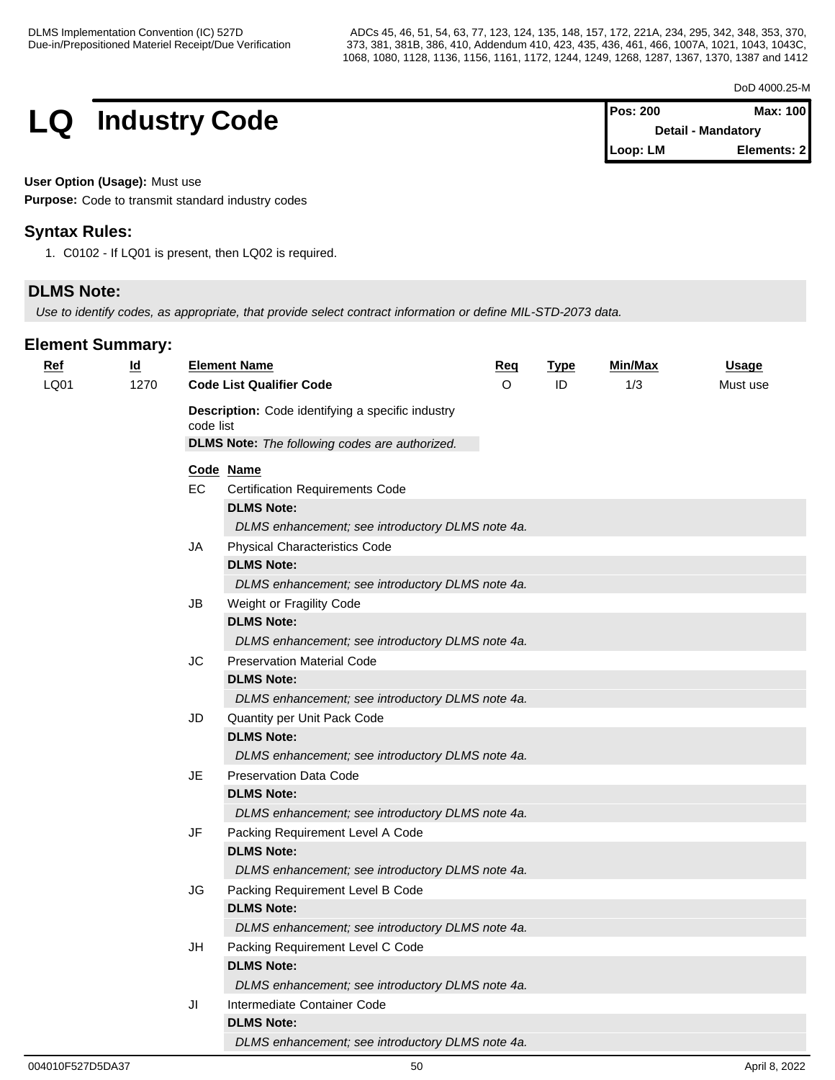DoD 4000.25-M

| LQ | <b>Industry Code</b> | <b>TPos: 200</b>           | Max: 100 |  |
|----|----------------------|----------------------------|----------|--|
|    |                      | <b>Mandatory</b><br>Detail |          |  |

| <b>IPos: 200</b> | Max: 100                  |  |
|------------------|---------------------------|--|
|                  | <b>Detail - Mandatory</b> |  |
| Loop: LM         | Elements: 2               |  |

### **User Option (Usage):** Must use

**Purpose:** Code to transmit standard industry codes

# **Syntax Rules:**

1. C0102 - If LQ01 is present, then LQ02 is required.

# **DLMS Note:**

*Use to identify codes, as appropriate, that provide select contract information or define MIL-STD-2073 data.*

| <b>Ref</b> | $\underline{\mathsf{Id}}$ |           | <b>Element Name</b>                                                                                               | <b>Req</b> | <b>Type</b> | Min/Max | <b>Usage</b> |
|------------|---------------------------|-----------|-------------------------------------------------------------------------------------------------------------------|------------|-------------|---------|--------------|
| LQ01       | 1270                      |           | <b>Code List Qualifier Code</b>                                                                                   | O          | ID          | 1/3     | Must use     |
|            |                           | code list | <b>Description:</b> Code identifying a specific industry<br><b>DLMS Note:</b> The following codes are authorized. |            |             |         |              |
|            |                           |           | Code Name                                                                                                         |            |             |         |              |
|            |                           | EC        | <b>Certification Requirements Code</b>                                                                            |            |             |         |              |
|            |                           |           | <b>DLMS Note:</b>                                                                                                 |            |             |         |              |
|            |                           |           | DLMS enhancement; see introductory DLMS note 4a.                                                                  |            |             |         |              |
|            |                           | JA        | <b>Physical Characteristics Code</b>                                                                              |            |             |         |              |
|            |                           |           | <b>DLMS Note:</b>                                                                                                 |            |             |         |              |
|            |                           |           | DLMS enhancement; see introductory DLMS note 4a.                                                                  |            |             |         |              |
|            |                           | JB        | Weight or Fragility Code                                                                                          |            |             |         |              |
|            |                           |           | <b>DLMS Note:</b>                                                                                                 |            |             |         |              |
|            |                           |           | DLMS enhancement; see introductory DLMS note 4a.                                                                  |            |             |         |              |
|            |                           | JC        | <b>Preservation Material Code</b>                                                                                 |            |             |         |              |
|            |                           |           | <b>DLMS Note:</b>                                                                                                 |            |             |         |              |
|            |                           |           | DLMS enhancement; see introductory DLMS note 4a.                                                                  |            |             |         |              |
|            |                           | JD        | Quantity per Unit Pack Code                                                                                       |            |             |         |              |
|            |                           |           | <b>DLMS Note:</b>                                                                                                 |            |             |         |              |
|            |                           |           | DLMS enhancement; see introductory DLMS note 4a.                                                                  |            |             |         |              |
|            |                           | JE        | <b>Preservation Data Code</b>                                                                                     |            |             |         |              |
|            |                           |           | <b>DLMS Note:</b>                                                                                                 |            |             |         |              |
|            |                           |           | DLMS enhancement; see introductory DLMS note 4a.                                                                  |            |             |         |              |
|            |                           | JF        | Packing Requirement Level A Code                                                                                  |            |             |         |              |
|            |                           |           | <b>DLMS Note:</b>                                                                                                 |            |             |         |              |
|            |                           |           | DLMS enhancement; see introductory DLMS note 4a.                                                                  |            |             |         |              |
|            |                           | JG        | Packing Requirement Level B Code                                                                                  |            |             |         |              |
|            |                           |           | <b>DLMS Note:</b>                                                                                                 |            |             |         |              |
|            |                           |           | DLMS enhancement; see introductory DLMS note 4a.                                                                  |            |             |         |              |
|            |                           | JH        | Packing Requirement Level C Code<br><b>DLMS Note:</b>                                                             |            |             |         |              |
|            |                           |           |                                                                                                                   |            |             |         |              |
|            |                           | JI        | DLMS enhancement; see introductory DLMS note 4a.<br>Intermediate Container Code                                   |            |             |         |              |
|            |                           |           | <b>DLMS Note:</b>                                                                                                 |            |             |         |              |
|            |                           |           | DLMS enhancement; see introductory DLMS note 4a.                                                                  |            |             |         |              |
|            |                           |           |                                                                                                                   |            |             |         |              |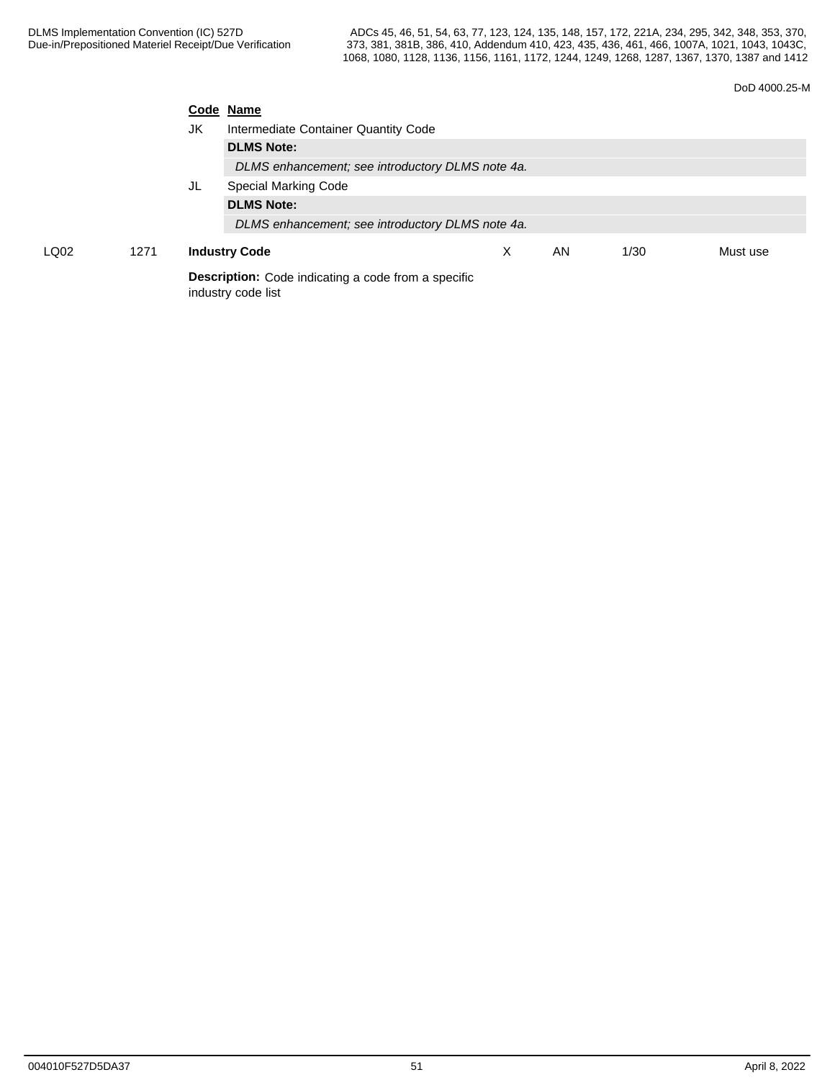DoD 4000.25-M

|      |      |    | Code Name                                                                        |   |    |      |          |
|------|------|----|----------------------------------------------------------------------------------|---|----|------|----------|
|      |      | JK | Intermediate Container Quantity Code                                             |   |    |      |          |
|      |      |    | <b>DLMS Note:</b>                                                                |   |    |      |          |
|      |      |    | DLMS enhancement; see introductory DLMS note 4a.                                 |   |    |      |          |
|      |      | JL | Special Marking Code                                                             |   |    |      |          |
|      |      |    | <b>DLMS Note:</b>                                                                |   |    |      |          |
|      |      |    | DLMS enhancement; see introductory DLMS note 4a.                                 |   |    |      |          |
| LQ02 | 1271 |    | <b>Industry Code</b>                                                             | Х | AN | 1/30 | Must use |
|      |      |    | <b>Description:</b> Code indicating a code from a specific<br>industry code list |   |    |      |          |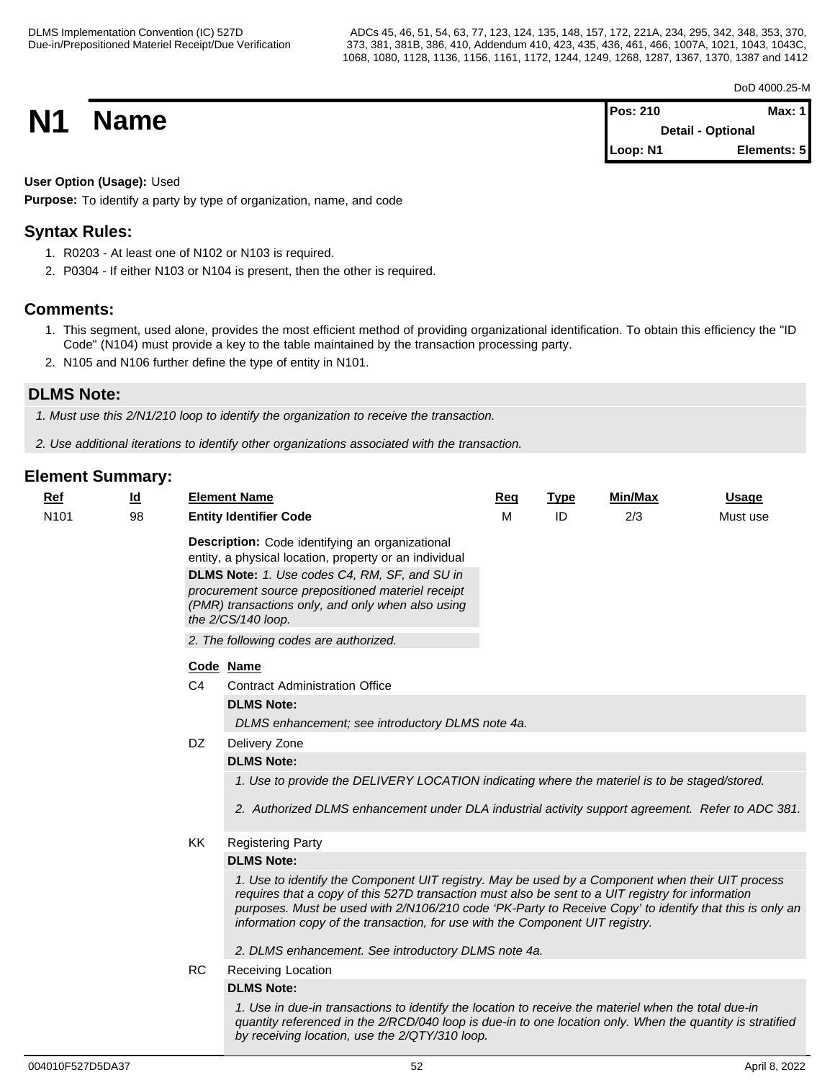DoD 4000.25-M

**N1 Name Magnetic Max:** 1 **Detail - Optional Loop: N1 Elements: 5**

## **User Option (Usage):** Used

**Purpose:** To identify a party by type of organization, name, and code

# **Syntax Rules:**

- 1. R0203 At least one of N102 or N103 is required.
- 2. P0304 If either N103 or N104 is present, then the other is required.

# **Comments:**

- 1. This segment, used alone, provides the most efficient method of providing organizational identification. To obtain this efficiency the "ID Code" (N104) must provide a key to the table maintained by the transaction processing party.
- 2. N105 and N106 further define the type of entity in N101.

# **DLMS Note:**

- *1. Must use this 2/N1/210 loop to identify the organization to receive the transaction.*
- *2. Use additional iterations to identify other organizations associated with the transaction.*

# **Element Summary:**

| <u>Ref</u>       | <u>ld</u> |                | <b>Element Name</b>                                                                                                                                                                                                                                                                                                                                                                               | Req | <b>Type</b> | Min/Max | <b>Usage</b> |
|------------------|-----------|----------------|---------------------------------------------------------------------------------------------------------------------------------------------------------------------------------------------------------------------------------------------------------------------------------------------------------------------------------------------------------------------------------------------------|-----|-------------|---------|--------------|
| N <sub>101</sub> | 98        |                | <b>Entity Identifier Code</b>                                                                                                                                                                                                                                                                                                                                                                     | M   | ID          | 2/3     | Must use     |
|                  |           |                | <b>Description:</b> Code identifying an organizational<br>entity, a physical location, property or an individual<br>DLMS Note: 1. Use codes C4, RM, SF, and SU in<br>procurement source prepositioned materiel receipt<br>(PMR) transactions only, and only when also using<br>the $2/CS/140$ loop.                                                                                               |     |             |         |              |
|                  |           |                | 2. The following codes are authorized.                                                                                                                                                                                                                                                                                                                                                            |     |             |         |              |
|                  |           |                | Code Name                                                                                                                                                                                                                                                                                                                                                                                         |     |             |         |              |
|                  |           | C <sub>4</sub> | <b>Contract Administration Office</b>                                                                                                                                                                                                                                                                                                                                                             |     |             |         |              |
|                  |           |                | <b>DLMS Note:</b>                                                                                                                                                                                                                                                                                                                                                                                 |     |             |         |              |
|                  |           |                | DLMS enhancement; see introductory DLMS note 4a.                                                                                                                                                                                                                                                                                                                                                  |     |             |         |              |
|                  |           | DZ             | Delivery Zone                                                                                                                                                                                                                                                                                                                                                                                     |     |             |         |              |
|                  |           |                | <b>DLMS Note:</b>                                                                                                                                                                                                                                                                                                                                                                                 |     |             |         |              |
|                  |           |                | 1. Use to provide the DELIVERY LOCATION indicating where the materiel is to be staged/stored.                                                                                                                                                                                                                                                                                                     |     |             |         |              |
|                  |           |                | 2. Authorized DLMS enhancement under DLA industrial activity support agreement. Refer to ADC 381.                                                                                                                                                                                                                                                                                                 |     |             |         |              |
|                  |           | KK             | <b>Registering Party</b>                                                                                                                                                                                                                                                                                                                                                                          |     |             |         |              |
|                  |           |                | <b>DLMS Note:</b>                                                                                                                                                                                                                                                                                                                                                                                 |     |             |         |              |
|                  |           |                | 1. Use to identify the Component UIT registry. May be used by a Component when their UIT process<br>requires that a copy of this 527D transaction must also be sent to a UIT registry for information<br>purposes. Must be used with 2/N106/210 code 'PK-Party to Receive Copy' to identify that this is only an<br>information copy of the transaction, for use with the Component UIT registry. |     |             |         |              |
|                  |           |                | 2. DLMS enhancement. See introductory DLMS note 4a.                                                                                                                                                                                                                                                                                                                                               |     |             |         |              |
|                  |           | <b>RC</b>      | <b>Receiving Location</b><br><b>DLMS Note:</b>                                                                                                                                                                                                                                                                                                                                                    |     |             |         |              |
|                  |           |                |                                                                                                                                                                                                                                                                                                                                                                                                   |     |             |         |              |

*1. Use in due-in transactions to identify the location to receive the materiel when the total due-in quantity referenced in the 2/RCD/040 loop is due-in to one location only. When the quantity is stratified by receiving location, use the 2/QTY/310 loop.*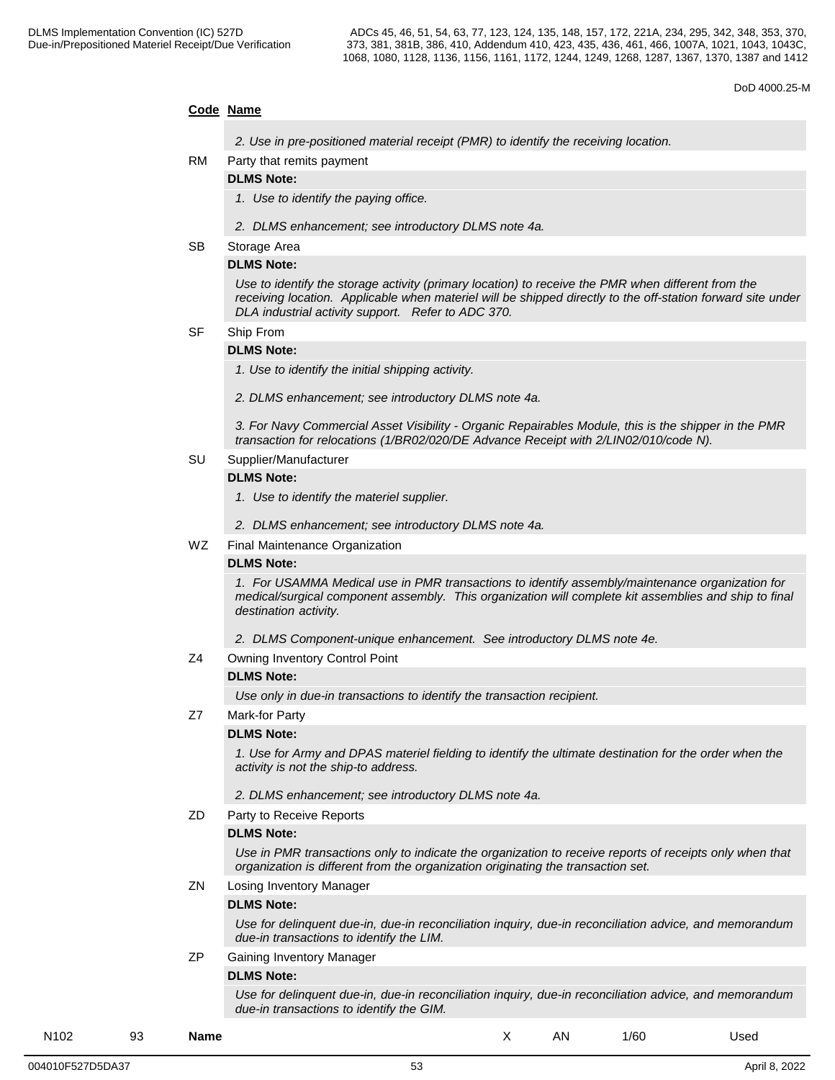DoD 4000.25-M

#### **Code Name**

*2. Use in pre-positioned material receipt (PMR) to identify the receiving location.*

#### RM Party that remits payment

#### **DLMS Note:**

*1. Use to identify the paying office.*

*2. DLMS enhancement; see introductory DLMS note 4a.*

## SB Storage Area

#### **DLMS Note:**

*Use to identify the storage activity (primary location) to receive the PMR when different from the receiving location. Applicable when materiel will be shipped directly to the off-station forward site under DLA industrial activity support. Refer to ADC 370.*

#### SF Ship From

#### **DLMS Note:**

*1. Use to identify the initial shipping activity.*

*2. DLMS enhancement; see introductory DLMS note 4a.*

*3. For Navy Commercial Asset Visibility - Organic Repairables Module, this is the shipper in the PMR transaction for relocations (1/BR02/020/DE Advance Receipt with 2/LIN02/010/code N).*

#### SU Supplier/Manufacturer

#### **DLMS Note:**

- *1. Use to identify the materiel supplier.*
- *2. DLMS enhancement; see introductory DLMS note 4a.*
- WZ Final Maintenance Organization

#### **DLMS Note:**

*1. For USAMMA Medical use in PMR transactions to identify assembly/maintenance organization for medical/surgical component assembly. This organization will complete kit assemblies and ship to final destination activity.*

*2. DLMS Component-unique enhancement. See introductory DLMS note 4e.*

Z4 Owning Inventory Control Point

#### **DLMS Note:**

*Use only in due-in transactions to identify the transaction recipient.*

Z7 Mark-for Party

#### **DLMS Note:**

*1. Use for Army and DPAS materiel fielding to identify the ultimate destination for the order when the activity is not the ship-to address.* 

*2. DLMS enhancement; see introductory DLMS note 4a.* 

ZD Party to Receive Reports

#### **DLMS Note:**

*Use in PMR transactions only to indicate the organization to receive reports of receipts only when that organization is different from the organization originating the transaction set.*

### ZN Losing Inventory Manager

#### **DLMS Note:**

*Use for delinquent due-in, due-in reconciliation inquiry, due-in reconciliation advice, and memorandum due-in transactions to identify the LIM.*

#### ZP Gaining Inventory Manager

## **DLMS Note:**

*Use for delinquent due-in, due-in reconciliation inquiry, due-in reconciliation advice, and memorandum due-in transactions to identify the GIM.*

N102 93 **Name** X AN 1/60 Used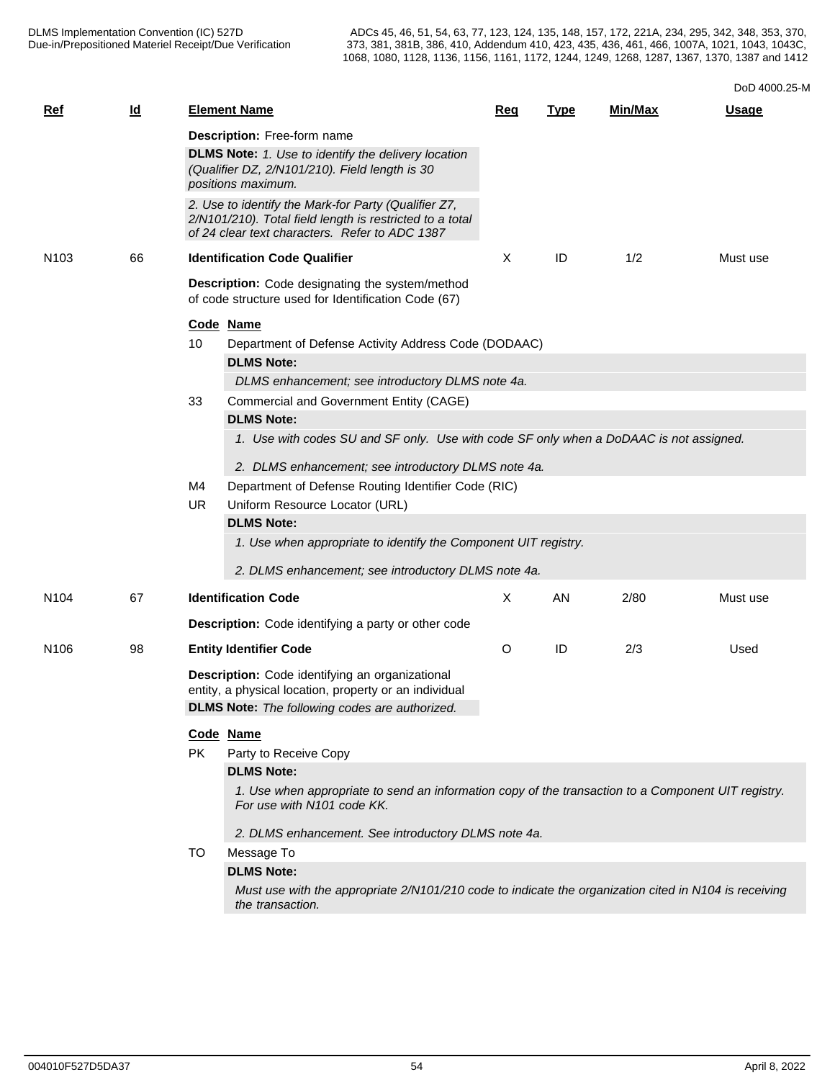| $\underline{\mathsf{Id}}$<br><b>Element Name</b><br><b>Min/Max</b><br>Ref<br><b>Type</b><br><b>Usage</b><br>Req<br>Description: Free-form name<br><b>DLMS Note:</b> 1. Use to identify the delivery location<br>(Qualifier DZ, 2/N101/210). Field length is 30<br>positions maximum.<br>2. Use to identify the Mark-for Party (Qualifier Z7,<br>2/N101/210). Total field length is restricted to a total<br>of 24 clear text characters. Refer to ADC 1387<br>X<br><b>Identification Code Qualifier</b><br>1/2<br>N <sub>103</sub><br>66<br>ID<br>Must use<br><b>Description:</b> Code designating the system/method<br>of code structure used for Identification Code (67)<br>Code Name<br>Department of Defense Activity Address Code (DODAAC)<br>10<br><b>DLMS Note:</b><br>DLMS enhancement; see introductory DLMS note 4a.<br>Commercial and Government Entity (CAGE)<br>33<br><b>DLMS Note:</b><br>1. Use with codes SU and SF only. Use with code SF only when a DoDAAC is not assigned.<br>2. DLMS enhancement; see introductory DLMS note 4a.<br>Department of Defense Routing Identifier Code (RIC)<br>M4<br>Uniform Resource Locator (URL)<br><b>UR</b><br><b>DLMS Note:</b><br>1. Use when appropriate to identify the Component UIT registry.<br>2. DLMS enhancement; see introductory DLMS note 4a.<br>X<br>AN<br>67<br><b>Identification Code</b><br>2/80<br>N <sub>104</sub><br>Must use<br><b>Description:</b> Code identifying a party or other code<br>O<br>2/3<br>N <sub>106</sub><br>98<br><b>Entity Identifier Code</b><br>ID<br>Used<br>Description: Code identifying an organizational<br>entity, a physical location, property or an individual<br><b>DLMS Note:</b> The following codes are authorized.<br>Code Name<br>PK<br>Party to Receive Copy<br><b>DLMS Note:</b> |  |  |  |  |  |  | DoD 4000.25-M |  |  |  |
|----------------------------------------------------------------------------------------------------------------------------------------------------------------------------------------------------------------------------------------------------------------------------------------------------------------------------------------------------------------------------------------------------------------------------------------------------------------------------------------------------------------------------------------------------------------------------------------------------------------------------------------------------------------------------------------------------------------------------------------------------------------------------------------------------------------------------------------------------------------------------------------------------------------------------------------------------------------------------------------------------------------------------------------------------------------------------------------------------------------------------------------------------------------------------------------------------------------------------------------------------------------------------------------------------------------------------------------------------------------------------------------------------------------------------------------------------------------------------------------------------------------------------------------------------------------------------------------------------------------------------------------------------------------------------------------------------------------------------------------------------------------------------------------------------|--|--|--|--|--|--|---------------|--|--|--|
|                                                                                                                                                                                                                                                                                                                                                                                                                                                                                                                                                                                                                                                                                                                                                                                                                                                                                                                                                                                                                                                                                                                                                                                                                                                                                                                                                                                                                                                                                                                                                                                                                                                                                                                                                                                                    |  |  |  |  |  |  |               |  |  |  |
|                                                                                                                                                                                                                                                                                                                                                                                                                                                                                                                                                                                                                                                                                                                                                                                                                                                                                                                                                                                                                                                                                                                                                                                                                                                                                                                                                                                                                                                                                                                                                                                                                                                                                                                                                                                                    |  |  |  |  |  |  |               |  |  |  |
|                                                                                                                                                                                                                                                                                                                                                                                                                                                                                                                                                                                                                                                                                                                                                                                                                                                                                                                                                                                                                                                                                                                                                                                                                                                                                                                                                                                                                                                                                                                                                                                                                                                                                                                                                                                                    |  |  |  |  |  |  |               |  |  |  |
|                                                                                                                                                                                                                                                                                                                                                                                                                                                                                                                                                                                                                                                                                                                                                                                                                                                                                                                                                                                                                                                                                                                                                                                                                                                                                                                                                                                                                                                                                                                                                                                                                                                                                                                                                                                                    |  |  |  |  |  |  |               |  |  |  |
|                                                                                                                                                                                                                                                                                                                                                                                                                                                                                                                                                                                                                                                                                                                                                                                                                                                                                                                                                                                                                                                                                                                                                                                                                                                                                                                                                                                                                                                                                                                                                                                                                                                                                                                                                                                                    |  |  |  |  |  |  |               |  |  |  |
|                                                                                                                                                                                                                                                                                                                                                                                                                                                                                                                                                                                                                                                                                                                                                                                                                                                                                                                                                                                                                                                                                                                                                                                                                                                                                                                                                                                                                                                                                                                                                                                                                                                                                                                                                                                                    |  |  |  |  |  |  |               |  |  |  |
|                                                                                                                                                                                                                                                                                                                                                                                                                                                                                                                                                                                                                                                                                                                                                                                                                                                                                                                                                                                                                                                                                                                                                                                                                                                                                                                                                                                                                                                                                                                                                                                                                                                                                                                                                                                                    |  |  |  |  |  |  |               |  |  |  |
|                                                                                                                                                                                                                                                                                                                                                                                                                                                                                                                                                                                                                                                                                                                                                                                                                                                                                                                                                                                                                                                                                                                                                                                                                                                                                                                                                                                                                                                                                                                                                                                                                                                                                                                                                                                                    |  |  |  |  |  |  |               |  |  |  |
|                                                                                                                                                                                                                                                                                                                                                                                                                                                                                                                                                                                                                                                                                                                                                                                                                                                                                                                                                                                                                                                                                                                                                                                                                                                                                                                                                                                                                                                                                                                                                                                                                                                                                                                                                                                                    |  |  |  |  |  |  |               |  |  |  |
|                                                                                                                                                                                                                                                                                                                                                                                                                                                                                                                                                                                                                                                                                                                                                                                                                                                                                                                                                                                                                                                                                                                                                                                                                                                                                                                                                                                                                                                                                                                                                                                                                                                                                                                                                                                                    |  |  |  |  |  |  |               |  |  |  |
|                                                                                                                                                                                                                                                                                                                                                                                                                                                                                                                                                                                                                                                                                                                                                                                                                                                                                                                                                                                                                                                                                                                                                                                                                                                                                                                                                                                                                                                                                                                                                                                                                                                                                                                                                                                                    |  |  |  |  |  |  |               |  |  |  |
|                                                                                                                                                                                                                                                                                                                                                                                                                                                                                                                                                                                                                                                                                                                                                                                                                                                                                                                                                                                                                                                                                                                                                                                                                                                                                                                                                                                                                                                                                                                                                                                                                                                                                                                                                                                                    |  |  |  |  |  |  |               |  |  |  |
|                                                                                                                                                                                                                                                                                                                                                                                                                                                                                                                                                                                                                                                                                                                                                                                                                                                                                                                                                                                                                                                                                                                                                                                                                                                                                                                                                                                                                                                                                                                                                                                                                                                                                                                                                                                                    |  |  |  |  |  |  |               |  |  |  |
|                                                                                                                                                                                                                                                                                                                                                                                                                                                                                                                                                                                                                                                                                                                                                                                                                                                                                                                                                                                                                                                                                                                                                                                                                                                                                                                                                                                                                                                                                                                                                                                                                                                                                                                                                                                                    |  |  |  |  |  |  |               |  |  |  |
|                                                                                                                                                                                                                                                                                                                                                                                                                                                                                                                                                                                                                                                                                                                                                                                                                                                                                                                                                                                                                                                                                                                                                                                                                                                                                                                                                                                                                                                                                                                                                                                                                                                                                                                                                                                                    |  |  |  |  |  |  |               |  |  |  |
|                                                                                                                                                                                                                                                                                                                                                                                                                                                                                                                                                                                                                                                                                                                                                                                                                                                                                                                                                                                                                                                                                                                                                                                                                                                                                                                                                                                                                                                                                                                                                                                                                                                                                                                                                                                                    |  |  |  |  |  |  |               |  |  |  |
|                                                                                                                                                                                                                                                                                                                                                                                                                                                                                                                                                                                                                                                                                                                                                                                                                                                                                                                                                                                                                                                                                                                                                                                                                                                                                                                                                                                                                                                                                                                                                                                                                                                                                                                                                                                                    |  |  |  |  |  |  |               |  |  |  |
| 1. Use when appropriate to send an information copy of the transaction to a Component UIT registry.<br>For use with N101 code KK.                                                                                                                                                                                                                                                                                                                                                                                                                                                                                                                                                                                                                                                                                                                                                                                                                                                                                                                                                                                                                                                                                                                                                                                                                                                                                                                                                                                                                                                                                                                                                                                                                                                                  |  |  |  |  |  |  |               |  |  |  |
| 2. DLMS enhancement. See introductory DLMS note 4a.                                                                                                                                                                                                                                                                                                                                                                                                                                                                                                                                                                                                                                                                                                                                                                                                                                                                                                                                                                                                                                                                                                                                                                                                                                                                                                                                                                                                                                                                                                                                                                                                                                                                                                                                                |  |  |  |  |  |  |               |  |  |  |
| TO<br>Message To<br><b>DLMS Note:</b>                                                                                                                                                                                                                                                                                                                                                                                                                                                                                                                                                                                                                                                                                                                                                                                                                                                                                                                                                                                                                                                                                                                                                                                                                                                                                                                                                                                                                                                                                                                                                                                                                                                                                                                                                              |  |  |  |  |  |  |               |  |  |  |
| Must use with the appropriate 2/N101/210 code to indicate the organization cited in N104 is receiving<br>the transaction.                                                                                                                                                                                                                                                                                                                                                                                                                                                                                                                                                                                                                                                                                                                                                                                                                                                                                                                                                                                                                                                                                                                                                                                                                                                                                                                                                                                                                                                                                                                                                                                                                                                                          |  |  |  |  |  |  |               |  |  |  |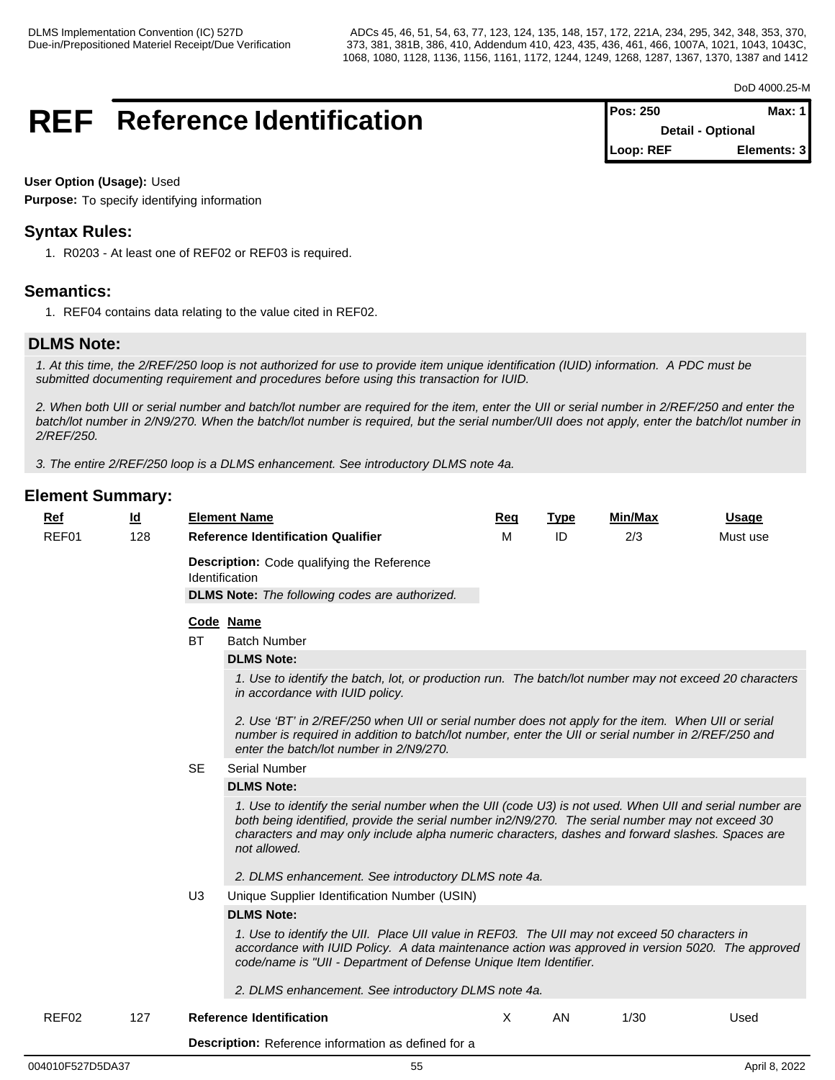DoD 4000.25-M

# **REF** Reference Identification **Pos: 250** Max: 1

**Detail - Optional Loop: REF Elements: 3**

## **User Option (Usage):** Used

**Purpose:** To specify identifying information

# **Syntax Rules:**

1. R0203 - At least one of REF02 or REF03 is required.

# **Semantics:**

1. REF04 contains data relating to the value cited in REF02.

# **DLMS Note:**

*1. At this time, the 2/REF/250 loop is not authorized for use to provide item unique identification (IUID) information. A PDC must be submitted documenting requirement and procedures before using this transaction for IUID.*

*2. When both UII or serial number and batch/lot number are required for the item, enter the UII or serial number in 2/REF/250 and enter the batch/lot number in 2/N9/270. When the batch/lot number is required, but the serial number/UII does not apply, enter the batch/lot number in 2/REF/250.*

*3. The entire 2/REF/250 loop is a DLMS enhancement. See introductory DLMS note 4a.*

| $Ref$             | $\underline{\mathsf{Id}}$ |                | <b>Element Name</b>                                                                                                                                                                                                                                                                                                              | Req | <b>Type</b> | Min/Max | <b>Usage</b> |
|-------------------|---------------------------|----------------|----------------------------------------------------------------------------------------------------------------------------------------------------------------------------------------------------------------------------------------------------------------------------------------------------------------------------------|-----|-------------|---------|--------------|
| REF01             | 128                       |                | <b>Reference Identification Qualifier</b>                                                                                                                                                                                                                                                                                        | м   | ID          | 2/3     | Must use     |
|                   |                           | Identification | Description: Code qualifying the Reference                                                                                                                                                                                                                                                                                       |     |             |         |              |
|                   |                           |                | <b>DLMS Note:</b> The following codes are authorized.                                                                                                                                                                                                                                                                            |     |             |         |              |
|                   |                           |                | Code Name                                                                                                                                                                                                                                                                                                                        |     |             |         |              |
|                   |                           | <b>BT</b>      | <b>Batch Number</b>                                                                                                                                                                                                                                                                                                              |     |             |         |              |
|                   |                           |                | <b>DLMS Note:</b>                                                                                                                                                                                                                                                                                                                |     |             |         |              |
|                   |                           |                | 1. Use to identify the batch, lot, or production run. The batch/lot number may not exceed 20 characters<br>in accordance with IUID policy.                                                                                                                                                                                       |     |             |         |              |
|                   |                           |                | 2. Use 'BT' in 2/REF/250 when UII or serial number does not apply for the item. When UII or serial<br>number is required in addition to batch/lot number, enter the UII or serial number in 2/REF/250 and<br>enter the batch/lot number in 2/N9/270.                                                                             |     |             |         |              |
|                   |                           | <b>SE</b>      | <b>Serial Number</b>                                                                                                                                                                                                                                                                                                             |     |             |         |              |
|                   |                           |                | <b>DLMS Note:</b>                                                                                                                                                                                                                                                                                                                |     |             |         |              |
|                   |                           |                | 1. Use to identify the serial number when the UII (code U3) is not used. When UII and serial number are<br>both being identified, provide the serial number in 2/N9/270. The serial number may not exceed 30<br>characters and may only include alpha numeric characters, dashes and forward slashes. Spaces are<br>not allowed. |     |             |         |              |
|                   |                           |                | 2. DLMS enhancement. See introductory DLMS note 4a.                                                                                                                                                                                                                                                                              |     |             |         |              |
|                   |                           | U <sub>3</sub> | Unique Supplier Identification Number (USIN)                                                                                                                                                                                                                                                                                     |     |             |         |              |
|                   |                           |                | <b>DLMS Note:</b>                                                                                                                                                                                                                                                                                                                |     |             |         |              |
|                   |                           |                | 1. Use to identify the UII. Place UII value in REF03. The UII may not exceed 50 characters in<br>accordance with IUID Policy. A data maintenance action was approved in version 5020. The approved<br>code/name is "UII - Department of Defense Unique Item Identifier.                                                          |     |             |         |              |
|                   |                           |                | 2. DLMS enhancement. See introductory DLMS note 4a.                                                                                                                                                                                                                                                                              |     |             |         |              |
| REF <sub>02</sub> | 127                       |                | <b>Reference Identification</b>                                                                                                                                                                                                                                                                                                  | X   | AN.         | 1/30    | Used         |
|                   |                           |                |                                                                                                                                                                                                                                                                                                                                  |     |             |         |              |
|                   |                           |                | <b>Description:</b> Reference information as defined for a                                                                                                                                                                                                                                                                       |     |             |         |              |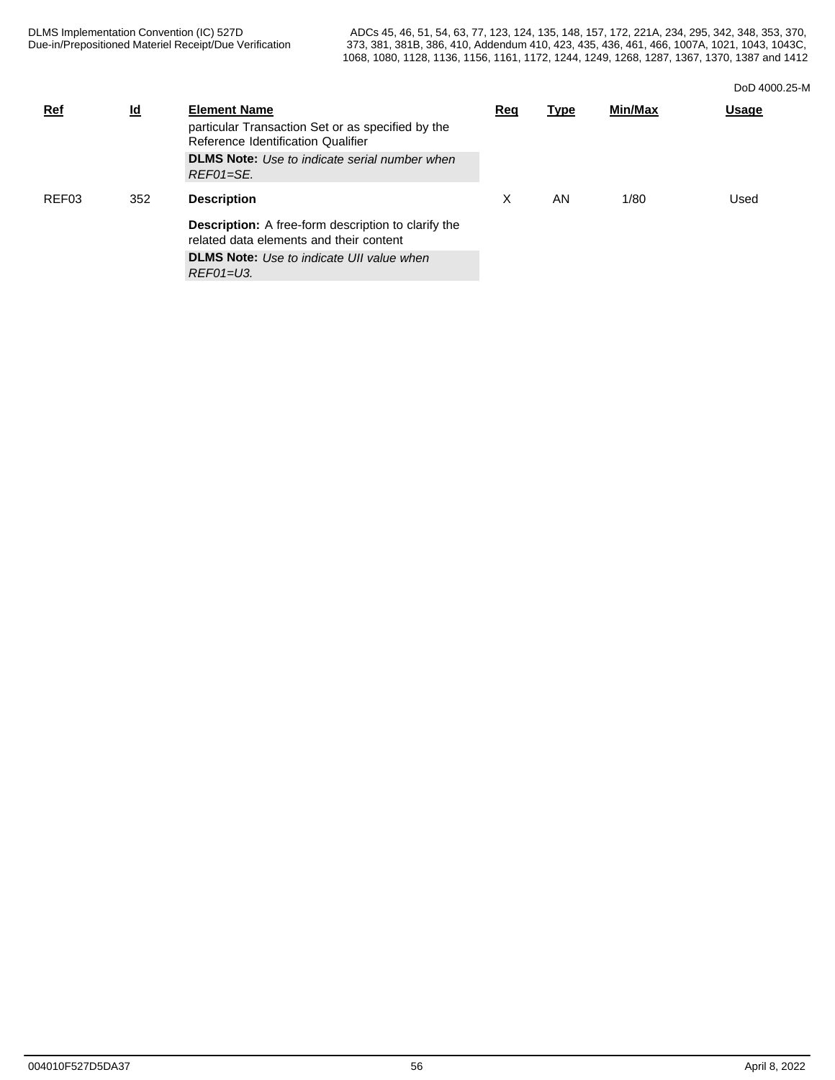|            |                           |                                                                                                       |            |             |                | DoD 4000.25-M |
|------------|---------------------------|-------------------------------------------------------------------------------------------------------|------------|-------------|----------------|---------------|
| <b>Ref</b> | $\underline{\mathsf{Id}}$ | <b>Element Name</b>                                                                                   | <u>Req</u> | <u>Type</u> | <b>Min/Max</b> | <b>Usage</b>  |
|            |                           | particular Transaction Set or as specified by the<br>Reference Identification Qualifier               |            |             |                |               |
|            |                           | <b>DLMS Note:</b> Use to indicate serial number when<br>REF01=SE.                                     |            |             |                |               |
| REF03      | 352                       | <b>Description</b>                                                                                    | Х          | AN          | 1/80           | Used          |
|            |                           | <b>Description:</b> A free-form description to clarify the<br>related data elements and their content |            |             |                |               |
|            |                           | <b>DLMS Note:</b> Use to indicate UII value when<br>$REFO1=U3$ .                                      |            |             |                |               |
|            |                           |                                                                                                       |            |             |                |               |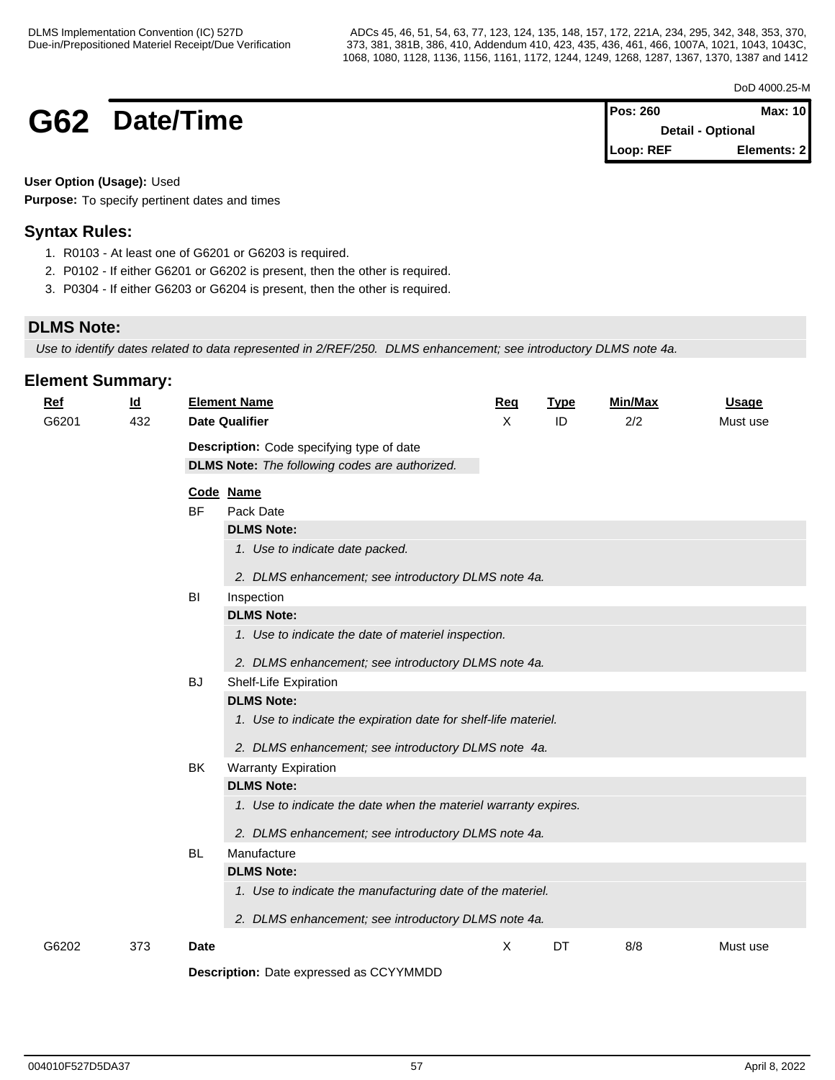DoD 4000.25-M

| G62<br>Date/Time | <b>Pos: 260</b> | Max: 10                   |  |
|------------------|-----------------|---------------------------|--|
|                  |                 | Detail<br><b>Optional</b> |  |

**Detail - Optional Loop: REF Elements: 2**

**User Option (Usage):** Used

**Purpose:** To specify pertinent dates and times

# **Syntax Rules:**

- 1. R0103 At least one of G6201 or G6203 is required.
- 2. P0102 If either G6201 or G6202 is present, then the other is required.
- 3. P0304 If either G6203 or G6204 is present, then the other is required.

# **DLMS Note:**

*Use to identify dates related to data represented in 2/REF/250. DLMS enhancement; see introductory DLMS note 4a.*

| <b>Element Summary:</b> |           |           |                                                                 |            |             |         |              |
|-------------------------|-----------|-----------|-----------------------------------------------------------------|------------|-------------|---------|--------------|
| <u>Ref</u>              | <u>ld</u> |           | <b>Element Name</b>                                             | <u>Req</u> | <b>Type</b> | Min/Max | <b>Usage</b> |
| G6201                   | 432       |           | <b>Date Qualifier</b>                                           | X          | ID          | 2/2     | Must use     |
|                         |           |           | Description: Code specifying type of date                       |            |             |         |              |
|                         |           |           | <b>DLMS Note:</b> The following codes are authorized.           |            |             |         |              |
|                         |           |           | Code Name                                                       |            |             |         |              |
|                         |           | <b>BF</b> | Pack Date                                                       |            |             |         |              |
|                         |           |           | <b>DLMS Note:</b>                                               |            |             |         |              |
|                         |           |           | 1. Use to indicate date packed.                                 |            |             |         |              |
|                         |           |           | 2. DLMS enhancement; see introductory DLMS note 4a.             |            |             |         |              |
|                         |           | BI        | Inspection                                                      |            |             |         |              |
|                         |           |           | <b>DLMS Note:</b>                                               |            |             |         |              |
|                         |           |           | 1. Use to indicate the date of materiel inspection.             |            |             |         |              |
|                         |           |           | 2. DLMS enhancement; see introductory DLMS note 4a.             |            |             |         |              |
|                         |           | <b>BJ</b> | Shelf-Life Expiration                                           |            |             |         |              |
|                         |           |           | <b>DLMS Note:</b>                                               |            |             |         |              |
|                         |           |           | 1. Use to indicate the expiration date for shelf-life materiel. |            |             |         |              |
|                         |           |           | 2. DLMS enhancement; see introductory DLMS note 4a.             |            |             |         |              |
|                         |           | BK        | <b>Warranty Expiration</b>                                      |            |             |         |              |
|                         |           |           | <b>DLMS Note:</b>                                               |            |             |         |              |
|                         |           |           | 1. Use to indicate the date when the materiel warranty expires. |            |             |         |              |
|                         |           |           | 2. DLMS enhancement; see introductory DLMS note 4a.             |            |             |         |              |
|                         |           | <b>BL</b> | Manufacture                                                     |            |             |         |              |
|                         |           |           | <b>DLMS Note:</b>                                               |            |             |         |              |
|                         |           |           | 1. Use to indicate the manufacturing date of the materiel.      |            |             |         |              |
|                         |           |           | 2. DLMS enhancement; see introductory DLMS note 4a.             |            |             |         |              |
| G6202                   | 373       | Date      |                                                                 | X          | DT          | 8/8     | Must use     |
|                         |           |           | <b>Description:</b> Date expressed as CCYYMMDD                  |            |             |         |              |
|                         |           |           |                                                                 |            |             |         |              |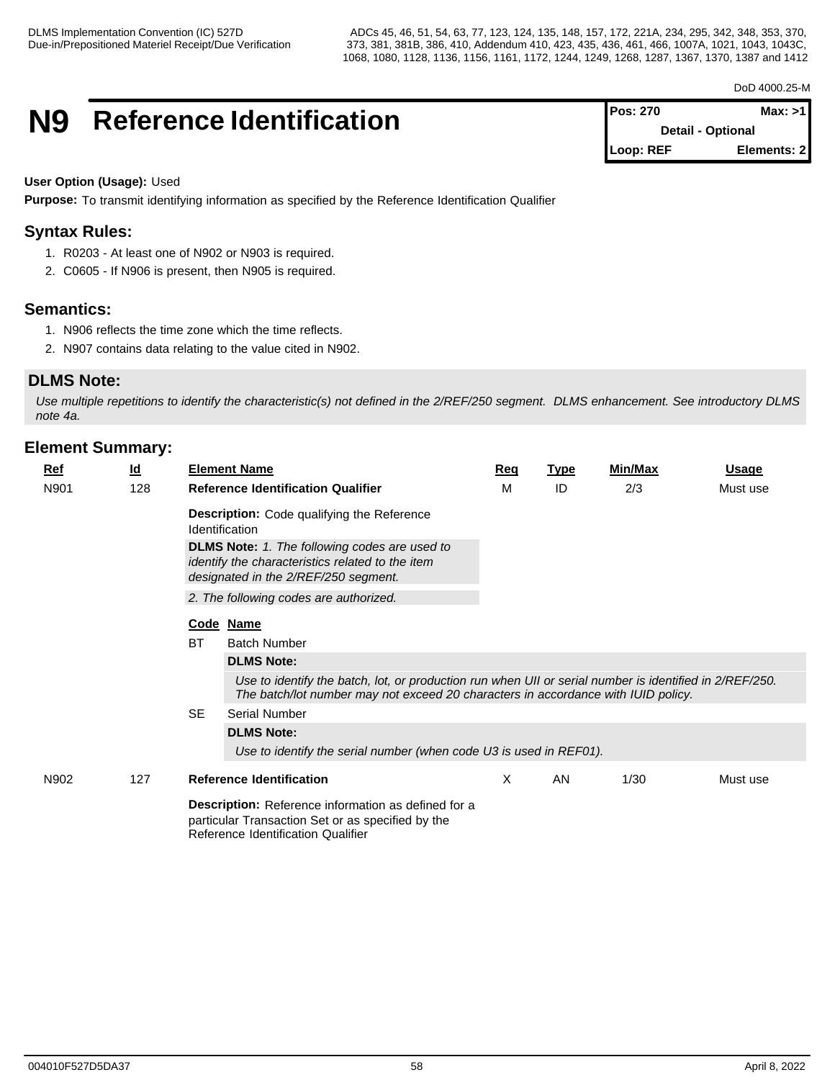DoD 4000.25-M

# **N9** Reference Identification **Pos: 270** Max: >1

**Detail - Optional Loop: REF Elements: 2**

## **User Option (Usage):** Used

**Purpose:** To transmit identifying information as specified by the Reference Identification Qualifier

# **Syntax Rules:**

- 1. R0203 At least one of N902 or N903 is required.
- 2. C0605 If N906 is present, then N905 is required.

# **Semantics:**

- 1. N906 reflects the time zone which the time reflects.
- 2. N907 contains data relating to the value cited in N902.

# **DLMS Note:**

*Use multiple repetitions to identify the characteristic(s) not defined in the 2/REF/250 segment. DLMS enhancement. See introductory DLMS note 4a.*

| Ref  | <u>ld</u> |           | <b>Element Name</b>                                                                                                                                                                          | Req | <b>Type</b> | Min/Max | Usage    |
|------|-----------|-----------|----------------------------------------------------------------------------------------------------------------------------------------------------------------------------------------------|-----|-------------|---------|----------|
| N901 | 128       |           | <b>Reference Identification Qualifier</b>                                                                                                                                                    | м   | ID          | 2/3     | Must use |
|      |           |           | <b>Description:</b> Code qualifying the Reference<br><b>Identification</b>                                                                                                                   |     |             |         |          |
|      |           |           | <b>DLMS Note:</b> 1. The following codes are used to<br>identify the characteristics related to the item<br>designated in the 2/REF/250 segment.                                             |     |             |         |          |
|      |           |           | 2. The following codes are authorized.                                                                                                                                                       |     |             |         |          |
|      |           |           | Code Name                                                                                                                                                                                    |     |             |         |          |
|      |           | BT        | <b>Batch Number</b>                                                                                                                                                                          |     |             |         |          |
|      |           |           | <b>DLMS Note:</b>                                                                                                                                                                            |     |             |         |          |
|      |           |           | Use to identify the batch, lot, or production run when UII or serial number is identified in 2/REF/250.<br>The batch/lot number may not exceed 20 characters in accordance with IUID policy. |     |             |         |          |
|      |           | <b>SE</b> | <b>Serial Number</b>                                                                                                                                                                         |     |             |         |          |
|      |           |           | <b>DLMS Note:</b>                                                                                                                                                                            |     |             |         |          |
|      |           |           | Use to identify the serial number (when code U3 is used in REF01).                                                                                                                           |     |             |         |          |
| N902 | 127       |           | <b>Reference Identification</b>                                                                                                                                                              | X   | AN          | 1/30    | Must use |
|      |           |           | <b>Description:</b> Reference information as defined for a<br>particular Transaction Set or as specified by the<br>Reference Identification Qualifier                                        |     |             |         |          |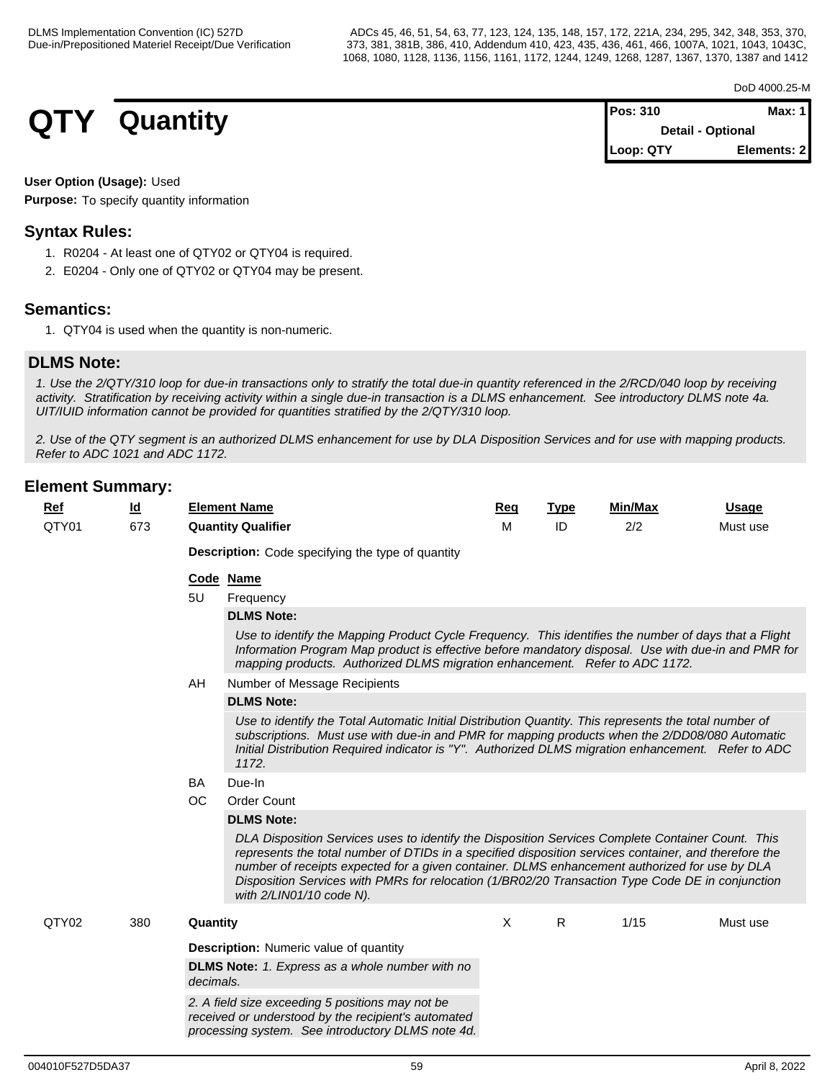DoD 4000.25-M

**QTY** Quantity **Pos:** 310 **Max:** 1 **Detail - Optional Loop: QTY Elements: 2**

**User Option (Usage):** Used

**Purpose:** To specify quantity information

# **Syntax Rules:**

- 1. R0204 At least one of QTY02 or QTY04 is required.
- 2. E0204 Only one of QTY02 or QTY04 may be present.

# **Semantics:**

1. QTY04 is used when the quantity is non-numeric.

# **DLMS Note:**

*1. Use the 2/QTY/310 loop for due-in transactions only to stratify the total due-in quantity referenced in the 2/RCD/040 loop by receiving activity. Stratification by receiving activity within a single due-in transaction is a DLMS enhancement. See introductory DLMS note 4a. UIT/IUID information cannot be provided for quantities stratified by the 2/QTY/310 loop.*

*2. Use of the QTY segment is an authorized DLMS enhancement for use by DLA Disposition Services and for use with mapping products. Refer to ADC 1021 and ADC 1172.*

| Ref   | $\underline{\mathsf{Id}}$ |           | <b>Element Name</b>                                                                                                                                                                                                                                                                                                                                                                                                                         | Rea | <b>Type</b> | Min/Max | <b>Usage</b> |
|-------|---------------------------|-----------|---------------------------------------------------------------------------------------------------------------------------------------------------------------------------------------------------------------------------------------------------------------------------------------------------------------------------------------------------------------------------------------------------------------------------------------------|-----|-------------|---------|--------------|
| QTY01 | 673                       |           | <b>Quantity Qualifier</b>                                                                                                                                                                                                                                                                                                                                                                                                                   | M   | ID          | 2/2     | Must use     |
|       |                           |           | <b>Description:</b> Code specifying the type of quantity                                                                                                                                                                                                                                                                                                                                                                                    |     |             |         |              |
|       |                           |           | Code Name                                                                                                                                                                                                                                                                                                                                                                                                                                   |     |             |         |              |
|       |                           | 5U        | Frequency                                                                                                                                                                                                                                                                                                                                                                                                                                   |     |             |         |              |
|       |                           |           | <b>DLMS Note:</b>                                                                                                                                                                                                                                                                                                                                                                                                                           |     |             |         |              |
|       |                           |           | Use to identify the Mapping Product Cycle Frequency. This identifies the number of days that a Flight<br>Information Program Map product is effective before mandatory disposal. Use with due-in and PMR for<br>mapping products. Authorized DLMS migration enhancement. Refer to ADC 1172.                                                                                                                                                 |     |             |         |              |
|       |                           | AH        | Number of Message Recipients                                                                                                                                                                                                                                                                                                                                                                                                                |     |             |         |              |
|       |                           |           | <b>DLMS Note:</b>                                                                                                                                                                                                                                                                                                                                                                                                                           |     |             |         |              |
|       |                           |           | Use to identify the Total Automatic Initial Distribution Quantity. This represents the total number of<br>subscriptions. Must use with due-in and PMR for mapping products when the 2/DD08/080 Automatic<br>Initial Distribution Required indicator is "Y". Authorized DLMS migration enhancement. Refer to ADC<br>1172.                                                                                                                    |     |             |         |              |
|       |                           | <b>BA</b> | Due-In                                                                                                                                                                                                                                                                                                                                                                                                                                      |     |             |         |              |
|       |                           | <b>OC</b> | <b>Order Count</b>                                                                                                                                                                                                                                                                                                                                                                                                                          |     |             |         |              |
|       |                           |           | <b>DLMS Note:</b>                                                                                                                                                                                                                                                                                                                                                                                                                           |     |             |         |              |
|       |                           |           | DLA Disposition Services uses to identify the Disposition Services Complete Container Count. This<br>represents the total number of DTIDs in a specified disposition services container, and therefore the<br>number of receipts expected for a given container. DLMS enhancement authorized for use by DLA<br>Disposition Services with PMRs for relocation (1/BR02/20 Transaction Type Code DE in conjunction<br>with 2/LIN01/10 code N). |     |             |         |              |
| QTY02 | 380                       | Quantity  |                                                                                                                                                                                                                                                                                                                                                                                                                                             | X   | R           | 1/15    | Must use     |
|       |                           |           | <b>Description:</b> Numeric value of quantity                                                                                                                                                                                                                                                                                                                                                                                               |     |             |         |              |
|       |                           | decimals. | <b>DLMS Note:</b> 1. Express as a whole number with no                                                                                                                                                                                                                                                                                                                                                                                      |     |             |         |              |
|       |                           |           | 2. A field size exceeding 5 positions may not be<br>received or understood by the recipient's automated<br>processing system. See introductory DLMS note 4d.                                                                                                                                                                                                                                                                                |     |             |         |              |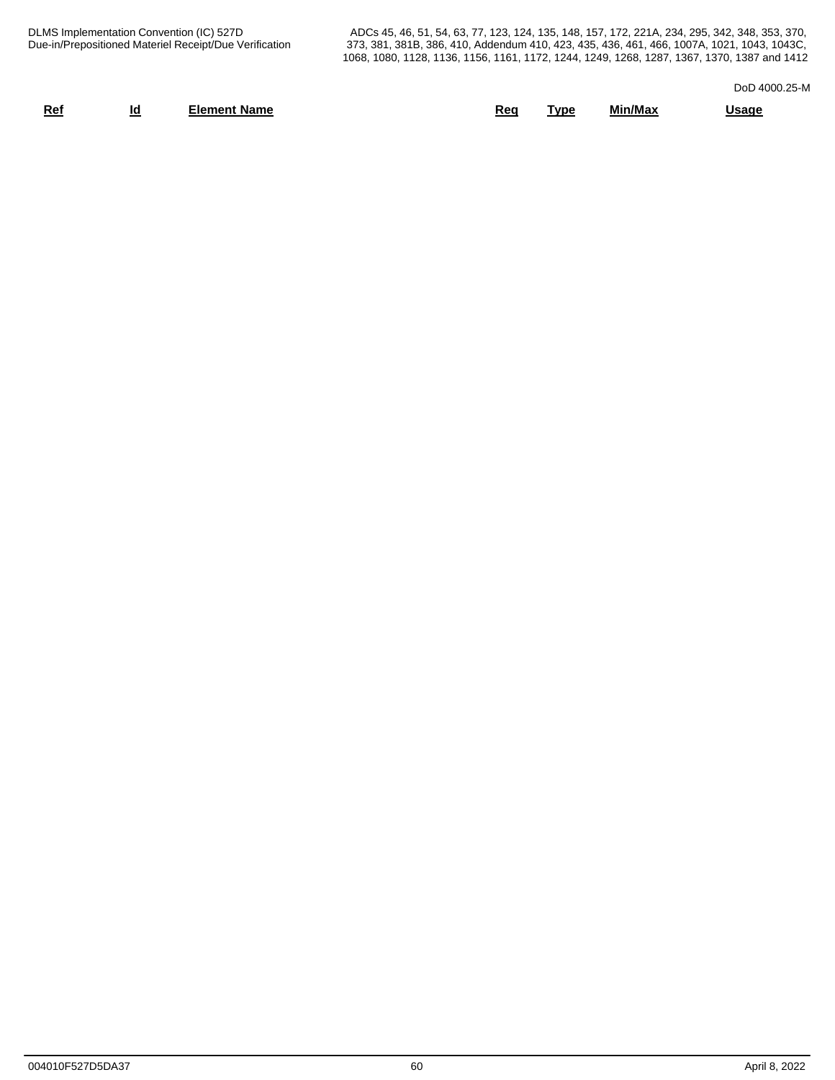DoD 4000.25-M

| Ref | IQ.<br>__<br>_ | --<br>Element Name | Rec | Tvpe | Min/Max | Usaɑe |
|-----|----------------|--------------------|-----|------|---------|-------|
|     |                |                    |     |      |         |       |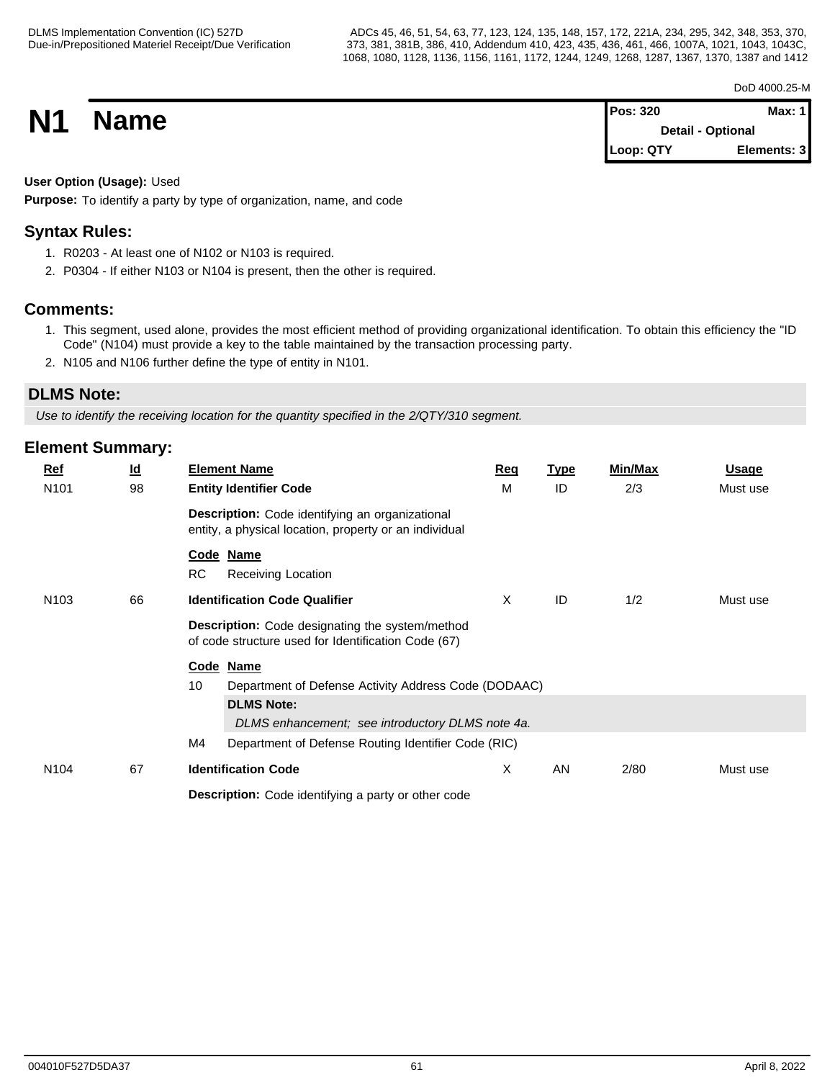DoD 4000.25-M

| <b>N1</b> | <b>Name</b> |
|-----------|-------------|
|           |             |

**N1 Name Magnetic Max:** 1 **Detail - Optional Loop: QTY Elements: 3**

## **User Option (Usage):** Used

**Purpose:** To identify a party by type of organization, name, and code

# **Syntax Rules:**

- 1. R0203 At least one of N102 or N103 is required.
- 2. P0304 If either N103 or N104 is present, then the other is required.

# **Comments:**

- 1. This segment, used alone, provides the most efficient method of providing organizational identification. To obtain this efficiency the "ID Code" (N104) must provide a key to the table maintained by the transaction processing party.
- 2. N105 and N106 further define the type of entity in N101.

# **DLMS Note:**

*Use to identify the receiving location for the quantity specified in the 2/QTY/310 segment.*

| <b>Element Summary:</b> |           |                                                                                                                  |          |             |         |              |
|-------------------------|-----------|------------------------------------------------------------------------------------------------------------------|----------|-------------|---------|--------------|
| $Ref$                   | <u>ld</u> | <b>Element Name</b>                                                                                              | Req      | <b>Type</b> | Min/Max | <b>Usage</b> |
| N <sub>101</sub>        | 98        | <b>Entity Identifier Code</b>                                                                                    | м        | ID          | 2/3     | Must use     |
|                         |           | <b>Description:</b> Code identifying an organizational<br>entity, a physical location, property or an individual |          |             |         |              |
|                         |           | Code Name                                                                                                        |          |             |         |              |
|                         |           | <b>RC</b><br>Receiving Location                                                                                  |          |             |         |              |
| N <sub>103</sub>        | 66        | <b>Identification Code Qualifier</b>                                                                             | $\times$ | ID          | 1/2     | Must use     |
|                         |           | Description: Code designating the system/method<br>of code structure used for Identification Code (67)           |          |             |         |              |
|                         |           | Code Name                                                                                                        |          |             |         |              |
|                         |           | 10<br>Department of Defense Activity Address Code (DODAAC)                                                       |          |             |         |              |
|                         |           | <b>DLMS Note:</b>                                                                                                |          |             |         |              |
|                         |           | DLMS enhancement; see introductory DLMS note 4a.                                                                 |          |             |         |              |
|                         |           | M4<br>Department of Defense Routing Identifier Code (RIC)                                                        |          |             |         |              |
| N <sub>104</sub>        | 67        | <b>Identification Code</b>                                                                                       | X        | AN          | 2/80    | Must use     |
|                         |           | Description: Code identifying a party or other code                                                              |          |             |         |              |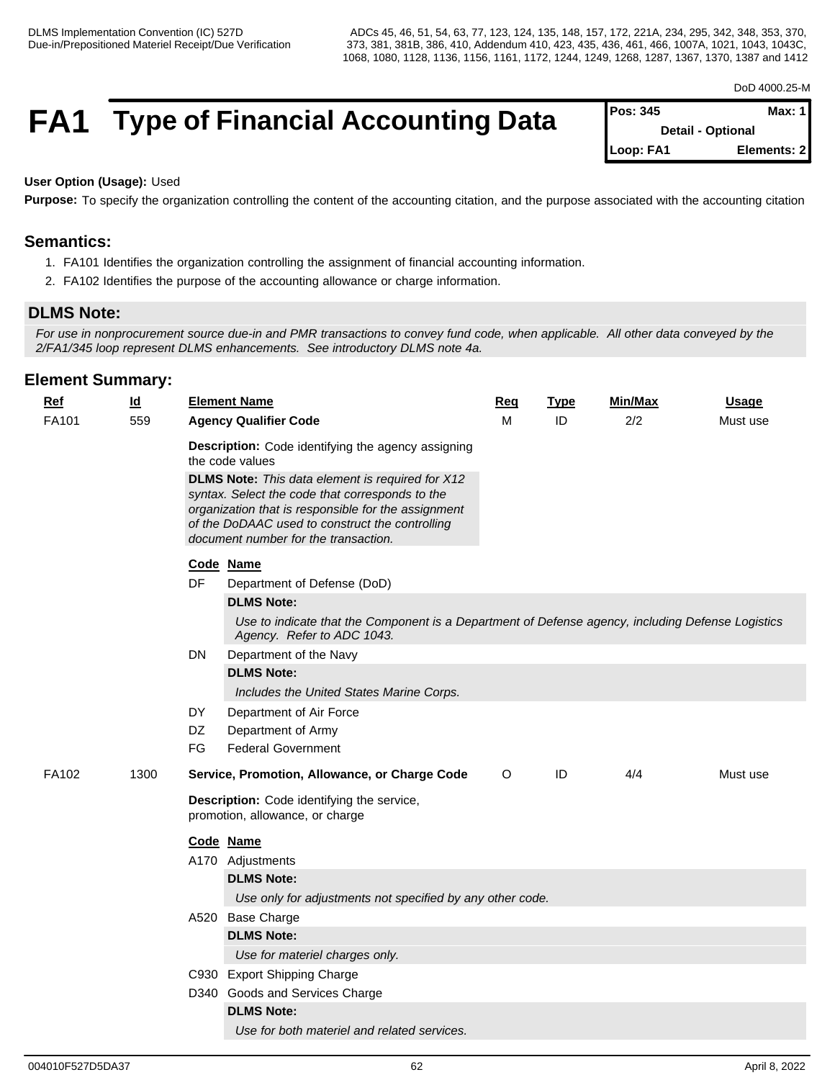DoD 4000.25-M

# **FA1** Type of Financial Accounting Data

| Pos: 345                 | Max: 1 I    |  |
|--------------------------|-------------|--|
| <b>Detail - Optional</b> |             |  |
| Loop: FA1                | Elements: 2 |  |

### **User Option (Usage):** Used

**Purpose:** To specify the organization controlling the content of the accounting citation, and the purpose associated with the accounting citation

## **Semantics:**

- 1. FA101 Identifies the organization controlling the assignment of financial accounting information.
- 2. FA102 Identifies the purpose of the accounting allowance or charge information.

## **DLMS Note:**

*For use in nonprocurement source due-in and PMR transactions to convey fund code, when applicable. All other data conveyed by the 2/FA1/345 loop represent DLMS enhancements. See introductory DLMS note 4a.*

| <b>Ref</b> | <u>ld</u> |    | <b>Element Name</b>                                                                                                                                                                                                                                                                                                                   | Req     | <b>Type</b> | Min/Max | Usage    |
|------------|-----------|----|---------------------------------------------------------------------------------------------------------------------------------------------------------------------------------------------------------------------------------------------------------------------------------------------------------------------------------------|---------|-------------|---------|----------|
| FA101      | 559       |    | <b>Agency Qualifier Code</b>                                                                                                                                                                                                                                                                                                          | M       | ID          | 2/2     | Must use |
|            |           |    | Description: Code identifying the agency assigning<br>the code values<br><b>DLMS Note:</b> This data element is required for X12<br>syntax. Select the code that corresponds to the<br>organization that is responsible for the assignment<br>of the DoDAAC used to construct the controlling<br>document number for the transaction. |         |             |         |          |
|            |           | DF | Code Name<br>Department of Defense (DoD)<br><b>DLMS Note:</b>                                                                                                                                                                                                                                                                         |         |             |         |          |
|            |           |    | Use to indicate that the Component is a Department of Defense agency, including Defense Logistics<br>Agency. Refer to ADC 1043.                                                                                                                                                                                                       |         |             |         |          |
|            |           | DN | Department of the Navy                                                                                                                                                                                                                                                                                                                |         |             |         |          |
|            |           |    | <b>DLMS Note:</b>                                                                                                                                                                                                                                                                                                                     |         |             |         |          |
|            |           |    | Includes the United States Marine Corps.                                                                                                                                                                                                                                                                                              |         |             |         |          |
|            |           | DY | Department of Air Force                                                                                                                                                                                                                                                                                                               |         |             |         |          |
|            |           | DZ | Department of Army                                                                                                                                                                                                                                                                                                                    |         |             |         |          |
|            |           | FG | <b>Federal Government</b>                                                                                                                                                                                                                                                                                                             |         |             |         |          |
| FA102      | 1300      |    | Service, Promotion, Allowance, or Charge Code                                                                                                                                                                                                                                                                                         | $\circ$ | ID          | 4/4     | Must use |
|            |           |    | Description: Code identifying the service,<br>promotion, allowance, or charge                                                                                                                                                                                                                                                         |         |             |         |          |
|            |           |    | Code Name                                                                                                                                                                                                                                                                                                                             |         |             |         |          |
|            |           |    | A170 Adjustments                                                                                                                                                                                                                                                                                                                      |         |             |         |          |
|            |           |    | <b>DLMS Note:</b>                                                                                                                                                                                                                                                                                                                     |         |             |         |          |
|            |           |    | Use only for adjustments not specified by any other code.                                                                                                                                                                                                                                                                             |         |             |         |          |
|            |           |    | A520 Base Charge                                                                                                                                                                                                                                                                                                                      |         |             |         |          |
|            |           |    | <b>DLMS Note:</b>                                                                                                                                                                                                                                                                                                                     |         |             |         |          |
|            |           |    | Use for materiel charges only.                                                                                                                                                                                                                                                                                                        |         |             |         |          |
|            |           |    | C930 Export Shipping Charge                                                                                                                                                                                                                                                                                                           |         |             |         |          |
|            |           |    | D340 Goods and Services Charge                                                                                                                                                                                                                                                                                                        |         |             |         |          |
|            |           |    | <b>DLMS Note:</b>                                                                                                                                                                                                                                                                                                                     |         |             |         |          |
|            |           |    | Use for both materiel and related services.                                                                                                                                                                                                                                                                                           |         |             |         |          |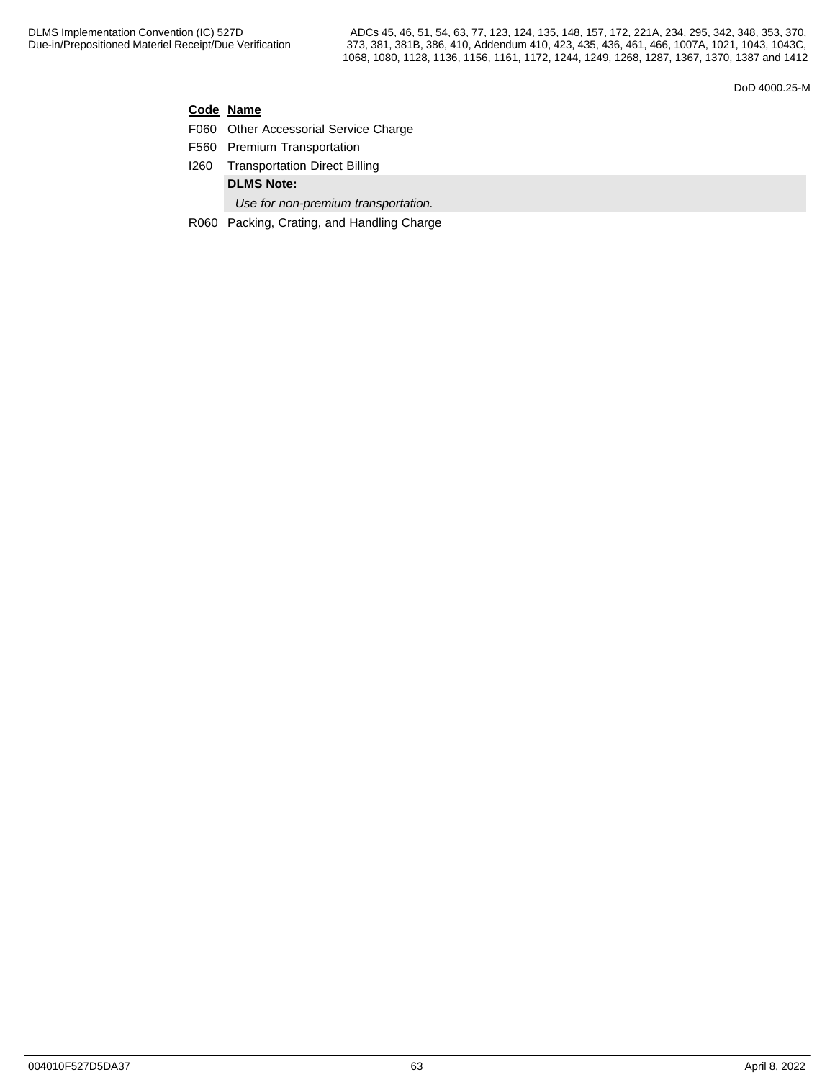DoD 4000.25-M

## **Code Name**

F060 Other Accessorial Service Charge

- F560 Premium Transportation
- I260 Transportation Direct Billing

## **DLMS Note:**

*Use for non-premium transportation.*

R060 Packing, Crating, and Handling Charge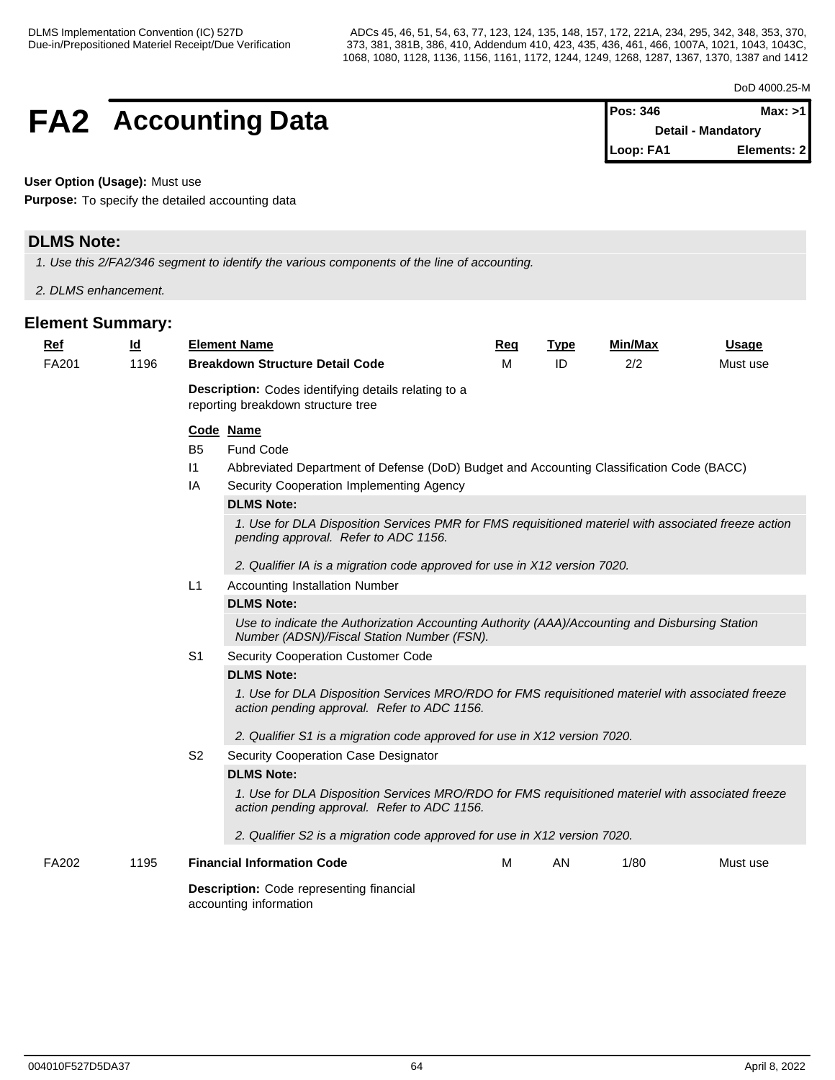DoD 4000.25-M

# **FA2** Accounting Data

| <b>IPos: 346</b> | Max: >11           |
|------------------|--------------------|
|                  | Detail - Mandatory |
| Loop: FA1        | Elements: 2        |

**User Option (Usage):** Must use

**Purpose:** To specify the detailed accounting data

# **DLMS Note:**

*1. Use this 2/FA2/346 segment to identify the various components of the line of accounting.*

*2. DLMS enhancement.*

| <b>Ref</b><br>FA201 | <u>ld</u><br>1196 |                                                                                                                                              | <b>Element Name</b><br><b>Breakdown Structure Detail Code</b>                                                                                    | Req<br>M | <b>Type</b><br>ID | Min/Max<br>2/2 | <u>Usage</u><br>Must use |  |
|---------------------|-------------------|----------------------------------------------------------------------------------------------------------------------------------------------|--------------------------------------------------------------------------------------------------------------------------------------------------|----------|-------------------|----------------|--------------------------|--|
|                     |                   | Description: Codes identifying details relating to a<br>reporting breakdown structure tree                                                   |                                                                                                                                                  |          |                   |                |                          |  |
|                     |                   |                                                                                                                                              | Code Name                                                                                                                                        |          |                   |                |                          |  |
|                     |                   | B <sub>5</sub>                                                                                                                               | <b>Fund Code</b>                                                                                                                                 |          |                   |                |                          |  |
|                     |                   | $\mathsf{I}$                                                                                                                                 | Abbreviated Department of Defense (DoD) Budget and Accounting Classification Code (BACC)                                                         |          |                   |                |                          |  |
|                     |                   | IA                                                                                                                                           | Security Cooperation Implementing Agency                                                                                                         |          |                   |                |                          |  |
|                     |                   |                                                                                                                                              | <b>DLMS Note:</b>                                                                                                                                |          |                   |                |                          |  |
|                     |                   |                                                                                                                                              | 1. Use for DLA Disposition Services PMR for FMS requisitioned materiel with associated freeze action<br>pending approval. Refer to ADC 1156.     |          |                   |                |                          |  |
|                     |                   |                                                                                                                                              | 2. Qualifier IA is a migration code approved for use in X12 version 7020.                                                                        |          |                   |                |                          |  |
|                     |                   | L1                                                                                                                                           | Accounting Installation Number                                                                                                                   |          |                   |                |                          |  |
|                     |                   |                                                                                                                                              | <b>DLMS Note:</b>                                                                                                                                |          |                   |                |                          |  |
|                     |                   | Use to indicate the Authorization Accounting Authority (AAA)/Accounting and Disbursing Station<br>Number (ADSN)/Fiscal Station Number (FSN). |                                                                                                                                                  |          |                   |                |                          |  |
|                     |                   |                                                                                                                                              | Security Cooperation Customer Code                                                                                                               |          |                   |                |                          |  |
|                     |                   |                                                                                                                                              | <b>DLMS Note:</b>                                                                                                                                |          |                   |                |                          |  |
|                     |                   |                                                                                                                                              | 1. Use for DLA Disposition Services MRO/RDO for FMS requisitioned materiel with associated freeze<br>action pending approval. Refer to ADC 1156. |          |                   |                |                          |  |
|                     |                   |                                                                                                                                              | 2. Qualifier S1 is a migration code approved for use in X12 version 7020.                                                                        |          |                   |                |                          |  |
|                     |                   | S <sub>2</sub>                                                                                                                               | Security Cooperation Case Designator                                                                                                             |          |                   |                |                          |  |
|                     |                   |                                                                                                                                              | <b>DLMS Note:</b>                                                                                                                                |          |                   |                |                          |  |
|                     |                   |                                                                                                                                              | 1. Use for DLA Disposition Services MRO/RDO for FMS requisitioned materiel with associated freeze<br>action pending approval. Refer to ADC 1156. |          |                   |                |                          |  |
|                     |                   |                                                                                                                                              | 2. Qualifier S2 is a migration code approved for use in X12 version 7020.                                                                        |          |                   |                |                          |  |
| FA202               | 1195              |                                                                                                                                              | <b>Financial Information Code</b>                                                                                                                | м        | AN                | 1/80           | Must use                 |  |
|                     |                   |                                                                                                                                              |                                                                                                                                                  |          |                   |                |                          |  |
|                     |                   |                                                                                                                                              | <b>Description:</b> Code representing financial<br>accounting information                                                                        |          |                   |                |                          |  |